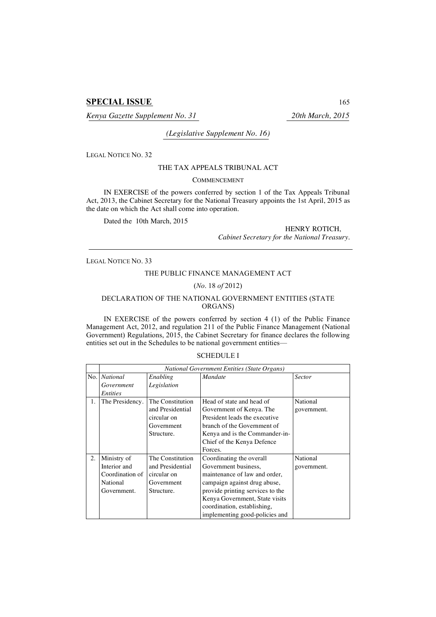# **SPECIAL ISSUE** 165

*Kenya Gazette Supplement No. 31 20th March, 2015*

## *(Legislative Supplement No. 16)*

LEGAL NOTICE NO. 32

### THE TAX APPEALS TRIBUNAL ACT

### **COMMENCEMENT**

IN EXERCISE of the powers conferred by section 1 of the Tax Appeals Tribunal Act, 2013, the Cabinet Secretary for the National Treasury appoints the 1st April, 2015 as the date on which the Act shall come into operation.

Dated the 10th March, 2015

HENRY ROTICH, *Cabinet Secretary for the National Treasury.*

LEGAL NOTICE NO. 33

### THE PUBLIC FINANCE MANAGEMENT ACT

### (*No*. 18 *of* 2012)

### DECLARATION OF THE NATIONAL GOVERNMENT ENTITIES (STATE ORGANS)

IN EXERCISE of the powers conferred by section 4 (1) of the Public Finance Management Act, 2012, and regulation 211 of the Public Finance Management (National Government) Regulations, 2015, the Cabinet Secretary for finance declares the following entities set out in the Schedules to be national government entities—

#### SCHEDULE I

|     | <b>National Government Entities (State Organs)</b> |                  |                                  |               |  |
|-----|----------------------------------------------------|------------------|----------------------------------|---------------|--|
| No. | <b>National</b>                                    | Enabling         | <i>Mandate</i>                   | <b>Sector</b> |  |
|     | Government                                         | Legislation      |                                  |               |  |
|     | <i>Entities</i>                                    |                  |                                  |               |  |
| 1.  | The Presidency.                                    | The Constitution | Head of state and head of        | National      |  |
|     |                                                    | and Presidential | Government of Kenya. The         | government.   |  |
|     |                                                    | circular on      | President leads the executive    |               |  |
|     |                                                    | Government       | branch of the Government of      |               |  |
|     |                                                    | Structure.       | Kenya and is the Commander-in-   |               |  |
|     |                                                    |                  | Chief of the Kenya Defence       |               |  |
|     |                                                    |                  | Forces.                          |               |  |
| 2.  | Ministry of                                        | The Constitution | Coordinating the overall         | National      |  |
|     | Interior and                                       | and Presidential | Government business,             | government.   |  |
|     | Coordination of                                    | circular on      | maintenance of law and order,    |               |  |
|     | National                                           | Government       | campaign against drug abuse,     |               |  |
|     | Government.                                        | Structure.       | provide printing services to the |               |  |
|     |                                                    |                  | Kenya Government, State visits   |               |  |
|     |                                                    |                  | coordination, establishing,      |               |  |
|     |                                                    |                  | implementing good-policies and   |               |  |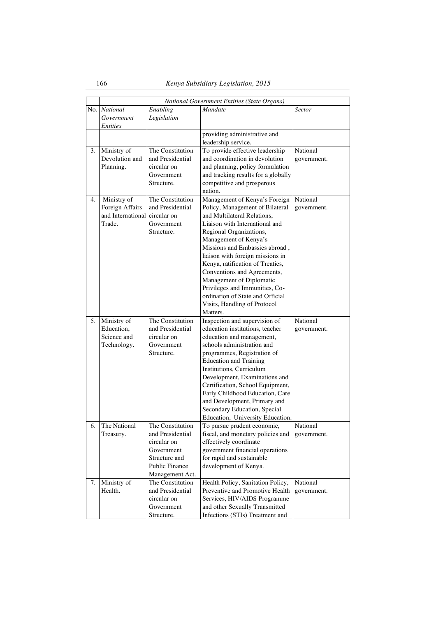|    | National Government Entities (State Organs)                               |                                                                                                                                |                                                                                                                                                                                                                                                                                                                                                                                                                                                                              |                         |
|----|---------------------------------------------------------------------------|--------------------------------------------------------------------------------------------------------------------------------|------------------------------------------------------------------------------------------------------------------------------------------------------------------------------------------------------------------------------------------------------------------------------------------------------------------------------------------------------------------------------------------------------------------------------------------------------------------------------|-------------------------|
|    | No. National<br>Government<br><i>Entities</i>                             | Enabling<br>Legislation                                                                                                        | Mandate                                                                                                                                                                                                                                                                                                                                                                                                                                                                      | <b>Sector</b>           |
|    |                                                                           |                                                                                                                                | providing administrative and<br>leadership service.                                                                                                                                                                                                                                                                                                                                                                                                                          |                         |
| 3. | Ministry of<br>Devolution and<br>Planning.                                | The Constitution<br>and Presidential<br>circular on<br>Government<br>Structure.                                                | To provide effective leadership<br>and coordination in devolution<br>and planning, policy formulation<br>and tracking results for a globally<br>competitive and prosperous<br>nation.                                                                                                                                                                                                                                                                                        | National<br>government. |
| 4. | Ministry of<br>Foreign Affairs<br>and International circular on<br>Trade. | The Constitution<br>and Presidential<br>Government<br>Structure.                                                               | Management of Kenya's Foreign<br>Policy, Management of Bilateral<br>and Multilateral Relations,<br>Liaison with International and<br>Regional Organizations,<br>Management of Kenya's<br>Missions and Embassies abroad,<br>liaison with foreign missions in<br>Kenya, ratification of Treaties,<br>Conventions and Agreements,<br>Management of Diplomatic<br>Privileges and Immunities, Co-<br>ordination of State and Official<br>Visits, Handling of Protocol<br>Matters. | National<br>government. |
| 5. | Ministry of<br>Education.<br>Science and<br>Technology.                   | The Constitution<br>and Presidential<br>circular on<br>Government<br>Structure.                                                | Inspection and supervision of<br>education institutions, teacher<br>education and management,<br>schools administration and<br>programmes, Registration of<br><b>Education and Training</b><br>Institutions, Curriculum<br>Development, Examinations and<br>Certification, School Equipment,<br>Early Childhood Education, Care<br>and Development, Primary and<br>Secondary Education, Special<br>Education, University Education.                                          | National<br>government. |
| 6. | The National<br>Treasury.                                                 | The Constitution<br>and Presidential<br>circular on<br>Government<br>Structure and<br><b>Public Finance</b><br>Management Act. | To pursue prudent economic,<br>fiscal, and monetary policies and<br>effectively coordinate<br>government financial operations<br>for rapid and sustainable<br>development of Kenya.                                                                                                                                                                                                                                                                                          | National<br>government. |
| 7. | Ministry of<br>Health.                                                    | The Constitution<br>and Presidential<br>circular on<br>Government<br>Structure.                                                | Health Policy, Sanitation Policy,<br>Preventive and Promotive Health<br>Services, HIV/AIDS Programme<br>and other Sexually Transmitted<br>Infections (STIs) Treatment and                                                                                                                                                                                                                                                                                                    | National<br>government. |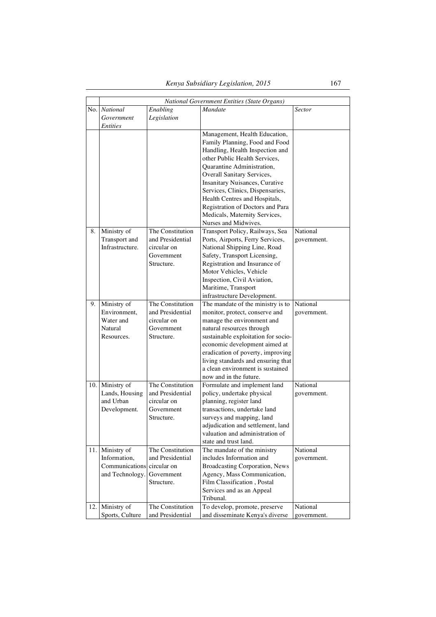|     |                       |                          | National Government Entities (State Organs)                             |               |
|-----|-----------------------|--------------------------|-------------------------------------------------------------------------|---------------|
|     | No. National          | Enabling                 | Mandate                                                                 | <b>Sector</b> |
|     | Government            | Legislation              |                                                                         |               |
|     | <i>Entities</i>       |                          |                                                                         |               |
|     |                       |                          | Management, Health Education,                                           |               |
|     |                       |                          | Family Planning, Food and Food                                          |               |
|     |                       |                          | Handling, Health Inspection and                                         |               |
|     |                       |                          | other Public Health Services.                                           |               |
|     |                       |                          | Quarantine Administration,                                              |               |
|     |                       |                          | Overall Sanitary Services,                                              |               |
|     |                       |                          | Insanitary Nuisances, Curative                                          |               |
|     |                       |                          | Services, Clinics, Dispensaries,                                        |               |
|     |                       |                          | Health Centres and Hospitals,                                           |               |
|     |                       |                          | Registration of Doctors and Para                                        |               |
|     |                       |                          | Medicals, Maternity Services,                                           |               |
|     |                       |                          | Nurses and Midwives.                                                    |               |
| 8.  | Ministry of           | The Constitution         | Transport Policy, Railways, Sea                                         | National      |
|     | Transport and         | and Presidential         | Ports, Airports, Ferry Services,                                        | government.   |
|     | Infrastructure.       | circular on              | National Shipping Line, Road                                            |               |
|     |                       | Government               | Safety, Transport Licensing,                                            |               |
|     |                       | Structure.               | Registration and Insurance of                                           |               |
|     |                       |                          | Motor Vehicles, Vehicle                                                 |               |
|     |                       |                          | Inspection, Civil Aviation,                                             |               |
|     |                       |                          | Maritime, Transport                                                     |               |
|     |                       |                          | infrastructure Development.                                             |               |
| 9.  | Ministry of           | The Constitution         | The mandate of the ministry is to                                       | National      |
|     | Environment,          | and Presidential         | monitor, protect, conserve and                                          | government.   |
|     | Water and             | circular on              | manage the environment and                                              |               |
|     | Natural<br>Resources. | Government<br>Structure. | natural resources through                                               |               |
|     |                       |                          | sustainable exploitation for socio-                                     |               |
|     |                       |                          | economic development aimed at                                           |               |
|     |                       |                          | eradication of poverty, improving<br>living standards and ensuring that |               |
|     |                       |                          | a clean environment is sustained                                        |               |
|     |                       |                          | now and in the future.                                                  |               |
|     | 10. Ministry of       | The Constitution         | Formulate and implement land                                            | National      |
|     | Lands, Housing        | and Presidential         | policy, undertake physical                                              | government.   |
|     | and Urban             | circular on              | planning, register land                                                 |               |
|     | Development.          | Government               | transactions, undertake land                                            |               |
|     |                       | Structure.               | surveys and mapping, land                                               |               |
|     |                       |                          | adjudication and settlement, land                                       |               |
|     |                       |                          | valuation and administration of                                         |               |
|     |                       |                          | state and trust land.                                                   |               |
| 11. | Ministry of           | The Constitution         | The mandate of the ministry                                             | National      |
|     | Information,          | and Presidential         | includes Information and                                                | government.   |
|     | Communications        | circular on              | <b>Broadcasting Corporation, News</b>                                   |               |
|     | and Technology.       | Government               | Agency, Mass Communication,                                             |               |
|     |                       | Structure.               | Film Classification, Postal                                             |               |
|     |                       |                          | Services and as an Appeal                                               |               |
|     |                       |                          | Tribunal.                                                               |               |
| 12. | Ministry of           | The Constitution         | To develop, promote, preserve                                           | National      |
|     | Sports, Culture       | and Presidential         | and disseminate Kenya's diverse                                         | government.   |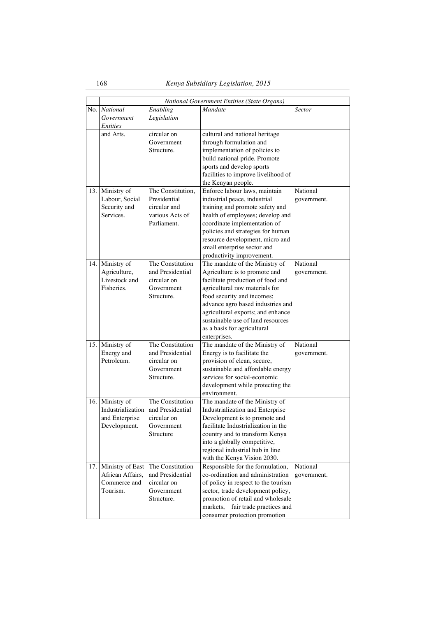|     | National Government Entities (State Organs) |                                      |                                                                         |             |
|-----|---------------------------------------------|--------------------------------------|-------------------------------------------------------------------------|-------------|
|     | No. National                                | Enabling                             | Mandate                                                                 | Sector      |
|     | Government                                  | Legislation                          |                                                                         |             |
|     | <i>Entities</i>                             |                                      |                                                                         |             |
|     | and Arts.                                   | circular on                          | cultural and national heritage                                          |             |
|     |                                             | Government                           | through formulation and                                                 |             |
|     |                                             | Structure.                           | implementation of policies to                                           |             |
|     |                                             |                                      | build national pride. Promote                                           |             |
|     |                                             |                                      | sports and develop sports                                               |             |
|     |                                             |                                      | facilities to improve livelihood of                                     |             |
|     |                                             |                                      | the Kenyan people.                                                      |             |
| 13. | Ministry of                                 | The Constitution,                    | Enforce labour laws, maintain                                           | National    |
|     | Labour, Social                              | Presidential                         | industrial peace, industrial                                            | government. |
|     | Security and                                | circular and                         | training and promote safety and                                         |             |
|     | Services.                                   | various Acts of                      | health of employees; develop and                                        |             |
|     |                                             | Parliament.                          | coordinate implementation of                                            |             |
|     |                                             |                                      | policies and strategies for human                                       |             |
|     |                                             |                                      | resource development, micro and                                         |             |
|     |                                             |                                      | small enterprise sector and<br>productivity improvement.                |             |
|     |                                             | The Constitution                     |                                                                         | National    |
| 14. | Ministry of<br>Agriculture,                 | and Presidential                     | The mandate of the Ministry of<br>Agriculture is to promote and         | government. |
|     | Livestock and                               | circular on                          | facilitate production of food and                                       |             |
|     | Fisheries.                                  | Government                           | agricultural raw materials for                                          |             |
|     |                                             | Structure.                           | food security and incomes;                                              |             |
|     |                                             |                                      | advance agro based industries and                                       |             |
|     |                                             |                                      | agricultural exports; and enhance                                       |             |
|     |                                             |                                      | sustainable use of land resources                                       |             |
|     |                                             |                                      | as a basis for agricultural                                             |             |
|     |                                             |                                      | enterprises.                                                            |             |
| 15. | Ministry of                                 | The Constitution                     | The mandate of the Ministry of                                          | National    |
|     | Energy and                                  | and Presidential                     | Energy is to facilitate the                                             | government. |
|     | Petroleum.                                  | circular on                          | provision of clean, secure,                                             |             |
|     |                                             | Government                           | sustainable and affordable energy                                       |             |
|     |                                             | Structure.                           | services for social-economic                                            |             |
|     |                                             |                                      | development while protecting the                                        |             |
|     |                                             |                                      | environment.                                                            |             |
|     | 16. Ministry of                             | The Constitution                     | The mandate of the Ministry of                                          |             |
|     | Industrialization                           | and Presidential                     | Industrialization and Enterprise                                        |             |
|     | and Enterprise                              | circular on                          | Development is to promote and                                           |             |
|     | Development.                                | Government                           | facilitate Industrialization in the                                     |             |
|     |                                             | Structure                            | country and to transform Kenya                                          |             |
|     |                                             |                                      | into a globally competitive,                                            |             |
|     |                                             |                                      | regional industrial hub in line                                         |             |
|     |                                             |                                      | with the Kenya Vision 2030.                                             |             |
| 17. | Ministry of East                            | The Constitution<br>and Presidential | Responsible for the formulation,                                        | National    |
|     | African Affairs,<br>Commerce and            | circular on                          | co-ordination and administration<br>of policy in respect to the tourism | government. |
|     | Tourism.                                    | Government                           | sector, trade development policy,                                       |             |
|     |                                             | Structure.                           | promotion of retail and wholesale                                       |             |
|     |                                             |                                      | fair trade practices and<br>markets,                                    |             |
|     |                                             |                                      | consumer protection promotion                                           |             |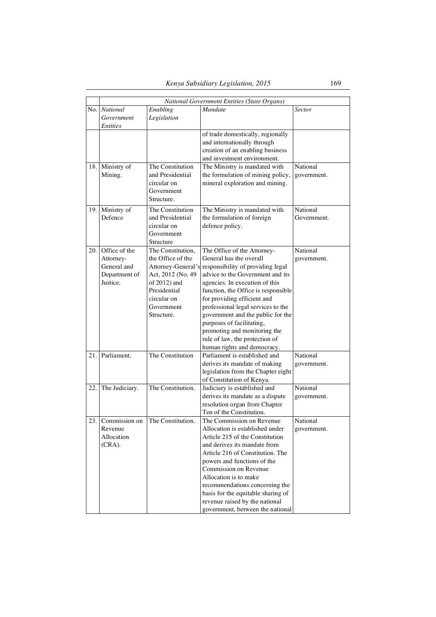|     |                                                                        |                                                                                                                                                              | National Government Entities (State Organs)                                                                                                                                                                                                                                                                                                                                                                                                      |                         |
|-----|------------------------------------------------------------------------|--------------------------------------------------------------------------------------------------------------------------------------------------------------|--------------------------------------------------------------------------------------------------------------------------------------------------------------------------------------------------------------------------------------------------------------------------------------------------------------------------------------------------------------------------------------------------------------------------------------------------|-------------------------|
|     | No. National<br>Government<br><i>Entities</i>                          | Enabling<br>Legislation                                                                                                                                      | <b>Mandate</b>                                                                                                                                                                                                                                                                                                                                                                                                                                   | Sector                  |
|     |                                                                        |                                                                                                                                                              | of trade domestically, regionally<br>and internationally through<br>creation of an enabling business<br>and investment environment.                                                                                                                                                                                                                                                                                                              |                         |
| 18. | Ministry of<br>Mining.                                                 | The Constitution<br>and Presidential<br>circular on<br>Government<br>Structure.                                                                              | The Ministry is mandated with<br>the formulation of mining policy,<br>mineral exploration and mining.                                                                                                                                                                                                                                                                                                                                            | National<br>government. |
|     | 19. Ministry of<br>Defence                                             | The Constitution<br>and Presidential<br>circular on<br>Government<br>Structure                                                                               | The Ministry is mandated with<br>the formulation of foreign<br>defence policy.                                                                                                                                                                                                                                                                                                                                                                   | National<br>Government. |
| 20. | Office of the<br>Attorney-<br>General and<br>Department of<br>Justice. | The Constitution,<br>the Office of the<br>Attorney-General's<br>Act, 2012 (No. 49<br>of 2012) and<br>Presidential<br>circular on<br>Government<br>Structure. | The Office of the Attorney-<br>General has the overall<br>responsibility of providing legal<br>advice to the Government and its<br>agencies. In execution of this<br>function, the Office is responsible<br>for providing efficient and<br>professional legal services to the<br>government and the public for the<br>purposes of facilitating,<br>promoting and monitoring the<br>rule of law, the protection of<br>human rights and democracy. | National<br>government. |
| 21. | Parliament.                                                            | The Constitution                                                                                                                                             | Parliament is established and<br>derives its mandate of making<br>legislation from the Chapter eight<br>of Constitution of Kenya.                                                                                                                                                                                                                                                                                                                | National<br>government. |
| 22. | The Judiciary.                                                         | The Constitution.                                                                                                                                            | Judiciary is established and<br>derives its mandate as a dispute<br>resolution organ from Chapter<br>Ten of the Constitution.                                                                                                                                                                                                                                                                                                                    | National<br>government. |
|     | 23. Commission on<br>Revenue<br>Allocation<br>$(CRA)$ .                | The Constitution.                                                                                                                                            | The Commission on Revenue<br>Allocation is established under<br>Article 215 of the Constitution<br>and derives its mandate from<br>Article 216 of Constitution. The<br>powers and functions of the<br>Commission on Revenue<br>Allocation is to make<br>recommendations concerning the<br>basis for the equitable sharing of<br>revenue raised by the national<br>government, between the national                                               | National<br>government. |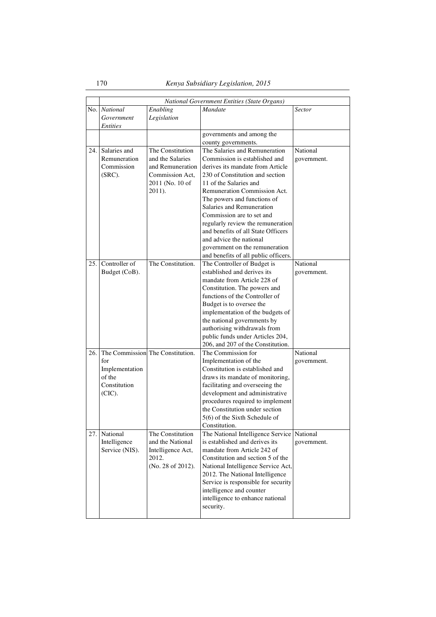|     |                            |                                     | National Government Entities (State Organs)                         |               |
|-----|----------------------------|-------------------------------------|---------------------------------------------------------------------|---------------|
| No. | <b>National</b>            | Enabling                            | Mandate                                                             | <b>Sector</b> |
|     | Government                 | Legislation                         |                                                                     |               |
|     | Entities                   |                                     |                                                                     |               |
|     |                            |                                     | governments and among the                                           |               |
|     |                            | The Constitution                    | county governments.                                                 |               |
| 24. | Salaries and               |                                     | The Salaries and Remuneration                                       | National      |
|     | Remuneration<br>Commission | and the Salaries                    | Commission is established and                                       | government.   |
|     |                            | and Remuneration<br>Commission Act. | derives its mandate from Article<br>230 of Constitution and section |               |
|     | (SRC).                     | 2011 (No. 10 of                     | 11 of the Salaries and                                              |               |
|     |                            | 2011).                              | Remuneration Commission Act.                                        |               |
|     |                            |                                     | The powers and functions of                                         |               |
|     |                            |                                     | Salaries and Remuneration                                           |               |
|     |                            |                                     | Commission are to set and                                           |               |
|     |                            |                                     | regularly review the remuneration                                   |               |
|     |                            |                                     | and benefits of all State Officers                                  |               |
|     |                            |                                     | and advice the national                                             |               |
|     |                            |                                     | government on the remuneration                                      |               |
|     |                            |                                     | and benefits of all public officers.                                |               |
| 25. | Controller of              | The Constitution.                   | The Controller of Budget is                                         | National      |
|     | Budget (CoB).              |                                     | established and derives its                                         | government.   |
|     |                            |                                     | mandate from Article 228 of                                         |               |
|     |                            |                                     | Constitution. The powers and                                        |               |
|     |                            |                                     | functions of the Controller of                                      |               |
|     |                            |                                     | Budget is to oversee the                                            |               |
|     |                            |                                     | implementation of the budgets of                                    |               |
|     |                            |                                     | the national governments by                                         |               |
|     |                            |                                     | authorising withdrawals from                                        |               |
|     |                            |                                     | public funds under Articles 204,                                    |               |
|     |                            |                                     | 206, and 207 of the Constitution.                                   |               |
| 26. |                            | The Commission The Constitution.    | The Commission for                                                  | National      |
|     | for                        |                                     | Implementation of the                                               | government.   |
|     | Implementation<br>of the   |                                     | Constitution is established and                                     |               |
|     | Constitution               |                                     | draws its mandate of monitoring,<br>facilitating and overseeing the |               |
|     | (CIC).                     |                                     | development and administrative                                      |               |
|     |                            |                                     | procedures required to implement                                    |               |
|     |                            |                                     | the Constitution under section                                      |               |
|     |                            |                                     | 5(6) of the Sixth Schedule of                                       |               |
|     |                            |                                     | Constitution.                                                       |               |
| 27. | National                   | The Constitution                    | The National Intelligence Service National                          |               |
|     | Intelligence               | and the National                    | is established and derives its                                      | government.   |
|     | Service (NIS).             | Intelligence Act,                   | mandate from Article 242 of                                         |               |
|     |                            | 2012.                               | Constitution and section 5 of the                                   |               |
|     |                            | (No. 28 of 2012).                   | National Intelligence Service Act,                                  |               |
|     |                            |                                     | 2012. The National Intelligence                                     |               |
|     |                            |                                     | Service is responsible for security                                 |               |
|     |                            |                                     | intelligence and counter                                            |               |
|     |                            |                                     | intelligence to enhance national                                    |               |
|     |                            |                                     | security.                                                           |               |
|     |                            |                                     |                                                                     |               |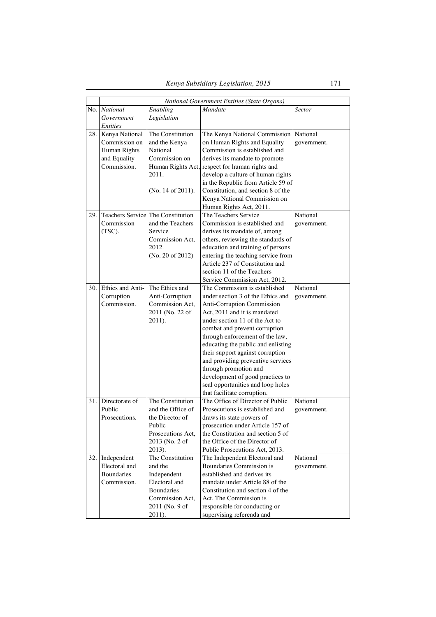|     | National Government Entities (State Organs) |                                                       |                                                                       |               |  |
|-----|---------------------------------------------|-------------------------------------------------------|-----------------------------------------------------------------------|---------------|--|
| No. | <b>National</b>                             | Enabling                                              | Mandate                                                               | <b>Sector</b> |  |
|     | Government                                  | Legislation                                           |                                                                       |               |  |
|     | <b>Entities</b>                             |                                                       |                                                                       |               |  |
|     | 28. Kenya National                          | The Constitution                                      | The Kenya National Commission                                         | National      |  |
|     | Commission on                               | and the Kenya                                         | on Human Rights and Equality                                          | government.   |  |
|     | Human Rights                                | National                                              | Commission is established and                                         |               |  |
|     | and Equality                                | Commission on                                         | derives its mandate to promote                                        |               |  |
|     | Commission.                                 |                                                       | Human Rights Act, respect for human rights and                        |               |  |
|     |                                             | 2011.                                                 | develop a culture of human rights                                     |               |  |
|     |                                             |                                                       | in the Republic from Article 59 of                                    |               |  |
|     |                                             | (No. 14 of 2011).                                     | Constitution, and section 8 of the                                    |               |  |
|     |                                             |                                                       | Kenya National Commission on                                          |               |  |
|     |                                             |                                                       | Human Rights Act, 2011.                                               |               |  |
| 29. | Commission                                  | Teachers Service The Constitution<br>and the Teachers | The Teachers Service                                                  | National      |  |
|     |                                             | Service                                               | Commission is established and                                         | government.   |  |
|     | (TSC).                                      | Commission Act,                                       | derives its mandate of, among<br>others, reviewing the standards of   |               |  |
|     |                                             | 2012.                                                 | education and training of persons                                     |               |  |
|     |                                             | (No. 20 of 2012)                                      | entering the teaching service from                                    |               |  |
|     |                                             |                                                       | Article 237 of Constitution and                                       |               |  |
|     |                                             |                                                       | section 11 of the Teachers                                            |               |  |
|     |                                             |                                                       | Service Commission Act, 2012.                                         |               |  |
| 30. | Ethics and Anti-                            | The Ethics and                                        | The Commission is established                                         | National      |  |
|     | Corruption                                  | Anti-Corruption                                       | under section 3 of the Ethics and                                     | government.   |  |
|     | Commission.                                 | Commission Act.                                       | Anti-Corruption Commission                                            |               |  |
|     |                                             | 2011 (No. 22 of                                       | Act, 2011 and it is mandated                                          |               |  |
|     |                                             | 2011).                                                | under section 11 of the Act to                                        |               |  |
|     |                                             |                                                       | combat and prevent corruption                                         |               |  |
|     |                                             |                                                       | through enforcement of the law,                                       |               |  |
|     |                                             |                                                       | educating the public and enlisting                                    |               |  |
|     |                                             |                                                       | their support against corruption                                      |               |  |
|     |                                             |                                                       | and providing preventive services                                     |               |  |
|     |                                             |                                                       | through promotion and                                                 |               |  |
|     |                                             |                                                       | development of good practices to                                      |               |  |
|     |                                             |                                                       | seal opportunities and loop holes                                     |               |  |
|     |                                             |                                                       | that facilitate corruption.                                           |               |  |
| 31. | Directorate of                              | The Constitution                                      | The Office of Director of Public                                      | National      |  |
|     | Public                                      | and the Office of                                     | Prosecutions is established and                                       | government.   |  |
|     | Prosecutions.                               | the Director of                                       | draws its state powers of                                             |               |  |
|     |                                             | Public<br>Prosecutions Act,                           | prosecution under Article 157 of<br>the Constitution and section 5 of |               |  |
|     |                                             | 2013 (No. 2 of                                        | the Office of the Director of                                         |               |  |
|     |                                             | 2013).                                                | Public Prosecutions Act, 2013.                                        |               |  |
| 32. | Independent                                 | The Constitution                                      | The Independent Electoral and                                         | National      |  |
|     | Electoral and                               | and the                                               | <b>Boundaries Commission is</b>                                       | government.   |  |
|     | <b>Boundaries</b>                           | Independent                                           | established and derives its                                           |               |  |
|     | Commission.                                 | Electoral and                                         | mandate under Article 88 of the                                       |               |  |
|     |                                             | <b>Boundaries</b>                                     | Constitution and section 4 of the                                     |               |  |
|     |                                             | Commission Act,                                       | Act. The Commission is                                                |               |  |
|     |                                             | 2011 (No. 9 of                                        | responsible for conducting or                                         |               |  |
|     |                                             | 2011).                                                | supervising referenda and                                             |               |  |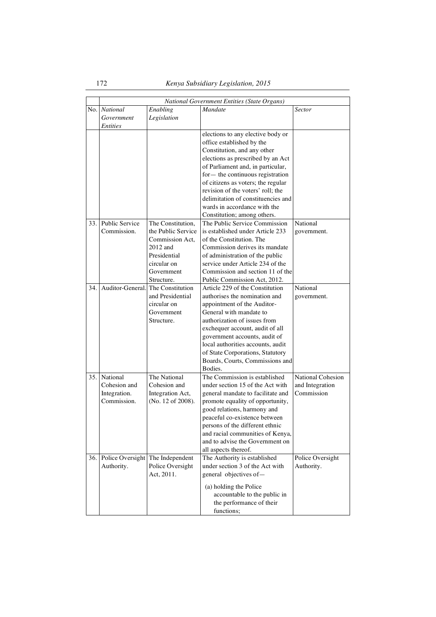|     | National Government Entities (State Organs)             |                                                                                                                                   |                                                                                                                                                                                                                                                                                                                                                       |                                                           |
|-----|---------------------------------------------------------|-----------------------------------------------------------------------------------------------------------------------------------|-------------------------------------------------------------------------------------------------------------------------------------------------------------------------------------------------------------------------------------------------------------------------------------------------------------------------------------------------------|-----------------------------------------------------------|
|     | No. National<br>Government<br><i>Entities</i>           | Enabling<br>Legislation                                                                                                           | <b>Mandate</b>                                                                                                                                                                                                                                                                                                                                        | Sector                                                    |
|     |                                                         |                                                                                                                                   | elections to any elective body or<br>office established by the<br>Constitution, and any other<br>elections as prescribed by an Act<br>of Parliament and, in particular,<br>for- the continuous registration<br>of citizens as voters; the regular                                                                                                     |                                                           |
|     |                                                         |                                                                                                                                   | revision of the voters' roll; the<br>delimitation of constituencies and<br>wards in accordance with the<br>Constitution; among others.                                                                                                                                                                                                                |                                                           |
| 33. | <b>Public Service</b><br>Commission.                    | The Constitution,<br>the Public Service<br>Commission Act,<br>2012 and<br>Presidential<br>circular on<br>Government<br>Structure. | The Public Service Commission<br>is established under Article 233<br>of the Constitution. The<br>Commission derives its mandate<br>of administration of the public<br>service under Article 234 of the<br>Commission and section 11 of the<br>Public Commission Act, 2012.                                                                            | National<br>government.                                   |
| 34. | Auditor-General.                                        | The Constitution<br>and Presidential<br>circular on<br>Government<br>Structure.                                                   | Article 229 of the Constitution<br>authorises the nomination and<br>appointment of the Auditor-<br>General with mandate to<br>authorization of issues from<br>exchequer account, audit of all<br>government accounts, audit of<br>local authorities accounts, audit<br>of State Corporations, Statutory<br>Boards, Courts, Commissions and<br>Bodies. | National<br>government.                                   |
| 35. | National<br>Cohesion and<br>Integration.<br>Commission. | The National<br>Cohesion and<br>Integration Act,<br>(No. 12 of 2008).                                                             | The Commission is established<br>under section 15 of the Act with<br>general mandate to facilitate and<br>promote equality of opportunity,<br>good relations, harmony and<br>peaceful co-existence between<br>persons of the different ethnic<br>and racial communities of Kenya,<br>and to advise the Government on<br>all aspects thereof.          | <b>National Cohesion</b><br>and Integration<br>Commission |
| 36. | Police Oversight The Independent<br>Authority.          | Police Oversight<br>Act, 2011.                                                                                                    | The Authority is established<br>under section 3 of the Act with<br>general objectives of-<br>(a) holding the Police<br>accountable to the public in<br>the performance of their<br>functions;                                                                                                                                                         | Police Oversight<br>Authority.                            |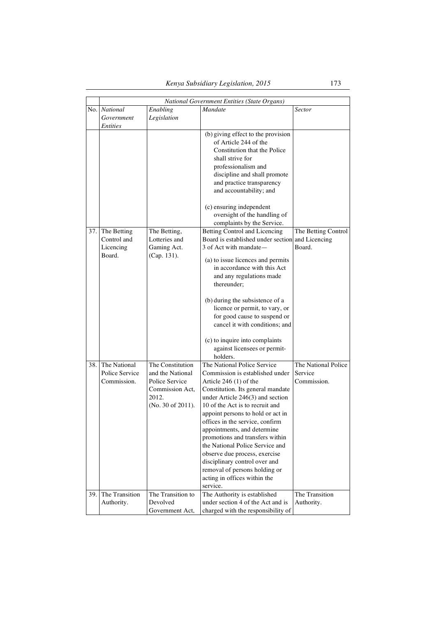|     |                 |                   | National Government Entities (State Organs)                    |                     |
|-----|-----------------|-------------------|----------------------------------------------------------------|---------------------|
|     | No. National    | Enabling          | <b>Mandate</b>                                                 | <b>Sector</b>       |
|     | Government      | Legislation       |                                                                |                     |
|     | <i>Entities</i> |                   |                                                                |                     |
|     |                 |                   | (b) giving effect to the provision                             |                     |
|     |                 |                   | of Article 244 of the                                          |                     |
|     |                 |                   | Constitution that the Police                                   |                     |
|     |                 |                   | shall strive for                                               |                     |
|     |                 |                   | professionalism and                                            |                     |
|     |                 |                   | discipline and shall promote                                   |                     |
|     |                 |                   | and practice transparency                                      |                     |
|     |                 |                   | and accountability; and                                        |                     |
|     |                 |                   | (c) ensuring independent                                       |                     |
|     |                 |                   | oversight of the handling of                                   |                     |
|     |                 |                   | complaints by the Service.                                     |                     |
| 37. | The Betting     | The Betting,      | Betting Control and Licencing                                  | The Betting Control |
|     | Control and     | Lotteries and     | Board is established under section                             | and Licencing       |
|     | Licencing       | Gaming Act.       | 3 of Act with mandate -                                        | Board.              |
|     | Board.          | (Cap. 131).       | (a) to issue licences and permits                              |                     |
|     |                 |                   | in accordance with this Act                                    |                     |
|     |                 |                   | and any regulations made                                       |                     |
|     |                 |                   | thereunder;                                                    |                     |
|     |                 |                   | (b) during the subsistence of a                                |                     |
|     |                 |                   | licence or permit, to vary, or                                 |                     |
|     |                 |                   | for good cause to suspend or                                   |                     |
|     |                 |                   | cancel it with conditions; and                                 |                     |
|     |                 |                   | (c) to inquire into complaints                                 |                     |
|     |                 |                   | against licensees or permit-                                   |                     |
|     |                 |                   | holders.                                                       |                     |
| 38. | The National    | The Constitution  | The National Police Service                                    | The National Police |
|     | Police Service  | and the National  | Commission is established under                                | Service             |
|     | Commission.     | Police Service    | Article 246 (1) of the                                         | Commission.         |
|     |                 | Commission Act.   | Constitution. Its general mandate                              |                     |
|     |                 | 2012.             | under Article $246(3)$ and section                             |                     |
|     |                 | (No. 30 of 2011). | 10 of the Act is to recruit and                                |                     |
|     |                 |                   | appoint persons to hold or act in                              |                     |
|     |                 |                   | offices in the service, confirm                                |                     |
|     |                 |                   | appointments, and determine                                    |                     |
|     |                 |                   | promotions and transfers within                                |                     |
|     |                 |                   | the National Police Service and                                |                     |
|     |                 |                   | observe due process, exercise                                  |                     |
|     |                 |                   | disciplinary control over and<br>removal of persons holding or |                     |
|     |                 |                   | acting in offices within the                                   |                     |
|     |                 |                   | service.                                                       |                     |
| 39. | The Transition  | The Transition to | The Authority is established                                   | The Transition      |
|     | Authority.      | Devolved          | under section 4 of the Act and is                              | Authority.          |
|     |                 | Government Act,   | charged with the responsibility of                             |                     |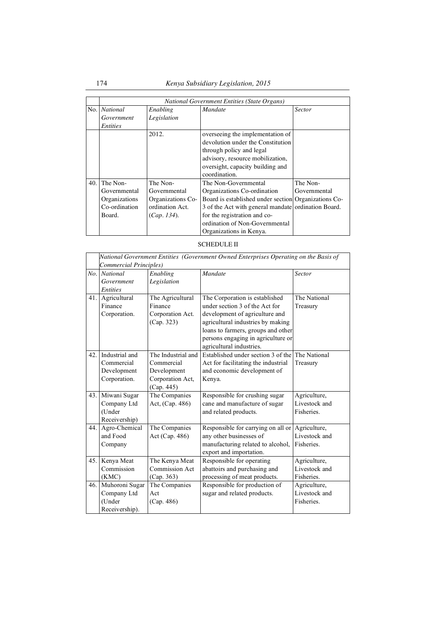|      | <b>National Government Entities (State Organs)</b> |                   |                                                      |               |
|------|----------------------------------------------------|-------------------|------------------------------------------------------|---------------|
|      | No. National                                       | Enabling          | <b>Mandate</b>                                       | <b>Sector</b> |
|      | Government                                         | Legislation       |                                                      |               |
|      | <i>Entities</i>                                    |                   |                                                      |               |
|      |                                                    | 2012.             | overseeing the implementation of                     |               |
|      |                                                    |                   | devolution under the Constitution                    |               |
|      |                                                    |                   | through policy and legal                             |               |
|      |                                                    |                   | advisory, resource mobilization,                     |               |
|      |                                                    |                   | oversight, capacity building and                     |               |
|      |                                                    |                   | coordination.                                        |               |
| 40.1 | The Non-                                           | The Non-          | The Non-Governmental                                 | The Non-      |
|      | Governmental                                       | Governmental      | Organizations Co-ordination                          | Governmental  |
|      | Organizations                                      | Organizations Co- | Board is established under section Organizations Co- |               |
|      | Co-ordination                                      | ordination Act.   | 3 of the Act with general mandate ordination Board.  |               |
|      | Board.                                             | (Cap. 134).       | for the registration and co-                         |               |
|      |                                                    |                   | ordination of Non-Governmental                       |               |
|      |                                                    |                   | Organizations in Kenya.                              |               |

# SCHEDULE II

|     | National Government Entities (Government Owned Enterprises Operating on the Basis of |                    |                                                 |               |  |  |
|-----|--------------------------------------------------------------------------------------|--------------------|-------------------------------------------------|---------------|--|--|
|     | Commercial Principles)                                                               |                    |                                                 |               |  |  |
|     | No. National                                                                         | Enabling           | <b>Mandate</b>                                  | Sector        |  |  |
|     | Government                                                                           | Legislation        |                                                 |               |  |  |
|     | <b>Entities</b>                                                                      |                    |                                                 |               |  |  |
| 41. | Agricultural                                                                         | The Agricultural   | The Corporation is established                  | The National  |  |  |
|     | Finance                                                                              | Finance            | under section 3 of the Act for                  | Treasury      |  |  |
|     | Corporation.                                                                         | Corporation Act.   | development of agriculture and                  |               |  |  |
|     |                                                                                      | (Cap. 323)         | agricultural industries by making               |               |  |  |
|     |                                                                                      |                    | loans to farmers, groups and other              |               |  |  |
|     |                                                                                      |                    | persons engaging in agriculture or              |               |  |  |
|     |                                                                                      |                    | agricultural industries.                        |               |  |  |
| 42. | Industrial and                                                                       | The Industrial and | Established under section 3 of the The National |               |  |  |
|     | Commercial                                                                           | Commercial         | Act for facilitating the industrial             | Treasury      |  |  |
|     | Development                                                                          | Development        | and economic development of                     |               |  |  |
|     | Corporation.                                                                         | Corporation Act,   | Kenva.                                          |               |  |  |
|     |                                                                                      | (Cap. 445)         |                                                 |               |  |  |
| 43. | Miwani Sugar                                                                         | The Companies      | Responsible for crushing sugar                  | Agriculture,  |  |  |
|     | Company Ltd                                                                          | Act, (Cap. 486)    | cane and manufacture of sugar                   | Livestock and |  |  |
|     | (Under                                                                               |                    | and related products.                           | Fisheries.    |  |  |
|     | Receivership)                                                                        |                    |                                                 |               |  |  |
| 44. | Agro-Chemical                                                                        | The Companies      | Responsible for carrying on all or              | Agriculture,  |  |  |
|     | and Food                                                                             | Act (Cap. 486)     | any other businesses of                         | Livestock and |  |  |
|     | Company                                                                              |                    | manufacturing related to alcohol,               | Fisheries.    |  |  |
|     |                                                                                      |                    | export and importation.                         |               |  |  |
| 45. | Kenya Meat                                                                           | The Kenya Meat     | Responsible for operating                       | Agriculture,  |  |  |
|     | Commission                                                                           | Commission Act     | abattoirs and purchasing and                    | Livestock and |  |  |
|     | (KMC)                                                                                | (Cap. 363)         | processing of meat products.                    | Fisheries.    |  |  |
| 46. | Muhoroni Sugar                                                                       | The Companies      | Responsible for production of                   | Agriculture,  |  |  |
|     | Company Ltd                                                                          | Act                | sugar and related products.                     | Livestock and |  |  |
|     | (Under                                                                               | (Cap. 486)         |                                                 | Fisheries.    |  |  |
|     | Receivership).                                                                       |                    |                                                 |               |  |  |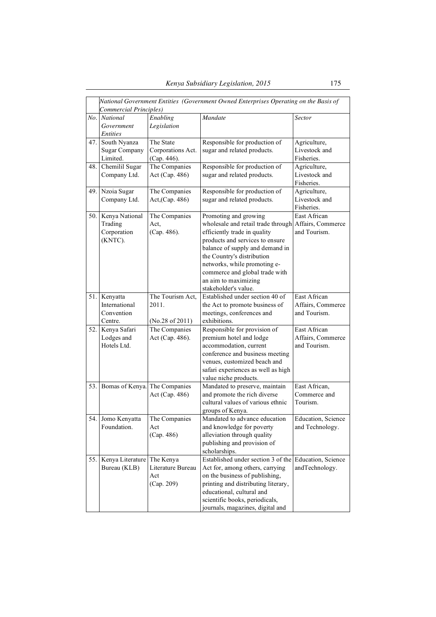|     | National Government Entities (Government Owned Enterprises Operating on the Basis of<br>Commercial Principles) |                   |                                                      |                    |  |
|-----|----------------------------------------------------------------------------------------------------------------|-------------------|------------------------------------------------------|--------------------|--|
| No. | <b>National</b>                                                                                                | Enabling          | Mandate                                              | Sector             |  |
|     | Government                                                                                                     | Legislation       |                                                      |                    |  |
|     | <b>Entities</b>                                                                                                |                   |                                                      |                    |  |
| 47. | South Nyanza                                                                                                   | The State         | Responsible for production of                        | Agriculture,       |  |
|     | <b>Sugar Company</b>                                                                                           | Corporations Act. | sugar and related products.                          | Livestock and      |  |
|     | Limited.                                                                                                       | (Cap. 446).       |                                                      | Fisheries.         |  |
| 48. | Chemilil Sugar                                                                                                 | The Companies     | Responsible for production of                        | Agriculture,       |  |
|     | Company Ltd.                                                                                                   | Act (Cap. 486)    | sugar and related products.                          | Livestock and      |  |
|     |                                                                                                                |                   |                                                      | Fisheries.         |  |
| 49. | Nzoia Sugar                                                                                                    | The Companies     | Responsible for production of                        | Agriculture,       |  |
|     | Company Ltd.                                                                                                   | Act, (Cap. 486)   | sugar and related products.                          | Livestock and      |  |
|     |                                                                                                                |                   |                                                      | Fisheries.         |  |
| 50. | Kenya National                                                                                                 | The Companies     | Promoting and growing                                | East African       |  |
|     | Trading                                                                                                        | Act,              | wholesale and retail trade through Affairs, Commerce |                    |  |
|     | Corporation                                                                                                    | (Cap. 486).       | efficiently trade in quality                         | and Tourism.       |  |
|     | (KNTC).                                                                                                        |                   | products and services to ensure                      |                    |  |
|     |                                                                                                                |                   | balance of supply and demand in                      |                    |  |
|     |                                                                                                                |                   | the Country's distribution                           |                    |  |
|     |                                                                                                                |                   | networks, while promoting e-                         |                    |  |
|     |                                                                                                                |                   | commerce and global trade with                       |                    |  |
|     |                                                                                                                |                   | an aim to maximizing                                 |                    |  |
|     |                                                                                                                |                   | stakeholder's value.                                 |                    |  |
| 51. | Kenyatta                                                                                                       | The Tourism Act,  | Established under section 40 of                      | East African       |  |
|     | International                                                                                                  | 2011.             | the Act to promote business of                       | Affairs, Commerce  |  |
|     | Convention                                                                                                     |                   | meetings, conferences and                            | and Tourism.       |  |
|     | Centre.                                                                                                        | (No.28 of 2011)   | exhibitions.                                         |                    |  |
| 52. | Kenya Safari                                                                                                   | The Companies     | Responsible for provision of                         | East African       |  |
|     | Lodges and                                                                                                     | Act (Cap. 486).   | premium hotel and lodge                              | Affairs, Commerce  |  |
|     | Hotels Ltd.                                                                                                    |                   | accommodation, current                               | and Tourism.       |  |
|     |                                                                                                                |                   | conference and business meeting                      |                    |  |
|     |                                                                                                                |                   | venues, customized beach and                         |                    |  |
|     |                                                                                                                |                   | safari experiences as well as high                   |                    |  |
|     |                                                                                                                |                   | value niche products.                                |                    |  |
| 53. | Bomas of Kenya. The Companies                                                                                  |                   | Mandated to preserve, maintain                       | East African,      |  |
|     |                                                                                                                | Act (Cap. 486)    | and promote the rich diverse                         | Commerce and       |  |
|     |                                                                                                                |                   | cultural values of various ethnic                    | Tourism.           |  |
|     |                                                                                                                |                   | groups of Kenya.                                     |                    |  |
|     | 54. Jomo Kenyatta                                                                                              | The Companies     | Mandated to advance education                        | Education, Science |  |
|     | Foundation.                                                                                                    | Act               | and knowledge for poverty                            | and Technology.    |  |
|     |                                                                                                                | (Cap. 486)        | alleviation through quality                          |                    |  |
|     |                                                                                                                |                   | publishing and provision of                          |                    |  |
|     |                                                                                                                |                   | scholarships.                                        |                    |  |
| 55. | Kenya Literature                                                                                               | The Kenya         | Established under section 3 of the                   | Education, Science |  |
|     | Bureau (KLB)                                                                                                   | Literature Bureau | Act for, among others, carrying                      | andTechnology.     |  |
|     |                                                                                                                | Act               | on the business of publishing,                       |                    |  |
|     |                                                                                                                | (Cap. 209)        | printing and distributing literary,                  |                    |  |
|     |                                                                                                                |                   | educational, cultural and                            |                    |  |
|     |                                                                                                                |                   | scientific books, periodicals,                       |                    |  |
|     |                                                                                                                |                   | journals, magazines, digital and                     |                    |  |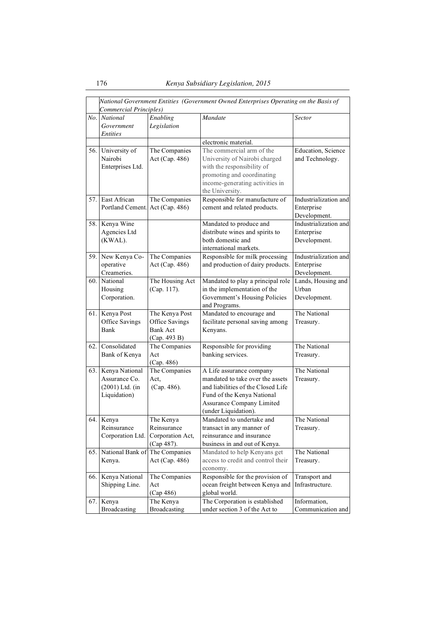|       | National Government Entities (Government Owned Enterprises Operating on the Basis of<br>Commercial Principles) |                                                                     |                                                                                                                                                                                              |                                                     |  |
|-------|----------------------------------------------------------------------------------------------------------------|---------------------------------------------------------------------|----------------------------------------------------------------------------------------------------------------------------------------------------------------------------------------------|-----------------------------------------------------|--|
|       | No. National<br>Government<br>Entities                                                                         | Enabling<br>Legislation                                             | Mandate                                                                                                                                                                                      | <b>Sector</b>                                       |  |
|       |                                                                                                                |                                                                     | electronic material.                                                                                                                                                                         |                                                     |  |
| 56.   | University of<br>Nairobi<br>Enterprises Ltd.                                                                   | The Companies<br>Act (Cap. 486)                                     | The commercial arm of the<br>University of Nairobi charged<br>with the responsibility of<br>promoting and coordinating<br>income-generating activities in<br>the University.                 | Education, Science<br>and Technology.               |  |
| 57.   | East African<br>Portland Cement.                                                                               | The Companies<br>Act (Cap. 486)                                     | Responsible for manufacture of<br>cement and related products.                                                                                                                               | Industrialization and<br>Enterprise<br>Development. |  |
| 58. I | Kenya Wine<br>Agencies Ltd<br>(KWAL).                                                                          |                                                                     | Mandated to produce and<br>distribute wines and spirits to<br>both domestic and<br>international markets.                                                                                    | Industrialization and<br>Enterprise<br>Development. |  |
| 59. I | New Kenya Co-<br>operative<br>Creameries.                                                                      | The Companies<br>Act (Cap. 486)                                     | Responsible for milk processing<br>and production of dairy products.                                                                                                                         | Industrialization and<br>Enterprise<br>Development. |  |
| 60.1  | National<br>Housing<br>Corporation.                                                                            | The Housing Act<br>(Cap. 117).                                      | Mandated to play a principal role<br>in the implementation of the<br>Government's Housing Policies<br>and Programs.                                                                          | Lands, Housing and<br>Urban<br>Development.         |  |
| 61. I | Kenya Post<br>Office Savings<br>Bank                                                                           | The Kenya Post<br>Office Savings<br><b>Bank Act</b><br>(Cap. 493 B) | Mandated to encourage and<br>facilitate personal saving among<br>Kenyans.                                                                                                                    | The National<br>Treasury.                           |  |
| 62.   | Consolidated<br>Bank of Kenya                                                                                  | The Companies<br>Act<br>(Cap. 486)                                  | Responsible for providing<br>banking services.                                                                                                                                               | The National<br>Treasury.                           |  |
| 63.1  | Kenya National<br>Assurance Co.<br>$(2001)$ Ltd. (in<br>Liquidation)                                           | The Companies<br>Act.<br>(Cap. 486).                                | A Life assurance company<br>mandated to take over the assets<br>and liabilities of the Closed Life<br>Fund of the Kenya National<br><b>Assurance Company Limited</b><br>(under Liquidation). | The National<br>Treasury.                           |  |
|       | 64. Kenya<br>Reinsurance<br>Corporation Ltd.                                                                   | The Kenya<br>Reinsurance<br>Corporation Act,<br>(Cap 487).          | Mandated to undertake and<br>transact in any manner of<br>reinsurance and insurance<br>business in and out of Kenya.                                                                         | The National<br>Treasury.                           |  |
| 65.   | National Bank of The Companies<br>Kenya.                                                                       | Act (Cap. 486)                                                      | Mandated to help Kenyans get<br>access to credit and control their<br>economy.                                                                                                               | The National<br>Treasury.                           |  |
| 66.   | Kenya National<br>Shipping Line.                                                                               | The Companies<br>Act<br>(Cap 486)                                   | Responsible for the provision of<br>ocean freight between Kenya and<br>global world.                                                                                                         | Transport and<br>Infrastructure.                    |  |
| 67.   | Kenya<br>Broadcasting                                                                                          | The Kenya<br>Broadcasting                                           | The Corporation is established<br>under section 3 of the Act to                                                                                                                              | Information,<br>Communication and                   |  |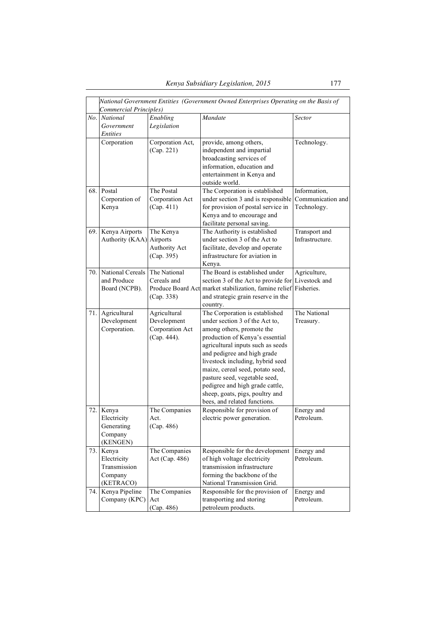|     | National Government Entities (Government Owned Enterprises Operating on the Basis of<br>Commercial Principles) |                                                               |                                                                                                                                                                                                                                                                                                                                                                                                                     |                                                  |  |
|-----|----------------------------------------------------------------------------------------------------------------|---------------------------------------------------------------|---------------------------------------------------------------------------------------------------------------------------------------------------------------------------------------------------------------------------------------------------------------------------------------------------------------------------------------------------------------------------------------------------------------------|--------------------------------------------------|--|
|     | No. National<br>Government<br><b>Entities</b>                                                                  | Enabling<br>Legislation                                       | Mandate                                                                                                                                                                                                                                                                                                                                                                                                             | Sector                                           |  |
|     | Corporation                                                                                                    | Corporation Act,<br>(Cap. 221)                                | provide, among others,<br>independent and impartial<br>broadcasting services of<br>information, education and<br>entertainment in Kenya and<br>outside world.                                                                                                                                                                                                                                                       | Technology.                                      |  |
| 68. | Postal<br>Corporation of<br>Kenya                                                                              | The Postal<br>Corporation Act<br>(Cap. 411)                   | The Corporation is established<br>under section 3 and is responsible<br>for provision of postal service in<br>Kenya and to encourage and<br>facilitate personal saving.                                                                                                                                                                                                                                             | Information,<br>Communication and<br>Technology. |  |
| 69. | Kenya Airports<br>Authority (KAA) Airports                                                                     | The Kenya<br><b>Authority Act</b><br>(Cap. 395)               | The Authority is established<br>under section 3 of the Act to<br>facilitate, develop and operate<br>infrastructure for aviation in<br>Kenva.                                                                                                                                                                                                                                                                        | Transport and<br>Infrastructure.                 |  |
| 70. | National Cereals<br>and Produce<br>Board (NCPB).                                                               | The National<br>Cereals and<br>(Cap. 338)                     | The Board is established under<br>section 3 of the Act to provide for<br>Produce Board Act market stabilization, famine relief<br>and strategic grain reserve in the<br>country.                                                                                                                                                                                                                                    | Agriculture,<br>Livestock and<br>Fisheries.      |  |
| 71. | Agricultural<br>Development<br>Corporation.                                                                    | Agricultural<br>Development<br>Corporation Act<br>(Cap. 444). | The Corporation is established<br>under section 3 of the Act to,<br>among others, promote the<br>production of Kenya's essential<br>agricultural inputs such as seeds<br>and pedigree and high grade<br>livestock including, hybrid seed<br>maize, cereal seed, potato seed,<br>pasture seed, vegetable seed,<br>pedigree and high grade cattle,<br>sheep, goats, pigs, poultry and<br>bees, and related functions. | The National<br>Treasury.                        |  |
| 72. | Kenya<br>Electricity<br>Generating<br>Company<br>(KENGEN)                                                      | The Companies<br>Act.<br>(Cap. 486)                           | Responsible for provision of<br>electric power generation.                                                                                                                                                                                                                                                                                                                                                          | Energy and<br>Petroleum.                         |  |
|     | 73. Kenya<br>Electricity<br>Transmission<br>Company<br>(KETRACO)                                               | The Companies<br>Act (Cap. 486)                               | Responsible for the development<br>of high voltage electricity<br>transmission infrastructure<br>forming the backbone of the<br>National Transmission Grid.                                                                                                                                                                                                                                                         | Energy and<br>Petroleum.                         |  |
| 74. | Kenya Pipeline<br>Company (KPC)                                                                                | The Companies<br>Act<br>(Cap. 486)                            | Responsible for the provision of<br>transporting and storing<br>petroleum products.                                                                                                                                                                                                                                                                                                                                 | Energy and<br>Petroleum.                         |  |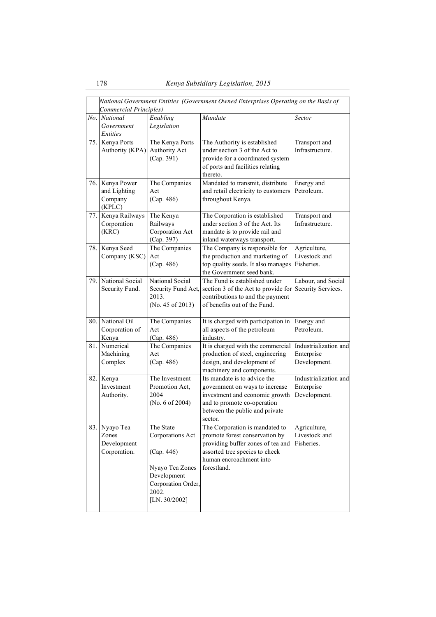|       | National Government Entities (Government Owned Enterprises Operating on the Basis of |                                   |                                                                   |                               |  |
|-------|--------------------------------------------------------------------------------------|-----------------------------------|-------------------------------------------------------------------|-------------------------------|--|
|       | Commercial Principles)<br>No. National                                               | Enabling                          | Mandate                                                           | <b>Sector</b>                 |  |
|       | Government                                                                           | Legislation                       |                                                                   |                               |  |
|       | <i>Entities</i>                                                                      |                                   |                                                                   |                               |  |
|       | 75. Kenya Ports                                                                      | The Kenya Ports                   | The Authority is established                                      | Transport and                 |  |
|       | Authority (KPA) Authority Act                                                        |                                   | under section 3 of the Act to                                     | Infrastructure.               |  |
|       |                                                                                      | (Cap. 391)                        | provide for a coordinated system                                  |                               |  |
|       |                                                                                      |                                   | of ports and facilities relating                                  |                               |  |
|       | Kenya Power                                                                          |                                   | thereto.<br>Mandated to transmit, distribute                      | Energy and                    |  |
| 76. I | and Lighting                                                                         | The Companies<br>Act              | and retail electricity to customers                               | Petroleum.                    |  |
|       | Company                                                                              | (Cap. 486)                        | throughout Kenya.                                                 |                               |  |
|       | (KPLC)                                                                               |                                   |                                                                   |                               |  |
| 77.   | Kenya Railways                                                                       | The Kenya                         | The Corporation is established                                    | Transport and                 |  |
|       | Corporation                                                                          | Railways                          | under section 3 of the Act. Its                                   | Infrastructure.               |  |
|       | (KRC)                                                                                | Corporation Act                   | mandate is to provide rail and                                    |                               |  |
|       |                                                                                      | (Cap. 397)                        | inland waterways transport.                                       |                               |  |
| 78.   | Kenya Seed<br>Company (KSC)                                                          | The Companies<br>Act              | The Company is responsible for<br>the production and marketing of | Agriculture,<br>Livestock and |  |
|       |                                                                                      | (Cap. 486)                        | top quality seeds. It also manages                                | Fisheries.                    |  |
|       |                                                                                      |                                   | the Government seed bank.                                         |                               |  |
| 79. I | National Social                                                                      | National Social                   | The Fund is established under                                     | Labour, and Social            |  |
|       | Security Fund.                                                                       | Security Fund Act,                | section 3 of the Act to provide for                               | Security Services.            |  |
|       |                                                                                      | 2013.                             | contributions to and the payment                                  |                               |  |
|       |                                                                                      | (No. 45 of 2013)                  | of benefits out of the Fund.                                      |                               |  |
|       | 80. National Oil                                                                     | The Companies                     | It is charged with participation in                               | Energy and                    |  |
|       | Corporation of                                                                       | Act                               | all aspects of the petroleum                                      | Petroleum.                    |  |
|       | Kenya                                                                                | (Cap. 486)                        | industry.                                                         |                               |  |
| 81.   | Numerical                                                                            | The Companies<br>Act              | It is charged with the commercial                                 | Industrialization and         |  |
|       | Machining<br>Complex                                                                 | (Cap. 486)                        | production of steel, engineering<br>design, and development of    | Enterprise<br>Development.    |  |
|       |                                                                                      |                                   | machinery and components.                                         |                               |  |
| 82.   | Kenya                                                                                | The Investment                    | Its mandate is to advice the                                      | Industrialization and         |  |
|       | Investment                                                                           | Promotion Act,                    | government on ways to increase                                    | Enterprise                    |  |
|       | Authority.                                                                           | 2004                              | investment and economic growth                                    | Development.                  |  |
|       |                                                                                      | (No. 6 of 2004)                   | and to promote co-operation                                       |                               |  |
|       |                                                                                      |                                   | between the public and private<br>sector.                         |                               |  |
|       | 83. Nyayo Tea                                                                        | The State                         | The Corporation is mandated to                                    | Agriculture,                  |  |
|       | Zones                                                                                | Corporations Act                  | promote forest conservation by                                    | Livestock and                 |  |
|       | Development                                                                          |                                   | providing buffer zones of tea and                                 | Fisheries.                    |  |
|       | Corporation.                                                                         | (Cap. 446)                        | assorted tree species to check                                    |                               |  |
|       |                                                                                      |                                   | human encroachment into                                           |                               |  |
|       |                                                                                      | Nyayo Tea Zones                   | forestland.                                                       |                               |  |
|       |                                                                                      | Development<br>Corporation Order, |                                                                   |                               |  |
|       |                                                                                      | 2002.                             |                                                                   |                               |  |
|       |                                                                                      | [LN. $30/2002$ ]                  |                                                                   |                               |  |
|       |                                                                                      |                                   |                                                                   |                               |  |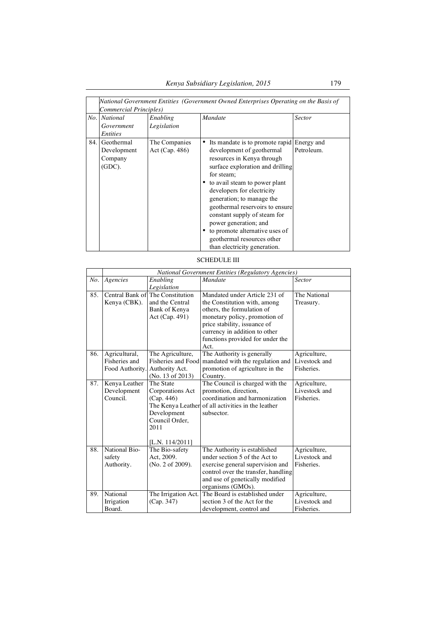|      | National Government Entities (Government Owned Enterprises Operating on the Basis of<br>Commercial Principles) |                                 |                                                                                                                                                                                                                                                                                                                                                                                                                                                   |            |  |
|------|----------------------------------------------------------------------------------------------------------------|---------------------------------|---------------------------------------------------------------------------------------------------------------------------------------------------------------------------------------------------------------------------------------------------------------------------------------------------------------------------------------------------------------------------------------------------------------------------------------------------|------------|--|
|      | No. National<br>Government<br>Entities                                                                         | Enabling<br>Legislation         | <b>Mandate</b>                                                                                                                                                                                                                                                                                                                                                                                                                                    | Sector     |  |
| 84.1 | Geothermal<br>Development<br>Company<br>(GDC).                                                                 | The Companies<br>Act (Cap. 486) | Its mandate is to promote rapid Energy and<br>development of geothermal<br>resources in Kenya through<br>surface exploration and drilling<br>for steam;<br>• to avail steam to power plant<br>developers for electricity<br>generation; to manage the<br>geothermal reservoirs to ensure<br>constant supply of steam for<br>power generation; and<br>to promote alternative uses of<br>geothermal resources other<br>than electricity generation. | Petroleum. |  |

## SCHEDULE III

|     | <b>National Government Entities (Regulatory Agencies)</b> |                                                                                                            |                                                                                                                                                                                                                                           |                                             |  |
|-----|-----------------------------------------------------------|------------------------------------------------------------------------------------------------------------|-------------------------------------------------------------------------------------------------------------------------------------------------------------------------------------------------------------------------------------------|---------------------------------------------|--|
| No. | Agencies                                                  | Enabling<br>Legislation                                                                                    | <b>Mandate</b>                                                                                                                                                                                                                            | <b>Sector</b>                               |  |
| 85. | Kenya (CBK).                                              | Central Bank of The Constitution<br>and the Central<br>Bank of Kenya<br>Act (Cap. 491)                     | Mandated under Article 231 of<br>the Constitution with, among<br>others, the formulation of<br>monetary policy, promotion of<br>price stability, issuance of<br>currency in addition to other<br>functions provided for under the<br>Act. | The National<br>Treasury.                   |  |
| 86. | Agricultural,<br>Fisheries and<br>Food Authority.         | The Agriculture,<br>Fisheries and Food<br>Authority Act.<br>(No. $13$ of $2013$ )                          | The Authority is generally<br>mandated with the regulation and<br>promotion of agriculture in the<br>Country.                                                                                                                             | Agriculture,<br>Livestock and<br>Fisheries. |  |
| 87. | Kenya Leather<br>Development<br>Council.                  | The State<br>Corporations Act<br>(Cap. 446)<br>Development<br>Council Order,<br>2011<br>[L.N. $114/2011$ ] | The Council is charged with the<br>promotion, direction,<br>coordination and harmonization<br>The Kenya Leather of all activities in the leather<br>subsector.                                                                            | Agriculture,<br>Livestock and<br>Fisheries. |  |
| 88. | National Bio-<br>safety<br>Authority.                     | The Bio-safety<br>Act, 2009.<br>(No. 2 of 2009).                                                           | The Authority is established<br>under section 5 of the Act to<br>exercise general supervision and<br>control over the transfer, handling<br>and use of genetically modified<br>organisms (GMOs).                                          | Agriculture,<br>Livestock and<br>Fisheries. |  |
| 89. | National<br>Irrigation<br>Board.                          | The Irrigation Act.<br>(Cap. 347)                                                                          | The Board is established under<br>section 3 of the Act for the<br>development, control and                                                                                                                                                | Agriculture,<br>Livestock and<br>Fisheries. |  |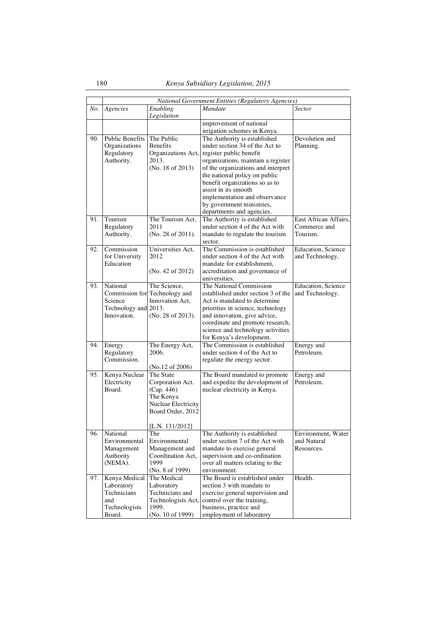|     | National Government Entities (Regulatory Agencies)                           |                                                                                                                                |                                                                                                                                                                                                                                                                                                                                                                                |                                                   |  |
|-----|------------------------------------------------------------------------------|--------------------------------------------------------------------------------------------------------------------------------|--------------------------------------------------------------------------------------------------------------------------------------------------------------------------------------------------------------------------------------------------------------------------------------------------------------------------------------------------------------------------------|---------------------------------------------------|--|
| No. | Agencies                                                                     | Enabling<br>Legislation                                                                                                        | <b>Mandate</b>                                                                                                                                                                                                                                                                                                                                                                 | Sector                                            |  |
|     |                                                                              |                                                                                                                                | improvement of national<br>irrigation schemes in Kenya.                                                                                                                                                                                                                                                                                                                        |                                                   |  |
| 90. | <b>Public Benefits</b><br>Organizations<br>Regulatory<br>Authority.          | The Public<br><b>Benefits</b><br>2013.<br>(No. 18 of 2013)                                                                     | The Authority is established<br>under section 34 of the Act to<br>Organizations Act, register public benefit<br>organizations, maintain a register<br>of the organizations and interpret<br>the national policy on public<br>benefit organizations so as to<br>assist in its smooth<br>implementation and observance<br>by government ministries,<br>departments and agencies. | Devolution and<br>Planning.                       |  |
| 91. | Tourism<br>Regulatory<br>Authority.                                          | The Tourism Act,<br>2011<br>(No. 28 of 2011).                                                                                  | The Authority is established<br>under section 4 of the Act with<br>mandate to regulate the tourism<br>sector.                                                                                                                                                                                                                                                                  | East African Affairs,<br>Commerce and<br>Tourism. |  |
| 92. | Commission<br>for University<br>Education                                    | Universities Act,<br>2012<br>(No. 42 of 2012)                                                                                  | The Commission is established<br>under section 4 of the Act with<br>mandate for establishment,<br>accreditation and governance of<br>universities.                                                                                                                                                                                                                             | Education, Science<br>and Technology.             |  |
| 93. | National<br>Science<br>Technology and 2013.<br>Innovation.                   | The Science,<br>Commission for Technology and<br>Innovation Act,<br>(No. 28 of 2013).                                          | The National Commission<br>established under section 3 of the<br>Act is mandated to determine<br>priorities in science, technology<br>and innovation, give advice,<br>coordinate and promote research,<br>science and technology activities<br>for Kenya's development.                                                                                                        | Education, Science<br>and Technology.             |  |
| 94. | Energy<br>Regulatory<br>Commission.                                          | The Energy Act,<br>2006.<br>(No.12 of 2006)                                                                                    | The Commission is established<br>under section 4 of the Act to<br>regulate the energy sector.                                                                                                                                                                                                                                                                                  | Energy and<br>Petroleum.                          |  |
| 95. | Kenya Nuclear<br>Electricity<br>Board.                                       | The State<br>Corporation Act.<br>(Cap. 446)<br>The Kenya<br><b>Nuclear Electricity</b><br>Board Order, 2012<br>[L.N. 131/2012] | The Board mandated to promote<br>and expedite the development of<br>nuclear electricity in Kenya.                                                                                                                                                                                                                                                                              | Energy and<br>Petroleum.                          |  |
| 96. | National<br>Environmental<br>Management<br>Authority<br>(NEMA).              | The<br>Environmental<br>Management and<br>Coordination Act,<br>1999<br>(No. 8 of 1999)                                         | The Authority is established<br>under section 7 of the Act with<br>mandate to exercise general<br>supervision and co-ordination<br>over all matters relating to the<br>environment.                                                                                                                                                                                            | Environment, Water<br>and Natural<br>Resources.   |  |
| 97. | Kenya Medical<br>Laboratory<br>Technicians<br>and<br>Technologists<br>Board. | The Medical<br>Laboratory<br>Technicians and<br>Technologists Act,<br>1999.<br>(No. 10 of 1999)                                | The Board is established under<br>section 3 with mandate to<br>exercise general supervision and<br>control over the training,<br>business, practice and<br>employment of laboratory                                                                                                                                                                                            | Health.                                           |  |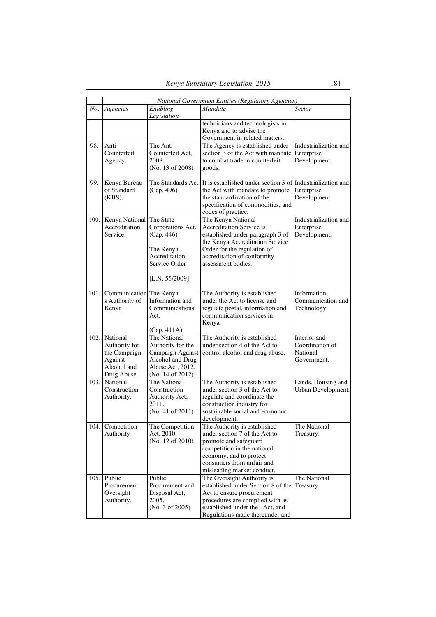|      | National Government Entities (Regulatory Agencies)                                     |                                                                                                                   |                                                                                                                                                                                                                  |                                                            |  |
|------|----------------------------------------------------------------------------------------|-------------------------------------------------------------------------------------------------------------------|------------------------------------------------------------------------------------------------------------------------------------------------------------------------------------------------------------------|------------------------------------------------------------|--|
|      | No. Agencies                                                                           | Enabling<br>Legislation                                                                                           | <b>Mandate</b>                                                                                                                                                                                                   | <b>Sector</b>                                              |  |
|      |                                                                                        |                                                                                                                   | technicians and technologists in<br>Kenya and to advise the<br>Government in related matters.                                                                                                                    |                                                            |  |
| 98.  | Anti-<br>Counterfeit<br>Agency.                                                        | The Anti-<br>Counterfeit Act,<br>2008.<br>(No. 13 of 2008)                                                        | The Agency is established under<br>section 3 of the Act with mandate<br>to combat trade in counterfeit<br>goods.                                                                                                 | Industrialization and<br>Enterprise<br>Development.        |  |
| 99.  | Kenya Bureau<br>of Standard<br>$(KBS)$ .                                               | The Standards Act.<br>(Cap. 496)                                                                                  | It is established under section 3 of Industrialization and<br>the Act with mandate to promote<br>the standardization of the<br>specification of commodities, and<br>codes of practice.                           | Enterprise<br>Development.                                 |  |
|      | 100. Kenya National<br>Accreditation<br>Service.                                       | The State<br>Corporations Act,<br>(Cap. 446)<br>The Kenya<br>Accreditation<br>Service Order<br>[L.N. $55/2009$ ]  | The Kenya National<br><b>Accreditation Service is</b><br>established under paragraph 3 of<br>the Kenya Accreditation Service<br>Order for the regulation of<br>accreditation of conformity<br>assessment bodies. | Industrialization and<br>Enterprise<br>Development.        |  |
| 101. | Communication The Kenya<br>s Authority of<br>Kenya                                     | Information and<br>Communications<br>Act.<br>(Cap. 411A)                                                          | The Authority is established<br>under the Act to license and<br>regulate postal, information and<br>communication services in<br>Kenya.                                                                          | Information,<br>Communication and<br>Technology.           |  |
|      | 102. National<br>Authority for<br>the Campaign<br>Against<br>Alcohol and<br>Drug Abuse | The National<br>Authority for the<br>Campaign Against<br>Alcohol and Drug<br>Abuse Act, 2012.<br>(No. 14 of 2012) | The Authority is established<br>under section 4 of the Act to<br>control alcohol and drug abuse.                                                                                                                 | Interior and<br>Coordination of<br>National<br>Government. |  |
|      | 103. National<br>Construction<br>Authority.                                            | The National<br>Construction<br>Authority Act,<br>2011.<br>(No. 41 of 2011)                                       | The Authority is established<br>under section 3 of the Act to<br>regulate and coordinate the<br>construction industry for<br>sustainable social and economic<br>development.                                     | Lands, Housing and<br>Urban Development.                   |  |
|      | 104. Competition<br>Authority                                                          | The Competition<br>Act, 2010.<br>(No. 12 of 2010)                                                                 | The Authority is established<br>under section 7 of the Act to<br>promote and safeguard<br>competition in the national<br>economy, and to protect<br>consumers from unfair and<br>misleading market conduct.      | The National<br>Treasury.                                  |  |
|      | $105.$ Public<br>Procurement<br>Oversight<br>Authority.                                | Public<br>Procurement and<br>Disposal Act,<br>2005.<br>(No. 3 of 2005)                                            | The Oversight Authority is<br>established under Section 8 of the<br>Act to ensure procurement<br>procedures are complied with as<br>established under the Act, and<br>Regulations made thereunder and            | The National<br>Treasury.                                  |  |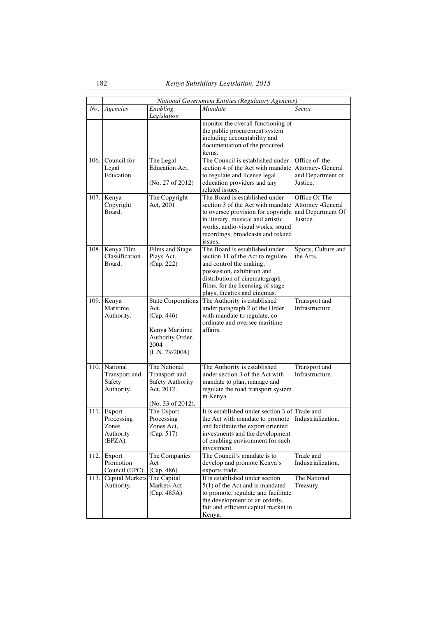|         |                                                        |                                                                                                                 | National Government Entities (Regulatory Agencies)                                                                                                                                                                                  |                                                                     |  |  |  |
|---------|--------------------------------------------------------|-----------------------------------------------------------------------------------------------------------------|-------------------------------------------------------------------------------------------------------------------------------------------------------------------------------------------------------------------------------------|---------------------------------------------------------------------|--|--|--|
| $N_o$ . | Agencies                                               | Enabling<br>Legislation                                                                                         | <b>Mandate</b>                                                                                                                                                                                                                      | <i>Sector</i>                                                       |  |  |  |
|         |                                                        |                                                                                                                 | monitor the overall functioning of<br>the public procurement system<br>including accountability and<br>documentation of the procured<br>items.                                                                                      |                                                                     |  |  |  |
|         | 106. Council for<br>Legal<br>Education                 | The Legal<br><b>Education Act.</b><br>(No. 27 of 2012)                                                          | The Council is established under<br>section 4 of the Act with mandate<br>to regulate and license legal<br>education providers and any<br>related issues.                                                                            | Office of the<br>Attorney- General<br>and Department of<br>Justice. |  |  |  |
|         | 107. Kenya<br>Copyright<br>Board.                      | The Copyright<br>Act, 2001                                                                                      | The Board is established under<br>section 3 of the Act with mandate<br>to oversee provision for copyright<br>in literary, musical and artistic<br>works, audio-visual works, sound<br>recordings, broadcasts and related<br>issues. | Office Of The<br>Attorney -General<br>and Department Of<br>Justice. |  |  |  |
|         | 108. Kenya Film<br>Classification<br>Board.            | Films and Stage<br>Plays Act.<br>(Cap. 222)                                                                     | The Board is established under<br>section 11 of the Act to regulate<br>and control the making,<br>possession, exhibition and<br>distribution of cinematograph<br>films, for the licensing of stage<br>plays, theatres and cinemas.  | Sports, Culture and<br>the Arts.                                    |  |  |  |
|         | 109. Kenya<br>Maritime<br>Authority.                   | <b>State Corporations</b><br>Act.<br>(Cap. 446)<br>Kenya Maritime<br>Authority Order,<br>2004<br>[L.N. 79/2004] | The Authority is established<br>under paragraph 2 of the Order<br>with mandate to regulate, co-<br>ordinate and oversee maritime<br>affairs.                                                                                        | Transport and<br>Infrastructure.                                    |  |  |  |
|         | 110. National<br>Transport and<br>Safety<br>Authority. | The National<br>Transport and<br><b>Safety Authority</b><br>Act, 2012.<br>(No. 33 of 2012).                     | The Authority is established<br>under section 3 of the Act with<br>mandate to plan, manage and<br>regulate the road transport system<br>in Kenya.                                                                                   | Transport and<br>Infrastructure.                                    |  |  |  |
| 111.    | Export<br>Processing<br>Zones<br>Authority<br>(EPZA).  | The Export<br>Processing<br>Zones Act,<br>(Cap. 517)                                                            | It is established under section 3 of Trade and<br>the Act with mandate to promote<br>and facilitate the export oriented<br>investments and the development<br>of enabling environment for such<br>investment.                       | Industrialization.                                                  |  |  |  |
| 112.    | Export<br>Promotion<br>Council (EPC).                  | The Companies<br>Act<br>(Cap. 486)                                                                              | The Council's mandate is to<br>develop and promote Kenya's<br>exports trade.                                                                                                                                                        | Trade and<br>Industrialization.                                     |  |  |  |
| 113.    | Capital Markets The Capital<br>Authority.              | Markets Act<br>(Cap. 485A)                                                                                      | It is established under section<br>$5(1)$ of the Act and is mandated<br>to promote, regulate and facilitate<br>the development of an orderly,<br>fair and efficient capital market in<br>Kenya.                                     | The National<br>Treasury.                                           |  |  |  |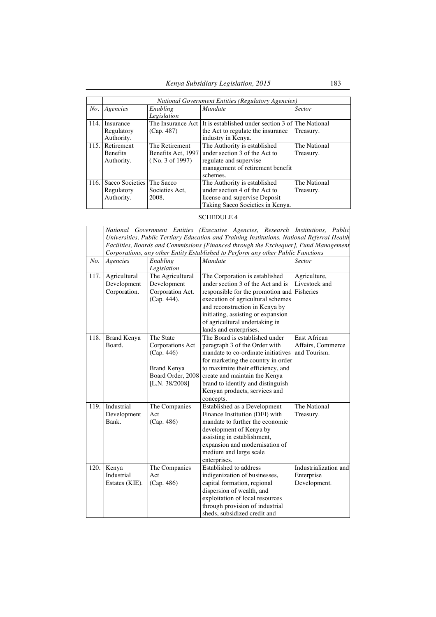|      | National Government Entities (Regulatory Agencies) |                       |                                                                     |               |  |
|------|----------------------------------------------------|-----------------------|---------------------------------------------------------------------|---------------|--|
| No.  | Agencies                                           | Enabling              | <b>Mandate</b>                                                      | <b>Sector</b> |  |
|      |                                                    | Legislation           |                                                                     |               |  |
| 114. | Insurance                                          |                       | The Insurance Act It is established under section 3 of The National |               |  |
|      | Regulatory                                         | (Cap. 487)            | the Act to regulate the insurance                                   | Treasury.     |  |
|      | Authority.                                         |                       | industry in Kenya.                                                  |               |  |
|      | 115. Retirement                                    | The Retirement        | The Authority is established                                        | The National  |  |
|      | <b>Benefits</b>                                    | Benefits Act, 1997    | under section 3 of the Act to                                       | Treasury.     |  |
|      | Authority.                                         | $($ No. 3 of 1997 $)$ | regulate and supervise                                              |               |  |
|      |                                                    |                       | management of retirement benefit                                    |               |  |
|      |                                                    |                       | schemes.                                                            |               |  |
| 116. | Sacco Societies The Sacco                          |                       | The Authority is established                                        | The National  |  |
|      | Regulatory                                         | Societies Act,        | under section 4 of the Act to                                       | Treasury.     |  |
|      | Authority.                                         | 2008.                 | license and supervise Deposit                                       |               |  |
|      |                                                    |                       | Taking Sacco Societies in Kenya.                                    |               |  |

### SCHEDULE 4

|      |                                                                                             |                    | National Government Entities (Executive Agencies, Research Institutions, Public      |                       |  |  |
|------|---------------------------------------------------------------------------------------------|--------------------|--------------------------------------------------------------------------------------|-----------------------|--|--|
|      | Universities, Public Tertiary Education and Training Institutions, National Referral Health |                    |                                                                                      |                       |  |  |
|      |                                                                                             |                    | Facilities, Boards and Commissions [Financed through the Exchequer], Fund Management |                       |  |  |
|      |                                                                                             |                    | Corporations, any other Entity Established to Perform any other Public Functions     |                       |  |  |
| No.  | Agencies                                                                                    | Enabling           | <b>Mandate</b>                                                                       | <b>Sector</b>         |  |  |
|      |                                                                                             | Legislation        |                                                                                      |                       |  |  |
| 117. | Agricultural                                                                                | The Agricultural   | The Corporation is established                                                       | Agriculture,          |  |  |
|      | Development                                                                                 | Development        | under section 3 of the Act and is                                                    | Livestock and         |  |  |
|      | Corporation.                                                                                | Corporation Act.   | responsible for the promotion and                                                    | Fisheries             |  |  |
|      |                                                                                             | (Cap. 444).        | execution of agricultural schemes                                                    |                       |  |  |
|      |                                                                                             |                    | and reconstruction in Kenya by                                                       |                       |  |  |
|      |                                                                                             |                    | initiating, assisting or expansion                                                   |                       |  |  |
|      |                                                                                             |                    | of agricultural undertaking in                                                       |                       |  |  |
|      |                                                                                             |                    | lands and enterprises.                                                               |                       |  |  |
| 118. | <b>Brand Kenya</b>                                                                          | The State          | The Board is established under                                                       | East African          |  |  |
|      | Board.                                                                                      | Corporations Act   | paragraph 3 of the Order with                                                        | Affairs, Commerce     |  |  |
|      |                                                                                             | (Cap. 446)         | mandate to co-ordinate initiatives                                                   | and Tourism.          |  |  |
|      |                                                                                             |                    | for marketing the country in order                                                   |                       |  |  |
|      |                                                                                             | <b>Brand Kenya</b> | to maximize their efficiency, and                                                    |                       |  |  |
|      |                                                                                             | Board Order, 2008  | create and maintain the Kenya                                                        |                       |  |  |
|      |                                                                                             | [L.N. $38/2008$ ]  | brand to identify and distinguish                                                    |                       |  |  |
|      |                                                                                             |                    | Kenyan products, services and                                                        |                       |  |  |
|      |                                                                                             |                    | concepts.                                                                            |                       |  |  |
| 119. | Industrial                                                                                  | The Companies      | Established as a Development                                                         | The National          |  |  |
|      | Development                                                                                 | Act                | Finance Institution (DFI) with                                                       | Treasury.             |  |  |
|      | Bank.                                                                                       | (Cap. 486)         | mandate to further the economic                                                      |                       |  |  |
|      |                                                                                             |                    | development of Kenya by                                                              |                       |  |  |
|      |                                                                                             |                    | assisting in establishment,                                                          |                       |  |  |
|      |                                                                                             |                    | expansion and modernisation of                                                       |                       |  |  |
|      |                                                                                             |                    | medium and large scale                                                               |                       |  |  |
|      |                                                                                             |                    | enterprises.                                                                         |                       |  |  |
| 120. | Kenya                                                                                       | The Companies      | Established to address                                                               | Industrialization and |  |  |
|      | Industrial                                                                                  | Act                | indigenization of businesses,                                                        | Enterprise            |  |  |
|      | Estates (KIE).                                                                              | (Cap. 486)         | capital formation, regional                                                          | Development.          |  |  |
|      |                                                                                             |                    | dispersion of wealth, and                                                            |                       |  |  |
|      |                                                                                             |                    | exploitation of local resources                                                      |                       |  |  |
|      |                                                                                             |                    | through provision of industrial                                                      |                       |  |  |
|      |                                                                                             |                    | sheds, subsidized credit and                                                         |                       |  |  |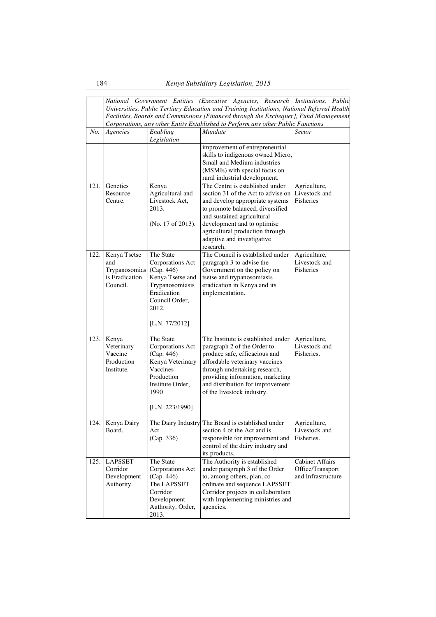|      |                                                                    |                                                                                                                                                          | National Government Entities (Executive Agencies, Research Institutions, Public<br>Universities, Public Tertiary Education and Training Institutions, National Referral Health<br>Facilities, Boards and Commissions [Financed through the Exchequer], Fund Management<br>Corporations, any other Entity Established to Perform any other Public Functions |                                                                  |
|------|--------------------------------------------------------------------|----------------------------------------------------------------------------------------------------------------------------------------------------------|------------------------------------------------------------------------------------------------------------------------------------------------------------------------------------------------------------------------------------------------------------------------------------------------------------------------------------------------------------|------------------------------------------------------------------|
| No.  | Agencies                                                           | Enabling<br>Legislation                                                                                                                                  | Mandate                                                                                                                                                                                                                                                                                                                                                    | <b>Sector</b>                                                    |
|      |                                                                    |                                                                                                                                                          | improvement of entrepreneurial<br>skills to indigenous owned Micro,<br>Small and Medium industries<br>(MSMIs) with special focus on<br>rural industrial development.                                                                                                                                                                                       |                                                                  |
| 121. | Genetics<br>Resource<br>Centre.                                    | Kenya<br>Agricultural and<br>Livestock Act,<br>2013.<br>(No. 17 of 2013).                                                                                | The Centre is established under<br>section 31 of the Act to advise on<br>and develop appropriate systems<br>to promote balanced, diversified<br>and sustained agricultural<br>development and to optimise<br>agricultural production through<br>adaptive and investigative<br>research.                                                                    | Agriculture,<br>Livestock and<br>Fisheries                       |
| 122. | Kenya Tsetse<br>and<br>Trypanosomias<br>is Eradication<br>Council. | The State<br><b>Corporations Act</b><br>(Cap. 446)<br>Kenya Tsetse and<br>Trypanosomiasis<br>Eradication<br>Council Order,<br>2012.<br>[L.N. $77/2012$ ] | The Council is established under<br>paragraph 3 to advise the<br>Government on the policy on<br>tsetse and trypanosomiasis<br>eradication in Kenya and its<br>implementation.                                                                                                                                                                              | Agriculture,<br>Livestock and<br>Fisheries                       |
| 123. | Kenya<br>Veterinary<br>Vaccine<br>Production<br>Institute.         | The State<br><b>Corporations Act</b><br>(Cap. 446)<br>Kenya Veterinary<br>Vaccines<br>Production<br>Institute Order,<br>1990<br>[L.N. 223/1990]          | The Institute is established under<br>paragraph 2 of the Order to<br>produce safe, efficacious and<br>affordable veterinary vaccines<br>through undertaking research,<br>providing information, marketing<br>and distribution for improvement<br>of the livestock industry.                                                                                | Agriculture,<br>Livestock and<br>Fisheries.                      |
|      | 124. Kenya Dairy<br>Board.                                         | Act<br>(Cap. 336)                                                                                                                                        | The Dairy Industry The Board is established under<br>section 4 of the Act and is<br>responsible for improvement and<br>control of the dairy industry and<br>its products.                                                                                                                                                                                  | Agriculture,<br>Livestock and<br>Fisheries.                      |
| 125. | <b>LAPSSET</b><br>Corridor<br>Development<br>Authority.            | The State<br>Corporations Act<br>(Cap. 446)<br>The LAPSSET<br>Corridor<br>Development<br>Authority, Order,<br>2013.                                      | The Authority is established<br>under paragraph 3 of the Order<br>to, among others, plan, co-<br>ordinate and sequence LAPSSET<br>Corridor projects in collaboration<br>with Implementing ministries and<br>agencies.                                                                                                                                      | <b>Cabinet Affairs</b><br>Office/Transport<br>and Infrastructure |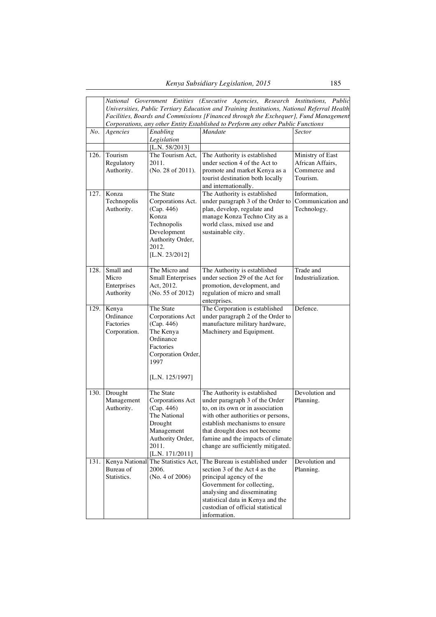|      |                                                 |                                                                                                                                                | National Government Entities (Executive Agencies, Research Institutions, Public<br>Universities, Public Tertiary Education and Training Institutions, National Referral Health<br>Facilities, Boards and Commissions [Financed through the Exchequer], Fund Management<br>Corporations, any other Entity Established to Perform any other Public Functions |                                                                  |
|------|-------------------------------------------------|------------------------------------------------------------------------------------------------------------------------------------------------|------------------------------------------------------------------------------------------------------------------------------------------------------------------------------------------------------------------------------------------------------------------------------------------------------------------------------------------------------------|------------------------------------------------------------------|
| No.  | Agencies                                        | Enabling<br>Legislation                                                                                                                        | Mandate                                                                                                                                                                                                                                                                                                                                                    | <b>Sector</b>                                                    |
|      |                                                 | [L.N. $58/2013$ ]                                                                                                                              |                                                                                                                                                                                                                                                                                                                                                            |                                                                  |
| 126. | Tourism<br>Regulatory<br>Authority.             | The Tourism Act,<br>2011.<br>(No. 28 of 2011).                                                                                                 | The Authority is established<br>under section 4 of the Act to<br>promote and market Kenya as a<br>tourist destination both locally<br>and internationally.                                                                                                                                                                                                 | Ministry of East<br>African Affairs,<br>Commerce and<br>Tourism. |
| 127. | Konza<br>Technopolis<br>Authority.              | The State<br>Corporations Act.<br>(Cap. 446)<br>Konza<br>Technopolis<br>Development<br>Authority Order,<br>2012.<br>[L.N. $23/2012$ ]          | The Authority is established<br>under paragraph 3 of the Order to<br>plan, develop, regulate and<br>manage Konza Techno City as a<br>world class, mixed use and<br>sustainable city.                                                                                                                                                                       | Information,<br>Communication and<br>Technology.                 |
| 128. | Small and<br>Micro<br>Enterprises<br>Authority  | The Micro and<br><b>Small Enterprises</b><br>Act, 2012.<br>(No. 55 of 2012)                                                                    | The Authority is established<br>under section 29 of the Act for<br>promotion, development, and<br>regulation of micro and small<br>enterprises.                                                                                                                                                                                                            | Trade and<br>Industrialization.                                  |
| 129. | Kenya<br>Ordinance<br>Factories<br>Corporation. | The State<br><b>Corporations Act</b><br>(Cap. 446)<br>The Kenya<br>Ordinance<br>Factories<br>Corporation Order,<br>1997<br>[L.N. 125/1997]     | The Corporation is established<br>under paragraph 2 of the Order to<br>manufacture military hardware,<br>Machinery and Equipment.                                                                                                                                                                                                                          | Defence.                                                         |
| 130. | Drought<br>Management<br>Authority.             | The State<br><b>Corporations Act</b><br>(Cap. 446)<br>The National<br>Drought<br>Management<br>Authority Order,<br>2011.<br>[L.N. $171/2011$ ] | The Authority is established<br>under paragraph 3 of the Order<br>to, on its own or in association<br>with other authorities or persons,<br>establish mechanisms to ensure<br>that drought does not become<br>famine and the impacts of climate<br>change are sufficiently mitigated.                                                                      | Devolution and<br>Planning.                                      |
| 131. | Bureau of<br>Statistics.                        | Kenya National The Statistics Act,<br>2006.<br>(No. 4 of 2006)                                                                                 | The Bureau is established under<br>section 3 of the Act 4 as the<br>principal agency of the<br>Government for collecting,<br>analysing and disseminating<br>statistical data in Kenya and the<br>custodian of official statistical<br>information.                                                                                                         | Devolution and<br>Planning.                                      |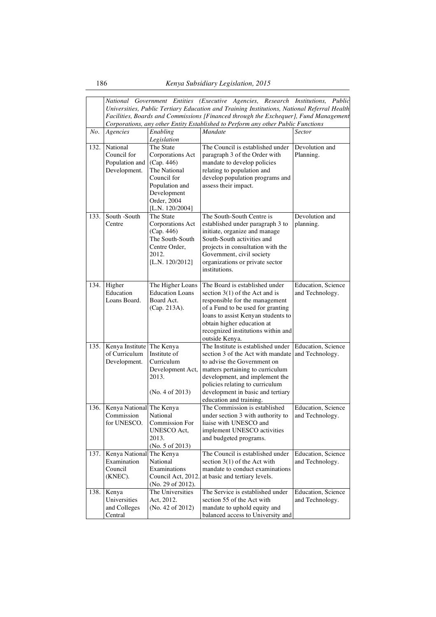|      | National Government Entities (Executive Agencies, Research Institutions, Public<br>Universities, Public Tertiary Education and Training Institutions, National Referral Health<br>Facilities, Boards and Commissions [Financed through the Exchequer], Fund Management<br>Corporations, any other Entity Established to Perform any other Public Functions |                                                                                                                                                      |                                                                                                                                                                                                                                                                                 |                                               |  |
|------|------------------------------------------------------------------------------------------------------------------------------------------------------------------------------------------------------------------------------------------------------------------------------------------------------------------------------------------------------------|------------------------------------------------------------------------------------------------------------------------------------------------------|---------------------------------------------------------------------------------------------------------------------------------------------------------------------------------------------------------------------------------------------------------------------------------|-----------------------------------------------|--|
| No.  | Agencies                                                                                                                                                                                                                                                                                                                                                   | Enabling<br>Legislation                                                                                                                              | Mandate                                                                                                                                                                                                                                                                         | <b>Sector</b>                                 |  |
| 132. | National<br>Council for<br>Population and<br>Development.                                                                                                                                                                                                                                                                                                  | The State<br><b>Corporations Act</b><br>(Cap. 446)<br>The National<br>Council for<br>Population and<br>Development<br>Order, 2004<br>[L.N. 120/2004] | The Council is established under<br>paragraph 3 of the Order with<br>mandate to develop policies<br>relating to population and<br>develop population programs and<br>assess their impact.                                                                                       | Devolution and<br>Planning.                   |  |
| 133. | South -South<br>Centre                                                                                                                                                                                                                                                                                                                                     | The State<br><b>Corporations Act</b><br>(Cap. 446)<br>The South-South<br>Centre Order.<br>2012.<br>[L.N. $120/2012$ ]                                | The South-South Centre is<br>established under paragraph 3 to<br>initiate, organize and manage<br>South-South activities and<br>projects in consultation with the<br>Government, civil society<br>organizations or private sector<br>institutions.                              | Devolution and<br>planning.                   |  |
| 134. | Higher<br>Education<br>Loans Board.                                                                                                                                                                                                                                                                                                                        | The Higher Loans<br><b>Education Loans</b><br>Board Act.<br>(Cap. 213A).                                                                             | The Board is established under<br>section $3(1)$ of the Act and is<br>responsible for the management<br>of a Fund to be used for granting<br>loans to assist Kenyan students to<br>obtain higher education at<br>recognized institutions within and<br>outside Kenya.           | <b>Education</b> , Science<br>and Technology. |  |
| 135. | Kenya Institute The Kenya<br>of Curriculum<br>Development.                                                                                                                                                                                                                                                                                                 | Institute of<br>Curriculum<br>Development Act,<br>2013.<br>(No. 4 of 2013)                                                                           | The Institute is established under<br>section 3 of the Act with mandate<br>to advise the Government on<br>matters pertaining to curriculum<br>development, and implement the<br>policies relating to curriculum<br>development in basic and tertiary<br>education and training. | Education, Science<br>and Technology.         |  |
| 136. | Kenya National The Kenya<br>Commission<br>for UNESCO.                                                                                                                                                                                                                                                                                                      | National<br><b>Commission For</b><br>UNESCO Act,<br>2013.<br>(No. 5 of 2013)                                                                         | The Commission is established<br>under section 3 with authority to<br>liaise with UNESCO and<br>implement UNESCO activities<br>and budgeted programs.                                                                                                                           | Education, Science<br>and Technology.         |  |
| 137. | Kenya National<br>Examination<br>Council<br>(KNEC).                                                                                                                                                                                                                                                                                                        | The Kenya<br>National<br>Examinations<br>Council Act, 2012<br>(No. 29 of 2012).                                                                      | The Council is established under<br>section $3(1)$ of the Act with<br>mandate to conduct examinations<br>at basic and tertiary levels.                                                                                                                                          | Education, Science<br>and Technology.         |  |
| 138. | Kenya<br>Universities<br>and Colleges<br>Central                                                                                                                                                                                                                                                                                                           | The Universities<br>Act, 2012.<br>(No. 42 of 2012)                                                                                                   | The Service is established under<br>section 55 of the Act with<br>mandate to uphold equity and<br>balanced access to University and                                                                                                                                             | Education, Science<br>and Technology.         |  |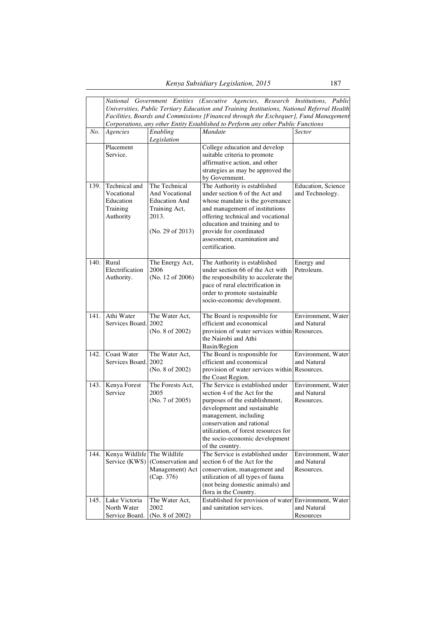|      |                                                                                      |                                   | National Government Entities (Executive Agencies, Research Institutions, Public             |                            |  |  |
|------|--------------------------------------------------------------------------------------|-----------------------------------|---------------------------------------------------------------------------------------------|----------------------------|--|--|
|      |                                                                                      |                                   | Universities, Public Tertiary Education and Training Institutions, National Referral Health |                            |  |  |
|      | Facilities, Boards and Commissions [Financed through the Exchequer], Fund Management |                                   |                                                                                             |                            |  |  |
|      |                                                                                      |                                   | Corporations, any other Entity Established to Perform any other Public Functions            |                            |  |  |
| No.  | Agencies                                                                             | $\overline{E}$ nabling            | $\overline{M}$ andate                                                                       | Sector                     |  |  |
|      |                                                                                      | Legislation                       |                                                                                             |                            |  |  |
|      | Placement                                                                            |                                   | College education and develop                                                               |                            |  |  |
|      | Service.                                                                             |                                   | suitable criteria to promote                                                                |                            |  |  |
|      |                                                                                      |                                   | affirmative action, and other                                                               |                            |  |  |
|      |                                                                                      |                                   | strategies as may be approved the                                                           |                            |  |  |
|      |                                                                                      |                                   | by Government.                                                                              |                            |  |  |
| 139. | Technical and                                                                        | The Technical                     | The Authority is established                                                                | <b>Education</b> , Science |  |  |
|      | Vocational                                                                           | And Vocational                    | under section 6 of the Act and                                                              | and Technology.            |  |  |
|      | Education                                                                            | <b>Education And</b>              | whose mandate is the governance                                                             |                            |  |  |
|      | Training                                                                             | Training Act,                     | and management of institutions                                                              |                            |  |  |
|      | Authority                                                                            | 2013.                             | offering technical and vocational                                                           |                            |  |  |
|      |                                                                                      |                                   | education and training and to                                                               |                            |  |  |
|      |                                                                                      | (No. 29 of 2013)                  | provide for coordinated                                                                     |                            |  |  |
|      |                                                                                      |                                   | assessment, examination and                                                                 |                            |  |  |
|      |                                                                                      |                                   | certification.                                                                              |                            |  |  |
|      |                                                                                      |                                   |                                                                                             |                            |  |  |
| 140. | Rural                                                                                | The Energy Act,                   | The Authority is established                                                                | Energy and                 |  |  |
|      | Electrification                                                                      | 2006                              | under section 66 of the Act with                                                            | Petroleum.                 |  |  |
|      | Authority.                                                                           | (No. 12 of 2006)                  | the responsibility to accelerate the                                                        |                            |  |  |
|      |                                                                                      |                                   | pace of rural electrification in                                                            |                            |  |  |
|      |                                                                                      |                                   | order to promote sustainable                                                                |                            |  |  |
|      |                                                                                      |                                   | socio-economic development.                                                                 |                            |  |  |
| 141. | Athi Water                                                                           | The Water Act,                    | The Board is responsible for                                                                | Environment, Water         |  |  |
|      | Services Board. 2002                                                                 |                                   | efficient and economical                                                                    | and Natural                |  |  |
|      |                                                                                      | (No. 8 of 2002)                   | provision of water services within Resources.                                               |                            |  |  |
|      |                                                                                      |                                   | the Nairobi and Athi                                                                        |                            |  |  |
|      |                                                                                      |                                   | Basin/Region                                                                                |                            |  |  |
| 142. | Coast Water                                                                          | The Water Act,                    | The Board is responsible for                                                                | Environment, Water         |  |  |
|      | Services Board. 2002                                                                 |                                   | efficient and economical                                                                    | and Natural                |  |  |
|      |                                                                                      | (No. 8 of 2002)                   | provision of water services within                                                          | Resources.                 |  |  |
|      |                                                                                      |                                   | the Coast Region.                                                                           |                            |  |  |
| 143. | Kenya Forest                                                                         | The Forests Act,                  | The Service is established under                                                            | Environment, Water         |  |  |
|      | Service                                                                              | 2005                              | section 4 of the Act for the                                                                | and Natural                |  |  |
|      |                                                                                      | (No. 7 of 2005)                   | purposes of the establishment,                                                              | Resources.                 |  |  |
|      |                                                                                      |                                   | development and sustainable                                                                 |                            |  |  |
|      |                                                                                      |                                   | management, including                                                                       |                            |  |  |
|      |                                                                                      |                                   | conservation and rational                                                                   |                            |  |  |
|      |                                                                                      |                                   | utilization, of forest resources for                                                        |                            |  |  |
|      |                                                                                      |                                   | the socio-economic development                                                              |                            |  |  |
|      |                                                                                      |                                   | of the country.                                                                             |                            |  |  |
| 144. | Kenya Wildlife The Wildlife                                                          |                                   | The Service is established under                                                            | Environment, Water         |  |  |
|      |                                                                                      | Service $(KWS)$ (Conservation and | section 6 of the Act for the                                                                | and Natural                |  |  |
|      |                                                                                      | Management) Act                   | conservation, management and                                                                | Resources.                 |  |  |
|      |                                                                                      | (Cap. 376)                        | utilization of all types of fauna                                                           |                            |  |  |
|      |                                                                                      |                                   | (not being domestic animals) and                                                            |                            |  |  |
| 145. | Lake Victoria                                                                        | The Water Act,                    | flora in the Country.<br>Established for provision of water                                 | Environment, Water         |  |  |
|      | North Water                                                                          | 2002                              | and sanitation services.                                                                    | and Natural                |  |  |
|      | Service Board.                                                                       | (No. 8 of 2002)                   |                                                                                             | Resources                  |  |  |
|      |                                                                                      |                                   |                                                                                             |                            |  |  |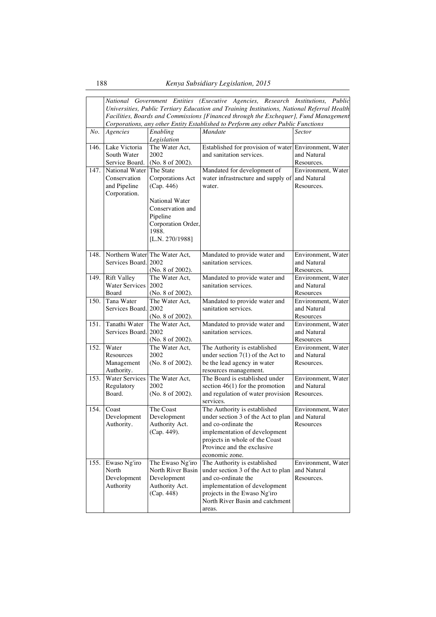|      |                                                                |                                                                                                                                                        | National Government Entities (Executive Agencies, Research Institutions, Public<br>Universities, Public Tertiary Education and Training Institutions, National Referral Health<br>Facilities, Boards and Commissions [Financed through the Exchequer], Fund Management<br>Corporations, any other Entity Established to Perform any other Public Functions |                                                 |
|------|----------------------------------------------------------------|--------------------------------------------------------------------------------------------------------------------------------------------------------|------------------------------------------------------------------------------------------------------------------------------------------------------------------------------------------------------------------------------------------------------------------------------------------------------------------------------------------------------------|-------------------------------------------------|
| No.  | Agencies                                                       | Enabling<br>Legislation                                                                                                                                | Mandate                                                                                                                                                                                                                                                                                                                                                    | Sector                                          |
| 146. | Lake Victoria<br>South Water<br>Service Board.                 | The Water Act,<br>2002<br>(No. 8 of 2002).                                                                                                             | Established for provision of water Environment, Water<br>and sanitation services.                                                                                                                                                                                                                                                                          | and Natural<br>Resources.                       |
| 147. | National Water<br>Conservation<br>and Pipeline<br>Corporation. | The State<br>Corporations Act<br>(Cap. 446)<br><b>National Water</b><br>Conservation and<br>Pipeline<br>Corporation Order,<br>1988.<br>[L.N. 270/1988] | Mandated for development of<br>water infrastructure and supply of and Natural<br>water.                                                                                                                                                                                                                                                                    | Environment, Water<br>Resources.                |
| 148. | Services Board. 2002                                           | Northern Water The Water Act,<br>(No. 8 of 2002).                                                                                                      | Mandated to provide water and<br>sanitation services.                                                                                                                                                                                                                                                                                                      | Environment, Water<br>and Natural<br>Resources. |
| 149. | <b>Rift Valley</b><br><b>Water Services</b><br>Board           | The Water Act,<br>2002<br>(No. 8 of 2002).                                                                                                             | Mandated to provide water and<br>sanitation services.                                                                                                                                                                                                                                                                                                      | Environment, Water<br>and Natural<br>Resources  |
| 150. | Tana Water<br>Services Board.                                  | The Water Act,<br>2002<br>(No. 8 of 2002).                                                                                                             | Mandated to provide water and<br>sanitation services.                                                                                                                                                                                                                                                                                                      | Environment, Water<br>and Natural<br>Resources  |
| 151. | Tanathi Water<br>Services Board. 2002                          | The Water Act,<br>(No. 8 of 2002).                                                                                                                     | Mandated to provide water and<br>sanitation services.                                                                                                                                                                                                                                                                                                      | Environment, Water<br>and Natural<br>Resources  |
| 152. | Water<br>Resources<br>Management<br>Authority.                 | The Water Act,<br>2002<br>(No. 8 of 2002).                                                                                                             | The Authority is established<br>under section 7(1) of the Act to<br>be the lead agency in water<br>resources management.                                                                                                                                                                                                                                   | Environment, Water<br>and Natural<br>Resources. |
| 153. | <b>Water Services</b><br>Regulatory<br>Board.                  | The Water Act,<br>2002<br>(No. 8 of 2002).                                                                                                             | The Board is established under<br>section $46(1)$ for the promotion<br>and regulation of water provision<br>services.                                                                                                                                                                                                                                      | Environment, Water<br>and Natural<br>Resources. |
| 154. | Coast<br>Development<br>Authority.                             | The Coast<br>Development<br>Authority Act.<br>(Cap. 449).                                                                                              | The Authority is established<br>under section 3 of the Act to plan<br>and co-ordinate the<br>implementation of development<br>projects in whole of the Coast<br>Province and the exclusive<br>economic zone.                                                                                                                                               | Environment, Water<br>and Natural<br>Resources  |
| 155. | Ewaso Ng'iro<br>North<br>Development<br>Authority              | The Ewaso Ng'iro<br>North River Basin<br>Development<br>Authority Act.<br>(Cap. 448)                                                                   | The Authority is established<br>under section 3 of the Act to plan<br>and co-ordinate the<br>implementation of development<br>projects in the Ewaso Ng'iro<br>North River Basin and catchment<br>areas.                                                                                                                                                    | Environment, Water<br>and Natural<br>Resources. |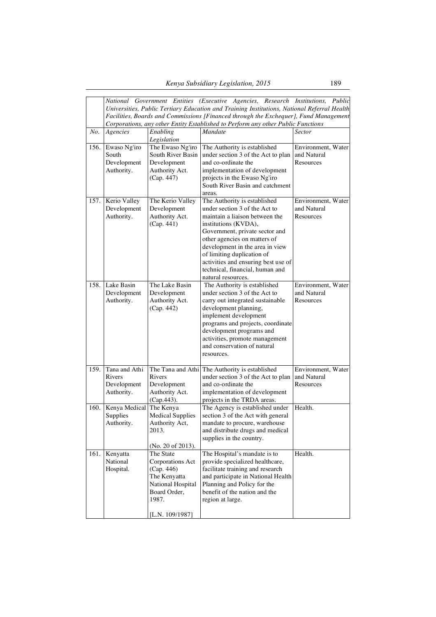|      | National Government Entities (Executive Agencies, Research Institutions, Public<br>Universities, Public Tertiary Education and Training Institutions, National Referral Health<br>Facilities, Boards and Commissions [Financed through the Exchequer], Fund Management<br>Corporations, any other Entity Established to Perform any other Public Functions |                                                                                                                              |                                                                                                                                                                                                                                                                                                                                                            |                                                |  |
|------|------------------------------------------------------------------------------------------------------------------------------------------------------------------------------------------------------------------------------------------------------------------------------------------------------------------------------------------------------------|------------------------------------------------------------------------------------------------------------------------------|------------------------------------------------------------------------------------------------------------------------------------------------------------------------------------------------------------------------------------------------------------------------------------------------------------------------------------------------------------|------------------------------------------------|--|
| No.  | Agencies                                                                                                                                                                                                                                                                                                                                                   | Enabling<br>Legislation                                                                                                      | Mandate                                                                                                                                                                                                                                                                                                                                                    | <b>Sector</b>                                  |  |
| 156. | Ewaso Ng'iro<br>South<br>Development<br>Authority.                                                                                                                                                                                                                                                                                                         | The Ewaso Ng'iro<br>South River Basin<br>Development<br>Authority Act.<br>(Cap. 447)                                         | The Authority is established<br>under section 3 of the Act to plan<br>and co-ordinate the<br>implementation of development<br>projects in the Ewaso Ng'iro<br>South River Basin and catchment<br>areas.                                                                                                                                                    | Environment, Water<br>and Natural<br>Resources |  |
| 157. | Kerio Valley<br>Development<br>Authority.                                                                                                                                                                                                                                                                                                                  | The Kerio Valley<br>Development<br>Authority Act.<br>(Cap. 441)                                                              | The Authority is established<br>under section 3 of the Act to<br>maintain a liaison between the<br>institutions (KVDA),<br>Government, private sector and<br>other agencies on matters of<br>development in the area in view<br>of limiting duplication of<br>activities and ensuring best use of<br>technical, financial, human and<br>natural resources. | Environment, Water<br>and Natural<br>Resources |  |
| 158. | Lake Basin<br>Development<br>Authority.                                                                                                                                                                                                                                                                                                                    | The Lake Basin<br>Development<br>Authority Act.<br>(Cap. 442)                                                                | The Authority is established<br>under section 3 of the Act to<br>carry out integrated sustainable<br>development planning,<br>implement development<br>programs and projects, coordinate<br>development programs and<br>activities, promote management<br>and conservation of natural<br>resources.                                                        | Environment, Water<br>and Natural<br>Resources |  |
| 159. | Tana and Athi<br>Rivers<br>Development<br>Authority.                                                                                                                                                                                                                                                                                                       | Rivers<br>Development<br>Authority Act.<br>(Cap. 443).                                                                       | The Tana and Athi The Authority is established<br>under section 3 of the Act to plan<br>and co-ordinate the<br>implementation of development<br>projects in the TRDA areas.                                                                                                                                                                                | Environment, Water<br>and Natural<br>Resources |  |
| 160. | Kenya Medical The Kenya<br>Supplies<br>Authority.                                                                                                                                                                                                                                                                                                          | <b>Medical Supplies</b><br>Authority Act,<br>2013.<br>(No. 20 of 2013).                                                      | The Agency is established under<br>section 3 of the Act with general<br>mandate to procure, warehouse<br>and distribute drugs and medical<br>supplies in the country.                                                                                                                                                                                      | Health.                                        |  |
| 161. | Kenyatta<br>National<br>Hospital.                                                                                                                                                                                                                                                                                                                          | The State<br>Corporations Act<br>(Cap. 446)<br>The Kenyatta<br>National Hospital<br>Board Order,<br>1987.<br>[L.N. 109/1987] | The Hospital's mandate is to<br>provide specialized healthcare,<br>facilitate training and research<br>and participate in National Health<br>Planning and Policy for the<br>benefit of the nation and the<br>region at large.                                                                                                                              | Health.                                        |  |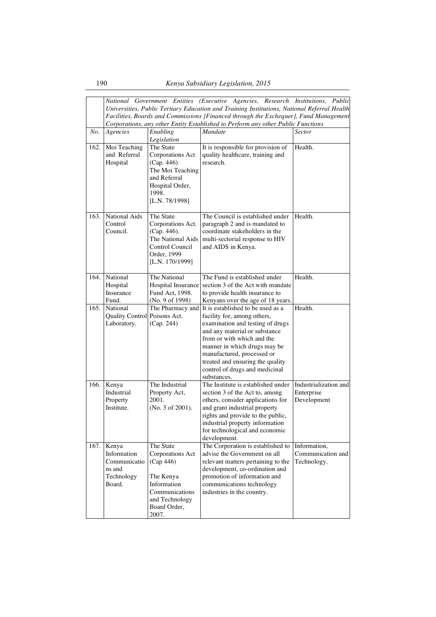|      |                                                                        |                                                                                                                                     | National Government Entities (Executive Agencies, Research Institutions, Public<br>Universities, Public Tertiary Education and Training Institutions, National Referral Health<br>Facilities, Boards and Commissions [Financed through the Exchequer], Fund Management<br>Corporations, any other Entity Established to Perform any other Public Functions |                                                    |
|------|------------------------------------------------------------------------|-------------------------------------------------------------------------------------------------------------------------------------|------------------------------------------------------------------------------------------------------------------------------------------------------------------------------------------------------------------------------------------------------------------------------------------------------------------------------------------------------------|----------------------------------------------------|
| No.  | Agencies                                                               | Enabling<br>Legislation                                                                                                             | Mandate                                                                                                                                                                                                                                                                                                                                                    | <b>Sector</b>                                      |
| 162. | Moi Teaching<br>and Referral<br>Hospital                               | The State<br>Corporations Act<br>(Cap. 446)<br>The Moi Teaching<br>and Referral<br>Hospital Order,<br>1998.<br>[L.N. 78/1998]       | It is responsible for provision of<br>quality healthcare, training and<br>research.                                                                                                                                                                                                                                                                        | Health.                                            |
| 163. | National Aids<br>Control<br>Council.                                   | The State<br>Corporations Act.<br>(Cap. 446).<br>The National Aids<br>Control Council<br>Order, 1999<br>[L.N. 170/1999]             | The Council is established under<br>paragraph 2 and is mandated to<br>coordinate stakeholders in the<br>multi-sectorial response to HIV<br>and AIDS in Kenya.                                                                                                                                                                                              | Health.                                            |
| 164. | National<br>Hospital<br>Insurance<br>Fund.                             | The National<br>Hospital Insurance<br>Fund Act, 1998.<br>(No. 9 of 1998)                                                            | The Fund is established under<br>section 3 of the Act with mandate<br>to provide health insurance to<br>Kenyans over the age of 18 years.                                                                                                                                                                                                                  | Health.                                            |
| 165. | National<br>Quality Control Poisons Act.<br>Laboratory.                | The Pharmacy and<br>(Cap. 244)                                                                                                      | It is established to be used as a<br>facility for, among others,<br>examination and testing of drugs<br>and any material or substance<br>from or with which and the<br>manner in which drugs may be<br>manufactured, processed or<br>treated and ensuring the quality<br>control of drugs and medicinal<br>substances.                                     | Health.                                            |
| 166. | Kenya<br>Industrial<br>Property<br>Institute.                          | The Industrial<br>Property Act,<br>2001.<br>(No. 3 of 2001).                                                                        | The Institute is established under<br>section 3 of the Act to, among<br>others, consider applications for<br>and grant industrial property<br>rights and provide to the public,<br>industrial property information<br>for technological and economic<br>development.                                                                                       | Industrialization and<br>Enterprise<br>Development |
| 167. | Kenya<br>Information<br>Communicatio<br>ns and<br>Technology<br>Board. | The State<br>Corporations Act<br>(Cap 446)<br>The Kenya<br>Information<br>Communications<br>and Technology<br>Board Order,<br>2007. | The Corporation is established to<br>advise the Government on all<br>relevant matters pertaining to the<br>development, co-ordination and<br>promotion of information and<br>communications technology<br>industries in the country.                                                                                                                       | Information,<br>Communication and<br>Technology.   |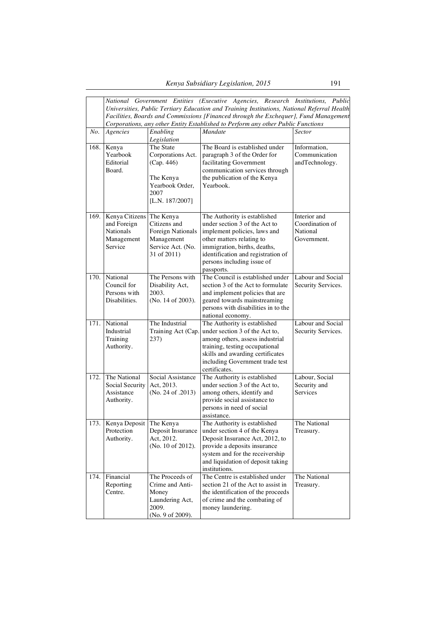|      |                                                                     |                                                                                                  | National Government Entities (Executive Agencies, Research Institutions, Public<br>Universities, Public Tertiary Education and Training Institutions, National Referral Health                                                               |                                                 |
|------|---------------------------------------------------------------------|--------------------------------------------------------------------------------------------------|----------------------------------------------------------------------------------------------------------------------------------------------------------------------------------------------------------------------------------------------|-------------------------------------------------|
|      |                                                                     |                                                                                                  | Facilities, Boards and Commissions [Financed through the Exchequer], Fund Management                                                                                                                                                         |                                                 |
|      |                                                                     |                                                                                                  | Corporations, any other Entity Established to Perform any other Public Functions                                                                                                                                                             |                                                 |
| No.  | Agencies                                                            | Enabling<br>Legislation                                                                          | Mandate                                                                                                                                                                                                                                      | <b>Sector</b>                                   |
| 168. | Kenya<br>Yearbook<br>Editorial<br>Board.                            | The State<br>Corporations Act.<br>(Cap. 446)<br>The Kenya                                        | The Board is established under<br>paragraph 3 of the Order for<br>facilitating Government<br>communication services through<br>the publication of the Kenya                                                                                  | Information,<br>Communication<br>andTechnology. |
| 169. |                                                                     | Yearbook Order,<br>2007<br>[L.N. 187/2007]                                                       | Yearbook.                                                                                                                                                                                                                                    | Interior and                                    |
|      | Kenya Citizens<br>and Foreign<br>Nationals<br>Management<br>Service | The Kenya<br>Citizens and<br>Foreign Nationals<br>Management<br>Service Act. (No.<br>31 of 2011) | The Authority is established<br>under section 3 of the Act to<br>implement policies, laws and<br>other matters relating to<br>immigration, births, deaths,<br>identification and registration of<br>persons including issue of<br>passports. | Coordination of<br>National<br>Government.      |
| 170. | National<br>Council for<br>Persons with<br>Disabilities.            | The Persons with<br>Disability Act,<br>2003.<br>(No. 14 of 2003).                                | The Council is established under<br>section 3 of the Act to formulate<br>and implement policies that are<br>geared towards mainstreaming<br>persons with disabilities in to the<br>national economy.                                         | Labour and Social<br>Security Services.         |
| 171. | National<br>Industrial<br>Training<br>Authority.                    | The Industrial<br>Training Act (Cap.<br>237)                                                     | The Authority is established<br>under section 3 of the Act to,<br>among others, assess industrial<br>training, testing occupational<br>skills and awarding certificates<br>including Government trade test<br>certificates.                  | Labour and Social<br>Security Services.         |
| 172. | The National<br>Social Security<br>Assistance<br>Authority.         | Social Assistance<br>Act, 2013.<br>(No. 24 of .2013)                                             | The Authority is established<br>under section 3 of the Act to,<br>among others, identify and<br>provide social assistance to<br>persons in need of social<br>assistance.                                                                     | Labour, Social<br>Security and<br>Services      |
| 173. | Kenya Deposit The Kenya<br>Protection<br>Authority.                 | Deposit Insurance<br>Act, 2012.<br>(No. 10 of 2012).                                             | The Authority is established<br>under section 4 of the Kenya<br>Deposit Insurance Act, 2012, to<br>provide a deposits insurance<br>system and for the receivership<br>and liquidation of deposit taking<br>institutions.                     | The National<br>Treasury.                       |
| 174. | Financial<br>Reporting<br>Centre.                                   | The Proceeds of<br>Crime and Anti-<br>Money<br>Laundering Act,<br>2009.<br>(No. 9 of 2009).      | The Centre is established under<br>section 21 of the Act to assist in<br>the identification of the proceeds<br>of crime and the combating of<br>money laundering.                                                                            | The National<br>Treasury.                       |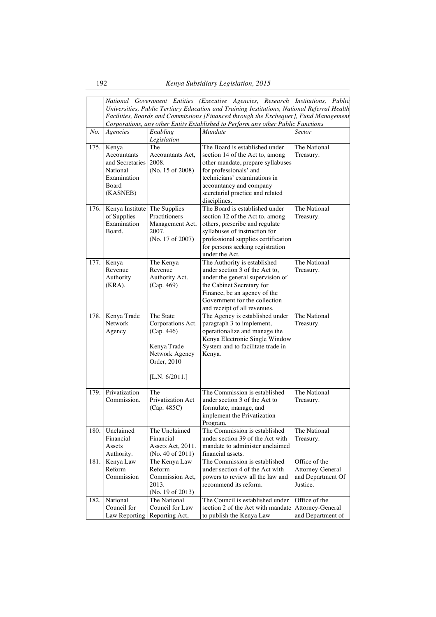|      |                         |                        | National Government Entities (Executive Agencies, Research Institutions, Public             |                   |
|------|-------------------------|------------------------|---------------------------------------------------------------------------------------------|-------------------|
|      |                         |                        | Universities, Public Tertiary Education and Training Institutions, National Referral Health |                   |
|      |                         |                        | Facilities, Boards and Commissions [Financed through the Exchequer], Fund Management        |                   |
|      |                         |                        | Corporations, any other Entity Established to Perform any other Public Functions            |                   |
| No.  | Agencies                | $\overline{E}$ nabling | Mandate                                                                                     | Sector            |
|      |                         | Legislation            |                                                                                             |                   |
| 175. | Kenya                   | The                    | The Board is established under                                                              | The National      |
|      | Accountants             | Accountants Act,       | section 14 of the Act to, among                                                             | Treasury.         |
|      | and Secretaries         | 2008.                  | other mandate, prepare syllabuses                                                           |                   |
|      | National<br>Examination | (No. 15 of 2008)       | for professionals' and<br>technicians' examinations in                                      |                   |
|      | Board                   |                        | accountancy and company                                                                     |                   |
|      | (KASNEB)                |                        | secretarial practice and related                                                            |                   |
|      |                         |                        | disciplines.                                                                                |                   |
| 176. | Kenya Institute         | The Supplies           | The Board is established under                                                              | The National      |
|      | of Supplies             | Practitioners          | section 12 of the Act to, among                                                             | Treasury.         |
|      | Examination             | Management Act,        | others, prescribe and regulate                                                              |                   |
|      | Board.                  | 2007.                  | syllabuses of instruction for                                                               |                   |
|      |                         | (No. 17 of 2007)       | professional supplies certification                                                         |                   |
|      |                         |                        | for persons seeking registration                                                            |                   |
|      |                         |                        | under the Act.                                                                              |                   |
| 177. | Kenya                   | The Kenya              | The Authority is established                                                                | The National      |
|      | Revenue                 | Revenue                | under section 3 of the Act to,                                                              | Treasury.         |
|      | Authority               | Authority Act.         | under the general supervision of                                                            |                   |
|      | $(KRA)$ .               | (Cap. 469)             | the Cabinet Secretary for                                                                   |                   |
|      |                         |                        | Finance, be an agency of the                                                                |                   |
|      |                         |                        | Government for the collection                                                               |                   |
| 178. | Kenya Trade             | The State              | and receipt of all revenues.                                                                | The National      |
|      | <b>Network</b>          | Corporations Act.      | The Agency is established under<br>paragraph 3 to implement,                                | Treasury.         |
|      | Agency                  | (Cap. 446)             | operationalize and manage the                                                               |                   |
|      |                         |                        | Kenya Electronic Single Window                                                              |                   |
|      |                         | Kenya Trade            | System and to facilitate trade in                                                           |                   |
|      |                         | Network Agency         | Kenya.                                                                                      |                   |
|      |                         | Order, 2010            |                                                                                             |                   |
|      |                         |                        |                                                                                             |                   |
|      |                         | [L.N. $6/2011$ .]      |                                                                                             |                   |
|      |                         |                        |                                                                                             |                   |
| 179. | Privatization           | The                    | The Commission is established                                                               | The National      |
|      | Commission.             | Privatization Act      | under section 3 of the Act to                                                               | Treasury.         |
|      |                         | (Cap. 485C)            | formulate, manage, and                                                                      |                   |
|      |                         |                        | implement the Privatization                                                                 |                   |
| 180. | Unclaimed               | The Unclaimed          | Program.<br>The Commission is established                                                   | The National      |
|      | Financial               | Financial              | under section 39 of the Act with                                                            | Treasury.         |
|      | Assets                  | Assets Act, 2011.      | mandate to administer unclaimed                                                             |                   |
|      | Authority.              | (No. 40 of 2011)       | financial assets.                                                                           |                   |
| 181. | Kenya Law               | The Kenya Law          | The Commission is established                                                               | Office of the     |
|      | Reform                  | Reform                 | under section 4 of the Act with                                                             | Attorney-General  |
|      | Commission              | Commission Act,        | powers to review all the law and                                                            | and Department Of |
|      |                         | 2013.                  | recommend its reform.                                                                       | Justice.          |
|      |                         | (No. 19 of 2013)       |                                                                                             |                   |
| 182. | National                | The National           | The Council is established under                                                            | Office of the     |
|      | Council for             | Council for Law        | section 2 of the Act with mandate                                                           | Attorney-General  |
|      | Law Reporting           | Reporting Act,         | to publish the Kenya Law                                                                    | and Department of |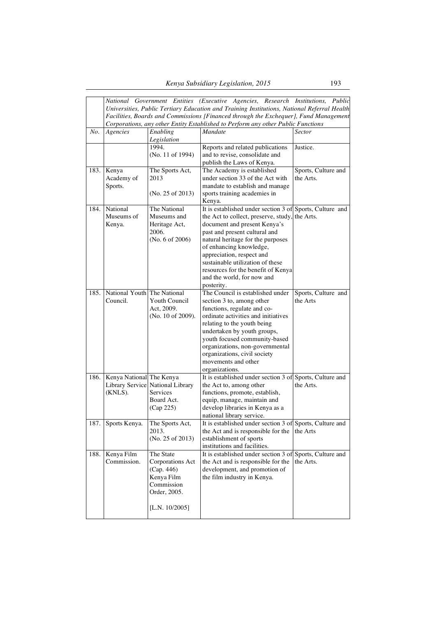|        |                                         |                                                                                                              | National Government Entities (Executive Agencies, Research Institutions, Public<br>Universities, Public Tertiary Education and Training Institutions, National Referral Health<br>Facilities, Boards and Commissions [Financed through the Exchequer], Fund Management                                                                                                               |                                  |
|--------|-----------------------------------------|--------------------------------------------------------------------------------------------------------------|--------------------------------------------------------------------------------------------------------------------------------------------------------------------------------------------------------------------------------------------------------------------------------------------------------------------------------------------------------------------------------------|----------------------------------|
| No.    | Agencies                                | Enabling<br>Legislation                                                                                      | Corporations, any other Entity Established to Perform any other Public Functions<br>Mandate                                                                                                                                                                                                                                                                                          | Sector                           |
|        |                                         | 1994.<br>(No. 11 of 1994)                                                                                    | Reports and related publications<br>and to revise, consolidate and<br>publish the Laws of Kenya.                                                                                                                                                                                                                                                                                     | Justice.                         |
| 183.   | Kenya<br>Academy of<br>Sports.          | The Sports Act,<br>2013                                                                                      | The Academy is established<br>under section 33 of the Act with<br>mandate to establish and manage                                                                                                                                                                                                                                                                                    | Sports, Culture and<br>the Arts. |
|        |                                         | (No. 25 of 2013)                                                                                             | sports training academies in<br>Kenya.                                                                                                                                                                                                                                                                                                                                               |                                  |
| 184.   | National<br>Museums of<br>Kenya.        | The National<br>Museums and<br>Heritage Act,<br>2006.<br>(No. 6 of 2006)                                     | It is established under section 3 of Sports, Culture and<br>the Act to collect, preserve, study,<br>document and present Kenya's<br>past and present cultural and<br>natural heritage for the purposes<br>of enhancing knowledge,<br>appreciation, respect and<br>sustainable utilization of these<br>resources for the benefit of Kenya<br>and the world, for now and<br>posterity. | the Arts.                        |
| 185.   | National Youth The National<br>Council. | Youth Council<br>Act, 2009.<br>(No. 10 of 2009).                                                             | The Council is established under<br>section 3 to, among other<br>functions, regulate and co-<br>ordinate activities and initiatives<br>relating to the youth being<br>undertaken by youth groups,<br>youth focused community-based<br>organizations, non-governmental<br>organizations, civil society<br>movements and other<br>organizations.                                       | Sports, Culture and<br>the Arts  |
| 186.   | Kenya National The Kenya<br>(KNLS).     | Library Service National Library<br>Services<br>Board Act.<br>(Cap 225)                                      | It is established under section 3 of Sports, Culture and<br>the Act to, among other<br>functions, promote, establish,<br>equip, manage, maintain and<br>develop libraries in Kenya as a<br>national library service.                                                                                                                                                                 | the Arts.                        |
| 187. I | Sports Kenya.                           | The Sports Act,<br>2013.<br>(No. 25 of 2013)                                                                 | It is established under section 3 of Sports, Culture and<br>the Act and is responsible for the<br>establishment of sports<br>institutions and facilities.                                                                                                                                                                                                                            | the Arts                         |
| 188.   | Kenya Film<br>Commission.               | The State<br>Corporations Act<br>(Cap. 446)<br>Kenya Film<br>Commission<br>Order, 2005.<br>[L.N. $10/2005$ ] | It is established under section 3 of Sports, Culture and<br>the Act and is responsible for the<br>development, and promotion of<br>the film industry in Kenya.                                                                                                                                                                                                                       | the Arts.                        |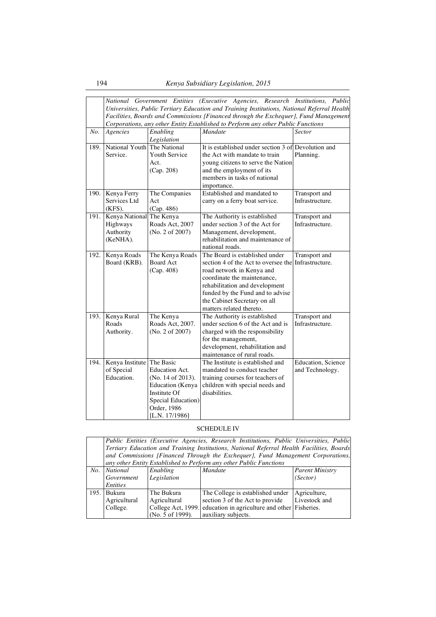|      |                             |                       | National Government Entities (Executive Agencies, Research Institutions, Public             |                            |
|------|-----------------------------|-----------------------|---------------------------------------------------------------------------------------------|----------------------------|
|      |                             |                       | Universities, Public Tertiary Education and Training Institutions, National Referral Health |                            |
|      |                             |                       | Facilities, Boards and Commissions [Financed through the Exchequer], Fund Management        |                            |
|      |                             |                       | Corporations, any other Entity Established to Perform any other Public Functions            |                            |
| No.  | Agencies                    | Enabling              | Mandate                                                                                     | Sector                     |
|      |                             | Legislation           |                                                                                             |                            |
| 189. | National Youth The National |                       | It is established under section 3 of                                                        | Devolution and             |
|      | Service.                    | <b>Youth Service</b>  | the Act with mandate to train                                                               | Planning.                  |
|      |                             | Act.                  | young citizens to serve the Nation                                                          |                            |
|      |                             | (Cap. 208)            | and the employment of its                                                                   |                            |
|      |                             |                       | members in tasks of national                                                                |                            |
|      |                             |                       | importance.                                                                                 |                            |
| 190. | Kenya Ferry                 | The Companies         | Established and mandated to                                                                 | Transport and              |
|      | Services Ltd                | Act                   | carry on a ferry boat service.                                                              | Infrastructure.            |
|      | $(KFS)$ .                   | (Cap. 486)            |                                                                                             |                            |
| 191. | Kenya National The Kenya    |                       | The Authority is established                                                                | Transport and              |
|      | Highways                    | Roads Act, 2007       | under section 3 of the Act for                                                              | Infrastructure.            |
|      | Authority                   | (No. 2 of 2007)       | Management, development,                                                                    |                            |
|      | (KeNHA).                    |                       | rehabilitation and maintenance of                                                           |                            |
|      |                             |                       | national roads.                                                                             |                            |
| 192. | Kenya Roads                 | The Kenya Roads       | The Board is established under                                                              | Transport and              |
|      | Board (KRB).                | <b>Board Act</b>      | section 4 of the Act to oversee the                                                         | Infrastructure.            |
|      |                             | (Cap. 408)            | road network in Kenya and                                                                   |                            |
|      |                             |                       | coordinate the maintenance,                                                                 |                            |
|      |                             |                       | rehabilitation and development                                                              |                            |
|      |                             |                       | funded by the Fund and to advise                                                            |                            |
|      |                             |                       | the Cabinet Secretary on all                                                                |                            |
|      |                             |                       | matters related thereto.                                                                    |                            |
| 193. | Kenya Rural                 | The Kenya             | The Authority is established                                                                | Transport and              |
|      | Roads                       | Roads Act, 2007.      | under section 6 of the Act and is                                                           | Infrastructure.            |
|      | Authority.                  | (No. 2 of 2007)       | charged with the responsibility                                                             |                            |
|      |                             |                       | for the management,                                                                         |                            |
|      |                             |                       | development, rehabilitation and                                                             |                            |
|      |                             |                       | maintenance of rural roads.                                                                 |                            |
| 194. | Kenya Institute             | The Basic             | The Institute is established and                                                            | <b>Education</b> , Science |
|      | of Special                  | <b>Education Act.</b> | mandated to conduct teacher                                                                 | and Technology.            |
|      | Education.                  | (No. 14 of 2013).     | training courses for teachers of                                                            |                            |
|      |                             | Education (Kenya      | children with special needs and                                                             |                            |
|      |                             | Institute Of          | disabilities.                                                                               |                            |
|      |                             | Special Education)    |                                                                                             |                            |
|      |                             | Order, 1986           |                                                                                             |                            |
|      |                             | [L.N. 17/1986]        |                                                                                             |                            |

# SCHEDULE IV

|      |                                                                                           |                    | Public Entities (Executive Agencies, Research Institutions, Public Universities, Public |                        |  |  |
|------|-------------------------------------------------------------------------------------------|--------------------|-----------------------------------------------------------------------------------------|------------------------|--|--|
|      | Tertiary Education and Training Institutions, National Referral Health Facilities, Boards |                    |                                                                                         |                        |  |  |
|      | and Commissions [Financed Through the Exchequer], Fund Management Corporations,           |                    |                                                                                         |                        |  |  |
|      |                                                                                           |                    | any other Entity Established to Perform any other Public Functions                      |                        |  |  |
| No.  | National                                                                                  | Enabling           | Mandate                                                                                 | <b>Parent Ministry</b> |  |  |
|      | Government                                                                                | Legislation        |                                                                                         | (Sector)               |  |  |
|      | Entities                                                                                  |                    |                                                                                         |                        |  |  |
| 195. | Bukura                                                                                    | The Bukura         | The College is established under                                                        | Agriculture.           |  |  |
|      | Agricultural                                                                              | Agricultural       | section 3 of the Act to provide                                                         | Livestock and          |  |  |
|      | College.                                                                                  | College Act, 1999. | education in agriculture and other Fisheries.                                           |                        |  |  |
|      |                                                                                           | (No. 5 of 1999).   | auxiliary subjects.                                                                     |                        |  |  |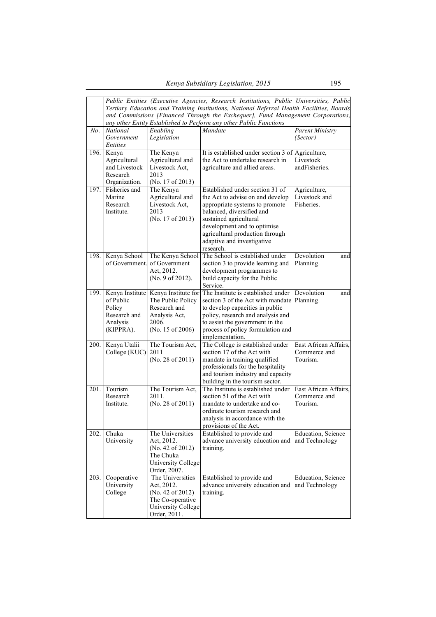|             | Public Entities (Executive Agencies, Research Institutions, Public Universities, Public<br>Tertiary Education and Training Institutions, National Referral Health Facilities, Boards<br>and Commissions [Financed Through the Exchequer], Fund Management Corporations,<br>any other Entity Established to Perform any other Public Functions |                                                                                                                        |                                                                                                                                                                                                                                                                           |                                                   |  |
|-------------|-----------------------------------------------------------------------------------------------------------------------------------------------------------------------------------------------------------------------------------------------------------------------------------------------------------------------------------------------|------------------------------------------------------------------------------------------------------------------------|---------------------------------------------------------------------------------------------------------------------------------------------------------------------------------------------------------------------------------------------------------------------------|---------------------------------------------------|--|
| No.         | <b>National</b><br>Government<br><i>Entities</i>                                                                                                                                                                                                                                                                                              | Enabling<br>Legislation                                                                                                | Mandate                                                                                                                                                                                                                                                                   | <b>Parent Ministry</b><br>(Sector)                |  |
| 196.        | Kenya<br>Agricultural<br>and Livestock<br>Research<br>Organization.                                                                                                                                                                                                                                                                           | The Kenya<br>Agricultural and<br>Livestock Act,<br>2013<br>(No. 17 of 2013)                                            | It is established under section 3 of<br>the Act to undertake research in<br>agriculture and allied areas.                                                                                                                                                                 | Agriculture,<br>Livestock<br>andFisheries.        |  |
| 197.        | Fisheries and<br>Marine<br>Research<br>Institute.                                                                                                                                                                                                                                                                                             | The Kenya<br>Agricultural and<br>Livestock Act,<br>2013<br>(No. 17 of 2013)                                            | Established under section 31 of<br>the Act to advise on and develop<br>appropriate systems to promote<br>balanced, diversified and<br>sustained agricultural<br>development and to optimise<br>agricultural production through<br>adaptive and investigative<br>research. | Agriculture,<br>Livestock and<br>Fisheries.       |  |
| 198.        | Kenya School                                                                                                                                                                                                                                                                                                                                  | The Kenya School<br>of Government. of Government<br>Act, 2012.<br>(No. 9 of 2012).                                     | The School is established under<br>section 3 to provide learning and<br>development programmes to<br>build capacity for the Public<br>Service.                                                                                                                            | Devolution<br>and<br>Planning.                    |  |
| 199.        | of Public<br>Policy<br>Research and<br>Analysis<br>(KIPPRA).                                                                                                                                                                                                                                                                                  | Kenya Institute Kenya Institute for<br>The Public Policy<br>Research and<br>Analysis Act,<br>2006.<br>(No. 15 of 2006) | The Institute is established under<br>section 3 of the Act with mandate<br>to develop capacities in public<br>policy, research and analysis and<br>to assist the government in the<br>process of policy formulation and<br>implementation.                                | Devolution<br>and<br>Planning.                    |  |
| <b>200.</b> | Kenya Utalii<br>College (KUC) 2011                                                                                                                                                                                                                                                                                                            | The Tourism Act,<br>(No. 28 of 2011)                                                                                   | The College is established under<br>section 17 of the Act with<br>mandate in training qualified<br>professionals for the hospitality<br>and tourism industry and capacity<br>building in the tourism sector.                                                              | East African Affairs,<br>Commerce and<br>Tourism. |  |
| 201.        | Tourism<br>Research<br>Institute.                                                                                                                                                                                                                                                                                                             | The Tourism Act,<br>2011.<br>(No. 28 of 2011)                                                                          | The Institute is established under<br>section 51 of the Act with<br>mandate to undertake and co-<br>ordinate tourism research and<br>analysis in accordance with the<br>provisions of the Act.                                                                            | East African Affairs,<br>Commerce and<br>Tourism. |  |
| 202.        | Chuka<br>University                                                                                                                                                                                                                                                                                                                           | The Universities<br>Act, 2012.<br>(No. 42 of 2012)<br>The Chuka<br>University College<br>Order, 2007.                  | Established to provide and<br>advance university education and<br>training.                                                                                                                                                                                               | Education, Science<br>and Technology              |  |
| 203.        | Cooperative<br>University<br>College                                                                                                                                                                                                                                                                                                          | The Universities<br>Act, 2012.<br>(No. 42 of 2012)<br>The Co-operative<br><b>University College</b><br>Order, 2011.    | Established to provide and<br>advance university education and<br>training.                                                                                                                                                                                               | Education, Science<br>and Technology              |  |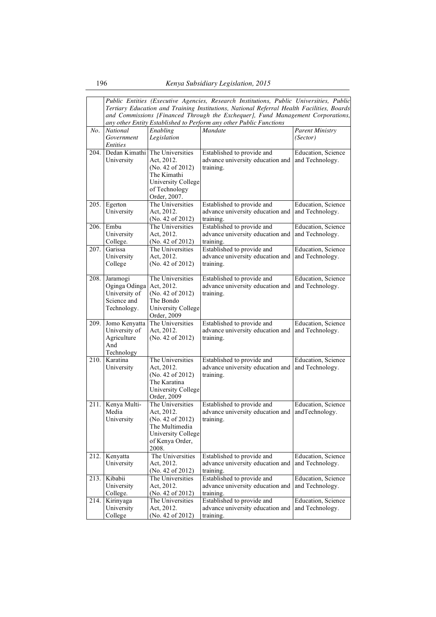|      | Public Entities (Executive Agencies, Research Institutions, Public Universities, Public<br>Tertiary Education and Training Institutions, National Referral Health Facilities, Boards |                                      |                                                                                 |                        |  |
|------|--------------------------------------------------------------------------------------------------------------------------------------------------------------------------------------|--------------------------------------|---------------------------------------------------------------------------------|------------------------|--|
|      |                                                                                                                                                                                      |                                      | and Commissions [Financed Through the Exchequer], Fund Management Corporations, |                        |  |
|      |                                                                                                                                                                                      |                                      | any other Entity Established to Perform any other Public Functions              |                        |  |
| No.  | <b>National</b>                                                                                                                                                                      | Enabling                             | Mandate                                                                         | <b>Parent Ministry</b> |  |
|      | Government                                                                                                                                                                           | Legislation                          |                                                                                 | (Sector)               |  |
| 204. | <b>Entities</b><br>Dedan Kimathi                                                                                                                                                     | The Universities                     | Established to provide and                                                      | Education, Science     |  |
|      | University                                                                                                                                                                           | Act, 2012.                           | advance university education and                                                | and Technology.        |  |
|      |                                                                                                                                                                                      | (No. 42 of 2012)                     | training.                                                                       |                        |  |
|      |                                                                                                                                                                                      | The Kimathi                          |                                                                                 |                        |  |
|      |                                                                                                                                                                                      | University College                   |                                                                                 |                        |  |
|      |                                                                                                                                                                                      | of Technology                        |                                                                                 |                        |  |
| 205. | Egerton                                                                                                                                                                              | Order, 2007.<br>The Universities     | Established to provide and                                                      | Education, Science     |  |
|      | University                                                                                                                                                                           | Act, 2012.                           | advance university education and                                                | and Technology.        |  |
|      |                                                                                                                                                                                      | (No. 42 of 2012)                     | training.                                                                       |                        |  |
| 206. | Embu                                                                                                                                                                                 | The Universities                     | Established to provide and                                                      | Education, Science     |  |
|      | University                                                                                                                                                                           | Act, 2012.                           | advance university education and                                                | and Technology.        |  |
| 207. | College.<br>Garissa                                                                                                                                                                  | (No. 42 of 2012)<br>The Universities | training.<br>Established to provide and                                         | Education, Science     |  |
|      | University                                                                                                                                                                           | Act, 2012.                           | advance university education and                                                | and Technology.        |  |
|      | College                                                                                                                                                                              | (No. 42 of 2012)                     | training.                                                                       |                        |  |
|      |                                                                                                                                                                                      |                                      |                                                                                 |                        |  |
| 208. | Jaramogi                                                                                                                                                                             | The Universities                     | Established to provide and                                                      | Education, Science     |  |
|      | Oginga Odinga<br>University of                                                                                                                                                       | Act, 2012.<br>(No. 42 of 2012)       | advance university education and<br>training.                                   | and Technology.        |  |
|      | Science and                                                                                                                                                                          | The Bondo                            |                                                                                 |                        |  |
|      | Technology.                                                                                                                                                                          | <b>University College</b>            |                                                                                 |                        |  |
|      |                                                                                                                                                                                      | Order, 2009                          |                                                                                 |                        |  |
| 209. | Jomo Kenyatta                                                                                                                                                                        | The Universities                     | Established to provide and                                                      | Education, Science     |  |
|      | University of<br>Agriculture                                                                                                                                                         | Act, 2012.<br>(No. 42 of 2012)       | advance university education and<br>training.                                   | and Technology.        |  |
|      | And                                                                                                                                                                                  |                                      |                                                                                 |                        |  |
|      | Technology                                                                                                                                                                           |                                      |                                                                                 |                        |  |
| 210. | Karatina                                                                                                                                                                             | The Universities                     | Established to provide and                                                      | Education, Science     |  |
|      | University                                                                                                                                                                           | Act, 2012.                           | advance university education and                                                | and Technology.        |  |
|      |                                                                                                                                                                                      | (No. 42 of 2012)<br>The Karatina     | training.                                                                       |                        |  |
|      |                                                                                                                                                                                      | University College                   |                                                                                 |                        |  |
|      |                                                                                                                                                                                      | Order, 2009                          |                                                                                 |                        |  |
| 211. | Kenya Multi-                                                                                                                                                                         | The Universities                     | Established to provide and                                                      | Education, Science     |  |
|      | Media                                                                                                                                                                                | Act, 2012.                           | advance university education and                                                | andTechnology.         |  |
|      | University                                                                                                                                                                           | (No. 42 of 2012)                     | training.                                                                       |                        |  |
|      |                                                                                                                                                                                      | The Multimedia<br>University College |                                                                                 |                        |  |
|      |                                                                                                                                                                                      | of Kenya Order,                      |                                                                                 |                        |  |
|      |                                                                                                                                                                                      | 2008.                                |                                                                                 |                        |  |
| 212. | Kenyatta                                                                                                                                                                             | The Universities                     | Established to provide and                                                      | Education, Science     |  |
|      | University                                                                                                                                                                           | Act, 2012.                           | advance university education and                                                | and Technology.        |  |
| 213. | Kibabii                                                                                                                                                                              | (No. 42 of 2012)<br>The Universities | training.<br>Established to provide and                                         | Education, Science     |  |
|      | University                                                                                                                                                                           | Act, 2012.                           | advance university education and                                                | and Technology.        |  |
|      | College.                                                                                                                                                                             | (No. 42 of 2012)                     | training.                                                                       |                        |  |
| 214. | Kirinyaga                                                                                                                                                                            | The Universities                     | Established to provide and                                                      | Education, Science     |  |
|      | University<br>College                                                                                                                                                                | Act, 2012.<br>(No. 42 of 2012)       | advance university education and                                                | and Technology.        |  |
|      |                                                                                                                                                                                      |                                      | training.                                                                       |                        |  |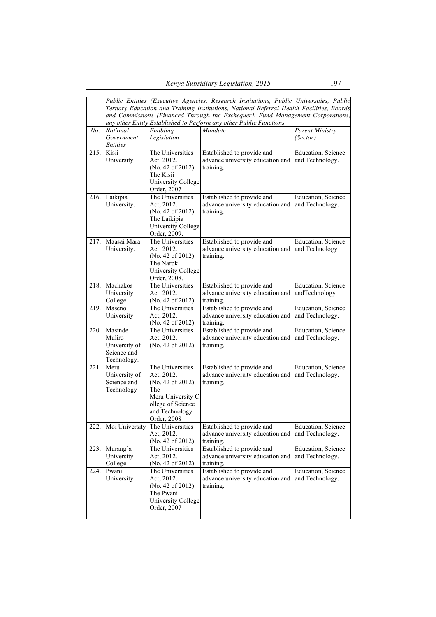|      | Public Entities (Executive Agencies, Research Institutions, Public Universities, Public<br>Tertiary Education and Training Institutions, National Referral Health Facilities, Boards<br>and Commissions [Financed Through the Exchequer], Fund Management Corporations,<br>any other Entity Established to Perform any other Public Functions |                                                                                                                                      |                                                                             |                                               |  |
|------|-----------------------------------------------------------------------------------------------------------------------------------------------------------------------------------------------------------------------------------------------------------------------------------------------------------------------------------------------|--------------------------------------------------------------------------------------------------------------------------------------|-----------------------------------------------------------------------------|-----------------------------------------------|--|
| No.  | National<br>Government<br><b>Entities</b>                                                                                                                                                                                                                                                                                                     | Enabling<br>Legislation                                                                                                              | Mandate                                                                     | <b>Parent Ministry</b><br>(Sector)            |  |
| 215. | Kisii<br>University                                                                                                                                                                                                                                                                                                                           | The Universities<br>Act, 2012.<br>(No. 42 of 2012)<br>The Kisii<br>University College<br>Order, 2007                                 | Established to provide and<br>advance university education and<br>training. | Education, Science<br>and Technology.         |  |
| 216. | Laikipia<br>University.                                                                                                                                                                                                                                                                                                                       | The Universities<br>Act, 2012.<br>(No. 42 of 2012)<br>The Laikipia<br>University College<br>Order, 2009.                             | Established to provide and<br>advance university education and<br>training. | <b>Education</b> , Science<br>and Technology. |  |
| 217. | Maasai Mara<br>University.                                                                                                                                                                                                                                                                                                                    | The Universities<br>Act, 2012.<br>(No. 42 of 2012)<br>The Narok<br><b>University College</b><br>Order, 2008.                         | Established to provide and<br>advance university education and<br>training. | Education, Science<br>and Technology          |  |
| 218. | Machakos<br>University<br>College                                                                                                                                                                                                                                                                                                             | The Universities<br>Act, 2012.<br>(No. 42 of 2012)                                                                                   | Established to provide and<br>advance university education and<br>training. | Education, Science<br>andTechnology           |  |
| 219. | Maseno<br>University                                                                                                                                                                                                                                                                                                                          | The Universities<br>Act, 2012.<br>(No. 42 of 2012)                                                                                   | Established to provide and<br>advance university education and<br>training. | <b>Education</b> , Science<br>and Technology. |  |
| 220. | Masinde<br>Muliro<br>University of<br>Science and<br>Technology.                                                                                                                                                                                                                                                                              | The Universities<br>Act, 2012.<br>(No. 42 of 2012)                                                                                   | Established to provide and<br>advance university education and<br>training. | Education, Science<br>and Technology.         |  |
| 221. | Meru<br>University of<br>Science and<br>Technology                                                                                                                                                                                                                                                                                            | The Universities<br>Act, 2012.<br>(No. 42 of 2012)<br>The<br>Meru University C<br>ollege of Science<br>and Technology<br>Order, 2008 | Established to provide and<br>advance university education and<br>training. | Education, Science<br>and Technology.         |  |
|      | 222. Moi University                                                                                                                                                                                                                                                                                                                           | The Universities<br>Act, 2012.<br>(No. 42 of 2012)                                                                                   | Established to provide and<br>advance university education and<br>training. | Education, Science<br>and Technology.         |  |
| 223. | Murang'a<br>University<br>College                                                                                                                                                                                                                                                                                                             | The Universities<br>Act, 2012.<br>(No. 42 of 2012)                                                                                   | Established to provide and<br>advance university education and<br>training. | Education, Science<br>and Technology.         |  |
| 224. | Pwani<br>University                                                                                                                                                                                                                                                                                                                           | The Universities<br>Act, 2012.<br>(No. 42 of 2012)<br>The Pwani<br><b>University College</b><br>Order, 2007                          | Established to provide and<br>advance university education and<br>training. | Education, Science<br>and Technology.         |  |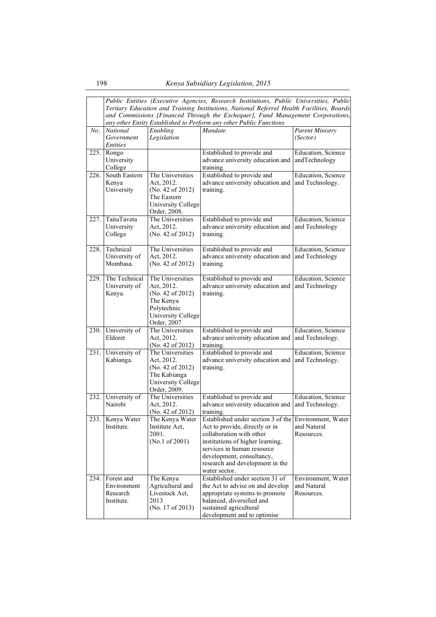|      | Public Entities (Executive Agencies, Research Institutions, Public Universities, Public                                                               |                                |                                                                    |                                       |  |  |
|------|-------------------------------------------------------------------------------------------------------------------------------------------------------|--------------------------------|--------------------------------------------------------------------|---------------------------------------|--|--|
|      | Tertiary Education and Training Institutions, National Referral Health Facilities, Boards                                                             |                                |                                                                    |                                       |  |  |
|      | and Commissions [Financed Through the Exchequer], Fund Management Corporations,<br>any other Entity Established to Perform any other Public Functions |                                |                                                                    |                                       |  |  |
|      |                                                                                                                                                       |                                |                                                                    |                                       |  |  |
| No.  | <b>National</b>                                                                                                                                       | Enabling                       | Mandate                                                            | <b>Parent Ministry</b>                |  |  |
|      | Government<br><i>Entities</i>                                                                                                                         | Legislation                    |                                                                    | (Sector)                              |  |  |
| 225. | Rongo                                                                                                                                                 |                                | Established to provide and                                         | Education, Science                    |  |  |
|      | University                                                                                                                                            |                                | advance university education and                                   | andTechnology                         |  |  |
|      | College                                                                                                                                               |                                | training.                                                          |                                       |  |  |
| 226. | South Eastern                                                                                                                                         | The Universities               | Established to provide and                                         | Education, Science                    |  |  |
|      | Kenya                                                                                                                                                 | Act, 2012.                     | advance university education and                                   | and Technology.                       |  |  |
|      | University                                                                                                                                            | (No. 42 of 2012)               | training.                                                          |                                       |  |  |
|      |                                                                                                                                                       | The Eastern                    |                                                                    |                                       |  |  |
|      |                                                                                                                                                       | University College             |                                                                    |                                       |  |  |
|      |                                                                                                                                                       | Order, 2008.                   |                                                                    |                                       |  |  |
| 227. | TaitaTaveta                                                                                                                                           | The Universities               | Established to provide and                                         | Education, Science                    |  |  |
|      | University                                                                                                                                            | Act, 2012.                     | advance university education and                                   | and Technology                        |  |  |
|      | College                                                                                                                                               | (No. 42 of 2012)               | training.                                                          |                                       |  |  |
| 228. | Technical                                                                                                                                             | The Universities               | Established to provide and                                         | Education, Science                    |  |  |
|      | University of                                                                                                                                         | Act, 2012.                     | advance university education and                                   | and Technology                        |  |  |
|      | Mombasa.                                                                                                                                              | (No. 42 of 2012)               | training.                                                          |                                       |  |  |
|      |                                                                                                                                                       |                                |                                                                    |                                       |  |  |
| 229. | The Technical                                                                                                                                         | The Universities               | Established to provide and                                         | Education, Science                    |  |  |
|      | University of                                                                                                                                         | Act, 2012.                     | advance university education and                                   | and Technology                        |  |  |
|      | Kenya.                                                                                                                                                | (No. 42 of 2012)               | training.                                                          |                                       |  |  |
|      |                                                                                                                                                       | The Kenya                      |                                                                    |                                       |  |  |
|      |                                                                                                                                                       | Polytechnic                    |                                                                    |                                       |  |  |
|      |                                                                                                                                                       | <b>University College</b>      |                                                                    |                                       |  |  |
|      |                                                                                                                                                       | Order, 2007                    |                                                                    |                                       |  |  |
| 230. | University of<br>Eldoret                                                                                                                              | The Universities<br>Act, 2012. | Established to provide and<br>advance university education and     | Education, Science<br>and Technology. |  |  |
|      |                                                                                                                                                       | (No. 42 of 2012)               | training.                                                          |                                       |  |  |
| 231. | University of                                                                                                                                         | The Universities               | Established to provide and                                         | Education, Science                    |  |  |
|      | Kabianga.                                                                                                                                             | Act, 2012.                     | advance university education and                                   | and Technology.                       |  |  |
|      |                                                                                                                                                       | (No. 42 of 2012)               | training.                                                          |                                       |  |  |
|      |                                                                                                                                                       | The Kabianga                   |                                                                    |                                       |  |  |
|      |                                                                                                                                                       | University College             |                                                                    |                                       |  |  |
|      |                                                                                                                                                       | Order, 2009.                   |                                                                    |                                       |  |  |
| 232. | University of                                                                                                                                         | The Universities               | Established to provide and                                         | Education, Science                    |  |  |
|      | Nairobi                                                                                                                                               | Act, 2012.                     | advance university education and                                   | and Technology.                       |  |  |
|      |                                                                                                                                                       | (No. 42 of $2012$ )            | training.                                                          |                                       |  |  |
| 233. | Kenya Water                                                                                                                                           | The Kenya Water                | Established under section $\overline{3}$ of the Environment, Water |                                       |  |  |
|      | Institute.                                                                                                                                            | Institute Act,                 | Act to provide, directly or in<br>collaboration with other         | and Natural<br>Resources.             |  |  |
|      |                                                                                                                                                       | 2001.<br>(No.1 of 2001)        | institutions of higher learning,                                   |                                       |  |  |
|      |                                                                                                                                                       |                                | services in human resource                                         |                                       |  |  |
|      |                                                                                                                                                       |                                | development, consultancy,                                          |                                       |  |  |
|      |                                                                                                                                                       |                                | research and development in the                                    |                                       |  |  |
|      |                                                                                                                                                       |                                | water sector.                                                      |                                       |  |  |
| 234. | Forest and                                                                                                                                            | The Kenya                      | Established under section 31 of                                    | Environment, Water                    |  |  |
|      | Environment                                                                                                                                           | Agricultural and               | the Act to advise on and develop                                   | and Natural                           |  |  |
|      | Research                                                                                                                                              | Livestock Act,                 | appropriate systems to promote                                     | Resources.                            |  |  |
|      | Institute.                                                                                                                                            | 2013                           | balanced, diversified and                                          |                                       |  |  |
|      |                                                                                                                                                       | (No. 17 of 2013)               | sustained agricultural                                             |                                       |  |  |
|      |                                                                                                                                                       |                                | development and to optimise                                        |                                       |  |  |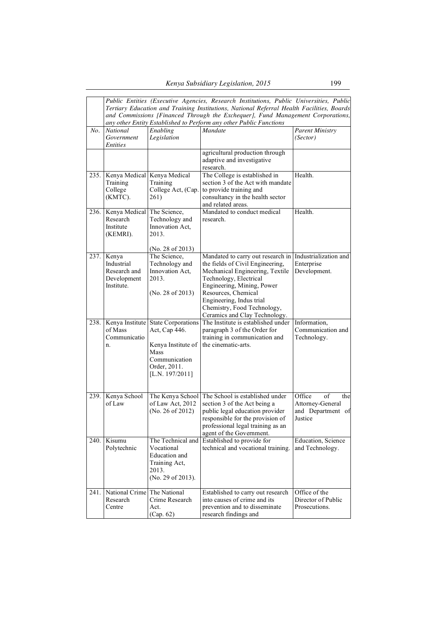|      | Public Entities (Executive Agencies, Research Institutions, Public Universities, Public<br>Tertiary Education and Training Institutions, National Referral Health Facilities, Boards<br>and Commissions [Financed Through the Exchequer], Fund Management Corporations, |                                                                                                                                       |                                                                                                                                                                                                                                                                                     |                                                                         |  |
|------|-------------------------------------------------------------------------------------------------------------------------------------------------------------------------------------------------------------------------------------------------------------------------|---------------------------------------------------------------------------------------------------------------------------------------|-------------------------------------------------------------------------------------------------------------------------------------------------------------------------------------------------------------------------------------------------------------------------------------|-------------------------------------------------------------------------|--|
| No.  | <b>National</b><br>Government<br><i>Entities</i>                                                                                                                                                                                                                        | Enabling<br>Legislation                                                                                                               | any other Entity Established to Perform any other Public Functions<br>Mandate                                                                                                                                                                                                       | <b>Parent Ministry</b><br>(Sector)                                      |  |
|      |                                                                                                                                                                                                                                                                         |                                                                                                                                       | agricultural production through<br>adaptive and investigative<br>research.                                                                                                                                                                                                          |                                                                         |  |
|      | 235. Kenya Medical Kenya Medical<br>Training<br>College<br>(KMTC).                                                                                                                                                                                                      | Training<br>College Act, (Cap.<br>261)                                                                                                | The College is established in<br>section 3 of the Act with mandate<br>to provide training and<br>consultancy in the health sector<br>and related areas.                                                                                                                             | Health.                                                                 |  |
| 236. | Kenya Medical<br>Research<br>Institute<br>(KEMRI).                                                                                                                                                                                                                      | The Science,<br>Technology and<br>Innovation Act.<br>2013.<br>(No. 28 of 2013)                                                        | Mandated to conduct medical<br>research.                                                                                                                                                                                                                                            | Health.                                                                 |  |
| 237. | Kenya<br>Industrial<br>Research and<br>Development<br>Institute.                                                                                                                                                                                                        | The Science,<br>Technology and<br>Innovation Act.<br>2013.<br>(No. 28 of 2013)                                                        | Mandated to carry out research in<br>the fields of Civil Engineering,<br>Mechanical Engineering, Textile<br>Technology, Electrical<br>Engineering, Mining, Power<br>Resources, Chemical<br>Engineering, Indus trial<br>Chemistry, Food Technology,<br>Ceramics and Clay Technology. | Industrialization and<br>Enterprise<br>Development.                     |  |
| 238. | of Mass<br>Communicatio<br>n.                                                                                                                                                                                                                                           | Kenya Institute State Corporations<br>Act, Cap 446.<br>Kenya Institute of<br>Mass<br>Communication<br>Order, 2011.<br>[L.N. 197/2011] | The Institute is established under<br>paragraph 3 of the Order for<br>training in communication and<br>the cinematic-arts.                                                                                                                                                          | Information,<br>Communication and<br>Technology.                        |  |
| 239. | Kenya School<br>of Law                                                                                                                                                                                                                                                  | The Kenya School<br>of Law Act, 2012<br>(No. 26 of 2012)                                                                              | The School is established under<br>section 3 of the Act being a<br>public legal education provider<br>responsible for the provision of<br>professional legal training as an<br>agent of the Government.                                                                             | Office<br>of<br>the<br>Attorney-General<br>and Department of<br>Justice |  |
| 240. | Kisumu<br>Polytechnic                                                                                                                                                                                                                                                   | The Technical and<br>Vocational<br>Education and<br>Training Act,<br>2013.<br>(No. 29 of 2013).                                       | Established to provide for<br>technical and vocational training.                                                                                                                                                                                                                    | Education, Science<br>and Technology.                                   |  |
| 241. | National Crime<br>Research<br>Centre                                                                                                                                                                                                                                    | The National<br>Crime Research<br>Act.<br>(Cap. 62)                                                                                   | Established to carry out research<br>into causes of crime and its<br>prevention and to disseminate<br>research findings and                                                                                                                                                         | Office of the<br>Director of Public<br>Prosecutions.                    |  |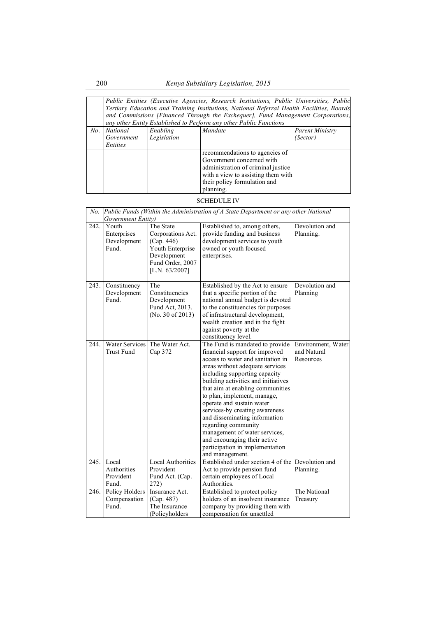|     | Public Entities (Executive Agencies, Research Institutions, Public Universities, Public<br>Tertiary Education and Training Institutions, National Referral Health Facilities, Boards<br>and Commissions [Financed Through the Exchequer], Fund Management Corporations,<br>any other Entity Established to Perform any other Public Functions |                         |                                                                    |                                    |  |  |
|-----|-----------------------------------------------------------------------------------------------------------------------------------------------------------------------------------------------------------------------------------------------------------------------------------------------------------------------------------------------|-------------------------|--------------------------------------------------------------------|------------------------------------|--|--|
| No. | <b>National</b><br>Government                                                                                                                                                                                                                                                                                                                 | Enabling<br>Legislation | <b>Mandate</b>                                                     | <b>Parent Ministry</b><br>(Sector) |  |  |
|     | Entities                                                                                                                                                                                                                                                                                                                                      |                         |                                                                    |                                    |  |  |
|     |                                                                                                                                                                                                                                                                                                                                               |                         | recommendations to agencies of<br>Government concerned with        |                                    |  |  |
|     |                                                                                                                                                                                                                                                                                                                                               |                         | administration of criminal justice                                 |                                    |  |  |
|     |                                                                                                                                                                                                                                                                                                                                               |                         | with a view to assisting them with<br>their policy formulation and |                                    |  |  |
|     |                                                                                                                                                                                                                                                                                                                                               |                         | planning.                                                          |                                    |  |  |

## SCHEDULE IV

| No.  | Public Funds (Within the Administration of A State Department or any other National |                                                                                                                          |                                                                                                                                                                                                                                                                                                                                                                                                                                                                                                                                    |                                                |  |
|------|-------------------------------------------------------------------------------------|--------------------------------------------------------------------------------------------------------------------------|------------------------------------------------------------------------------------------------------------------------------------------------------------------------------------------------------------------------------------------------------------------------------------------------------------------------------------------------------------------------------------------------------------------------------------------------------------------------------------------------------------------------------------|------------------------------------------------|--|
|      | Government Entity)                                                                  |                                                                                                                          |                                                                                                                                                                                                                                                                                                                                                                                                                                                                                                                                    |                                                |  |
| 242. | Youth<br>Enterprises<br>Development<br>Fund.                                        | The State<br>Corporations Act.<br>(Cap. 446)<br>Youth Enterprise<br>Development<br>Fund Order, 2007<br>[L.N. $63/2007$ ] | Established to, among others,<br>provide funding and business<br>development services to youth<br>owned or youth focused<br>enterprises.                                                                                                                                                                                                                                                                                                                                                                                           | Devolution and<br>Planning.                    |  |
| 243. | Constituency<br>Development<br>Fund.                                                | The<br>Constituencies<br>Development<br>Fund Act, 2013.<br>(No. 30 of 2013)                                              | Established by the Act to ensure<br>that a specific portion of the<br>national annual budget is devoted<br>to the constituencies for purposes<br>of infrastructural development,<br>wealth creation and in the fight<br>against poverty at the<br>constituency level.                                                                                                                                                                                                                                                              | Devolution and<br>Planning                     |  |
| 244. | <b>Water Services</b><br><b>Trust Fund</b>                                          | The Water Act.<br>Cap 372                                                                                                | The Fund is mandated to provide<br>financial support for improved<br>access to water and sanitation in<br>areas without adequate services<br>including supporting capacity<br>building activities and initiatives<br>that aim at enabling communities<br>to plan, implement, manage,<br>operate and sustain water<br>services-by creating awareness<br>and disseminating information<br>regarding community<br>management of water services,<br>and encouraging their active<br>participation in implementation<br>and management. | Environment, Water<br>and Natural<br>Resources |  |
| 245. | Local<br>Authorities<br>Provident<br>Fund.                                          | Local Authorities<br>Provident<br>Fund Act. (Cap.<br>272)                                                                | Established under section 4 of the<br>Act to provide pension fund<br>certain employees of Local<br>Authorities.                                                                                                                                                                                                                                                                                                                                                                                                                    | Devolution and<br>Planning.                    |  |
| 246. | Policy Holders<br>Compensation<br>Fund.                                             | Insurance Act.<br>(Cap. 487)<br>The Insurance<br>(Policyholders                                                          | Established to protect policy<br>holders of an insolvent insurance<br>company by providing them with<br>compensation for unsettled                                                                                                                                                                                                                                                                                                                                                                                                 | The National<br>Treasury                       |  |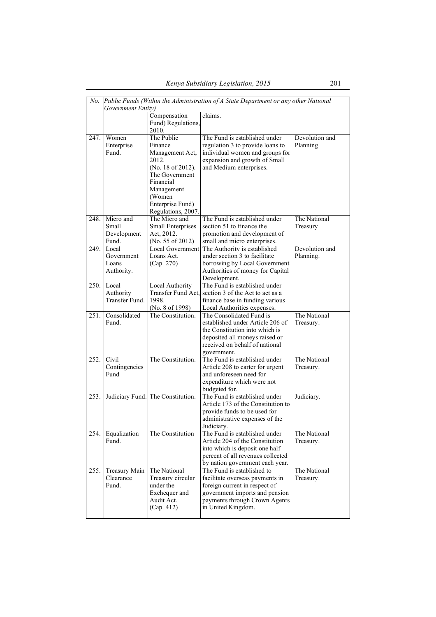| No.  | Public Funds (Within the Administration of A State Department or any other National |                                     |                                                                 |                |  |
|------|-------------------------------------------------------------------------------------|-------------------------------------|-----------------------------------------------------------------|----------------|--|
|      | Government Entity)                                                                  |                                     | claims.                                                         |                |  |
|      |                                                                                     | Compensation                        |                                                                 |                |  |
|      |                                                                                     | Fund) Regulations,                  |                                                                 |                |  |
|      | Women                                                                               | 2010.<br>The Public                 | The Fund is established under                                   | Devolution and |  |
| 247. |                                                                                     |                                     |                                                                 | Planning.      |  |
|      | Enterprise                                                                          | Finance                             | regulation 3 to provide loans to                                |                |  |
|      | Fund.                                                                               | Management Act,                     | individual women and groups for                                 |                |  |
|      |                                                                                     | 2012.                               | expansion and growth of Small                                   |                |  |
|      |                                                                                     | (No. 18 of 2012).<br>The Government | and Medium enterprises.                                         |                |  |
|      |                                                                                     | Financial                           |                                                                 |                |  |
|      |                                                                                     | Management                          |                                                                 |                |  |
|      |                                                                                     | (Women                              |                                                                 |                |  |
|      |                                                                                     | Enterprise Fund)                    |                                                                 |                |  |
|      |                                                                                     | Regulations, 2007.                  |                                                                 |                |  |
| 248. | Micro and                                                                           | The Micro and                       | The Fund is established under                                   | The National   |  |
|      | Small                                                                               | Small Enterprises                   | section 51 to finance the                                       | Treasury.      |  |
|      | Development                                                                         | Act, 2012.                          | promotion and development of                                    |                |  |
|      | Fund.                                                                               | (No. 55 of 2012)                    | small and micro enterprises.                                    |                |  |
| 249. | Local                                                                               | Local Government                    | The Authority is established                                    | Devolution and |  |
|      | Government                                                                          | Loans Act.                          | under section 3 to facilitate                                   | Planning.      |  |
|      | Loans                                                                               | (Cap. 270)                          | borrowing by Local Government                                   |                |  |
|      | Authority.                                                                          |                                     | Authorities of money for Capital                                |                |  |
|      |                                                                                     |                                     | Development.                                                    |                |  |
| 250. | Local                                                                               | Local Authority                     | The Fund is established under                                   |                |  |
|      | Authority                                                                           |                                     | Transfer Fund Act, section 3 of the Act to act as a             |                |  |
|      | Transfer Fund.                                                                      | 1998.                               | finance base in funding various                                 |                |  |
|      |                                                                                     | (No. 8 of 1998)                     | Local Authorities expenses.                                     |                |  |
| 251. | Consolidated                                                                        | The Constitution.                   | The Consolidated Fund is                                        | The National   |  |
|      | Fund.                                                                               |                                     | established under Article 206 of                                | Treasury.      |  |
|      |                                                                                     |                                     | the Constitution into which is                                  |                |  |
|      |                                                                                     |                                     | deposited all moneys raised or                                  |                |  |
|      |                                                                                     |                                     | received on behalf of national                                  |                |  |
|      |                                                                                     |                                     | government.                                                     |                |  |
| 252. | Civil                                                                               | The Constitution.                   | The Fund is established under                                   | The National   |  |
|      | Contingencies                                                                       |                                     | Article 208 to carter for urgent                                | Treasury.      |  |
|      | Fund                                                                                |                                     | and unforeseen need for                                         |                |  |
|      |                                                                                     |                                     | expenditure which were not                                      |                |  |
|      |                                                                                     |                                     | budgeted for.                                                   |                |  |
| 253. |                                                                                     | Judiciary Fund. The Constitution.   | The Fund is established under                                   | Judiciary.     |  |
|      |                                                                                     |                                     | Article 173 of the Constitution to                              |                |  |
|      |                                                                                     |                                     | provide funds to be used for                                    |                |  |
|      |                                                                                     |                                     | administrative expenses of the                                  |                |  |
|      |                                                                                     |                                     | Judiciary.                                                      |                |  |
| 254. | Equalization                                                                        | The Constitution                    | The Fund is established under                                   | The National   |  |
|      | Fund.                                                                               |                                     | Article 204 of the Constitution                                 | Treasury.      |  |
|      |                                                                                     |                                     | into which is deposit one half                                  |                |  |
|      |                                                                                     |                                     | percent of all revenues collected                               |                |  |
|      |                                                                                     |                                     | by nation government each year.                                 |                |  |
| 255. | Treasury Main                                                                       | The National                        | The Fund is established to                                      | The National   |  |
|      | Clearance                                                                           | Treasury circular                   | facilitate overseas payments in                                 | Treasury.      |  |
|      | Fund.                                                                               | under the                           | foreign current in respect of                                   |                |  |
|      |                                                                                     | Exchequer and<br>Audit Act.         | government imports and pension<br>payments through Crown Agents |                |  |
|      |                                                                                     | (Cap. 412)                          | in United Kingdom.                                              |                |  |
|      |                                                                                     |                                     |                                                                 |                |  |
|      |                                                                                     |                                     |                                                                 |                |  |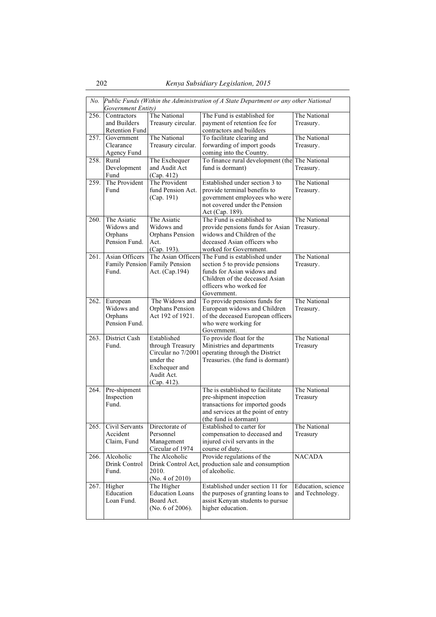| No.  |                                                                                                           |                                      |                                                                       |                    |  |  |  |
|------|-----------------------------------------------------------------------------------------------------------|--------------------------------------|-----------------------------------------------------------------------|--------------------|--|--|--|
|      | Public Funds (Within the Administration of A State Department or any other National<br>Government Entity) |                                      |                                                                       |                    |  |  |  |
| 256. | Contractors                                                                                               | The National                         | The Fund is established for                                           | The National       |  |  |  |
|      | and Builders                                                                                              | Treasury circular.                   | payment of retention fee for                                          | Treasury.          |  |  |  |
|      | <b>Retention Fund</b>                                                                                     |                                      | contractors and builders                                              |                    |  |  |  |
| 257. | Government                                                                                                | The National                         | To facilitate clearing and                                            | The National       |  |  |  |
|      | Clearance                                                                                                 | Treasury circular.                   | forwarding of import goods                                            | Treasury.          |  |  |  |
|      | Agency Fund                                                                                               |                                      | coming into the Country.                                              |                    |  |  |  |
| 258. | Rural                                                                                                     | The Exchequer                        | To finance rural development (the The National                        |                    |  |  |  |
|      | Development                                                                                               | and Audit Act                        | fund is dormant)                                                      | Treasury.          |  |  |  |
|      | Fund                                                                                                      | (Cap. 412)                           |                                                                       |                    |  |  |  |
| 259. | The Provident                                                                                             | The Provident                        | Established under section 3 to                                        | The National       |  |  |  |
|      | Fund                                                                                                      | fund Pension Act.                    | provide terminal benefits to                                          | Treasury.          |  |  |  |
|      |                                                                                                           | (Cap. 191)                           | government employees who were                                         |                    |  |  |  |
|      |                                                                                                           |                                      | not covered under the Pension                                         |                    |  |  |  |
|      |                                                                                                           |                                      | Act (Cap. 189).                                                       |                    |  |  |  |
| 260. | The Asiatic                                                                                               | The Asiatic                          | The Fund is established to                                            | The National       |  |  |  |
|      | Widows and                                                                                                | Widows and                           | provide pensions funds for Asian                                      | Treasury.          |  |  |  |
|      | Orphans                                                                                                   | Orphans Pension                      | widows and Children of the                                            |                    |  |  |  |
|      | Pension Fund.                                                                                             | Act.                                 | deceased Asian officers who                                           |                    |  |  |  |
|      |                                                                                                           | (Cap. 193).                          | worked for Government.                                                |                    |  |  |  |
| 261. | Asian Officers                                                                                            | The Asian Officers                   | The Fund is established under                                         | The National       |  |  |  |
|      |                                                                                                           | Family Pension Family Pension        | section 5 to provide pensions                                         | Treasury.          |  |  |  |
|      | Fund.                                                                                                     | Act. (Cap.194)                       | funds for Asian widows and                                            |                    |  |  |  |
|      |                                                                                                           |                                      | Children of the deceased Asian                                        |                    |  |  |  |
|      |                                                                                                           |                                      | officers who worked for                                               |                    |  |  |  |
|      |                                                                                                           |                                      | Government.                                                           |                    |  |  |  |
| 262. | European                                                                                                  | The Widows and                       | To provide pensions funds for                                         | The National       |  |  |  |
|      | Widows and                                                                                                | Orphans Pension                      | European widows and Children                                          | Treasury.          |  |  |  |
|      | Orphans<br>Pension Fund.                                                                                  | Act 192 of 1921.                     | of the deceased European officers<br>who were working for             |                    |  |  |  |
|      |                                                                                                           |                                      | Government.                                                           |                    |  |  |  |
| 263. | District Cash                                                                                             | Established                          | To provide float for the                                              | The National       |  |  |  |
|      | Fund.                                                                                                     | through Treasury                     | Ministries and departments                                            | Treasury           |  |  |  |
|      |                                                                                                           | Circular no 7/2001                   | operating through the District                                        |                    |  |  |  |
|      |                                                                                                           | under the                            | Treasuries. (the fund is dormant)                                     |                    |  |  |  |
|      |                                                                                                           | Exchequer and                        |                                                                       |                    |  |  |  |
|      |                                                                                                           | Audit Act.                           |                                                                       |                    |  |  |  |
|      |                                                                                                           | (Cap. 412).                          |                                                                       |                    |  |  |  |
| 264. | Pre-shipment                                                                                              |                                      | The is established to facilitate                                      | The National       |  |  |  |
|      | Inspection                                                                                                |                                      | pre-shipment inspection                                               | Treasury           |  |  |  |
|      | Fund.                                                                                                     |                                      | transactions for imported goods                                       |                    |  |  |  |
|      |                                                                                                           |                                      | and services at the point of entry                                    |                    |  |  |  |
|      |                                                                                                           |                                      | (the fund is dormant)                                                 |                    |  |  |  |
| 265. | Civil Servants                                                                                            | Directorate of                       | Established to carter for                                             | The National       |  |  |  |
|      | Accident                                                                                                  | Personnel                            | compensation to deceased and                                          | Treasury           |  |  |  |
|      | Claim, Fund                                                                                               | Management                           | injured civil servants in the                                         |                    |  |  |  |
|      |                                                                                                           | Circular of 1974                     | course of duty.                                                       |                    |  |  |  |
| 266. | Alcoholic                                                                                                 | The Alcoholic                        | Provide regulations of the                                            | <b>NACADA</b>      |  |  |  |
|      | Drink Control                                                                                             | Drink Control Act,                   | production sale and consumption                                       |                    |  |  |  |
|      | Fund.                                                                                                     | 2010.                                | of alcoholic.                                                         |                    |  |  |  |
|      |                                                                                                           | (No. 4 of 2010)                      | Established under section 11 for                                      |                    |  |  |  |
| 267. | Higher<br>Education                                                                                       | The Higher                           |                                                                       | Education, science |  |  |  |
|      | Loan Fund.                                                                                                | <b>Education Loans</b><br>Board Act. | the purposes of granting loans to<br>assist Kenyan students to pursue | and Technology.    |  |  |  |
|      |                                                                                                           | (No. 6 of 2006).                     | higher education.                                                     |                    |  |  |  |
|      |                                                                                                           |                                      |                                                                       |                    |  |  |  |
|      |                                                                                                           |                                      |                                                                       |                    |  |  |  |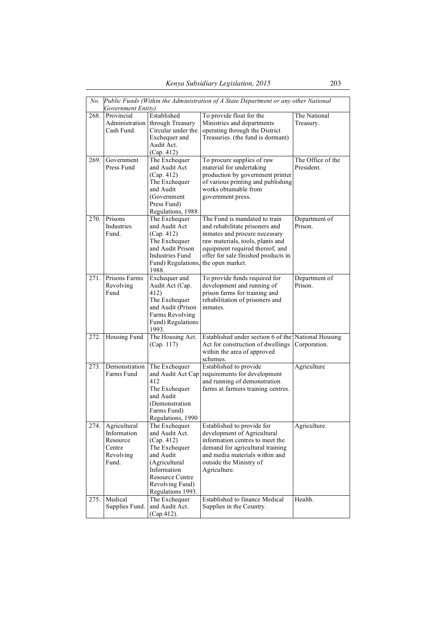| No.  | Public Funds (Within the Administration of A State Department or any other National<br>Government Entity) |                                                                                                                                                                               |                                                                                                                                                                                                                                    |                                 |  |  |
|------|-----------------------------------------------------------------------------------------------------------|-------------------------------------------------------------------------------------------------------------------------------------------------------------------------------|------------------------------------------------------------------------------------------------------------------------------------------------------------------------------------------------------------------------------------|---------------------------------|--|--|
| 268. | Provincial<br>Administration<br>Cash Fund.                                                                | Established<br>through Treasury<br>Circular under the<br>Exchequer and<br>Audit Act.<br>(Cap. 412)                                                                            | To provide float for the<br>Ministries and departments<br>operating through the District<br>Treasuries. (the fund is dormant)                                                                                                      | The National<br>Treasury.       |  |  |
| 269. | Government<br>Press Fund                                                                                  | The Exchequer<br>and Audit Act<br>(Cap. 412)<br>The Exchequer<br>and Audit<br>(Government<br>Press Fund)<br>Regulations, 1988                                                 | To procure supplies of raw<br>material for undertaking<br>production by government printer<br>of various printing and publishing<br>works obtainable from<br>government press.                                                     | The Office of the<br>President. |  |  |
| 270. | Prisons<br>Industries<br>Fund.                                                                            | The Exchequer<br>and Audit Act<br>(Cap. 412)<br>The Exchequer<br>and Audit Prison<br>Industries Fund<br>Fund) Regulations,<br>1988.                                           | The Fund is mandated to train<br>and rehabilitate prisoners and<br>inmates and procure necessary<br>raw materials, tools, plants and<br>equipment required thereof, and<br>offer for sale finished products in<br>the open market. | Department of<br>Prison.        |  |  |
| 271. | Prisons Farms<br>Revolving<br>Fund                                                                        | Exchequer and<br>Audit Act (Cap.<br>412)<br>The Exchequer<br>and Audit (Prison<br>Farms Revolving<br>Fund) Regulations<br>1993.                                               | To provide funds required for<br>development and running of<br>prison farms for training and<br>rehabilitation of prisoners and<br><i>inmates</i>                                                                                  | Department of<br>Prison.        |  |  |
| 272. | Housing Fund                                                                                              | The Housing Act.<br>(Cap. 117)                                                                                                                                                | Established under section 6 of the National Housing<br>Act for construction of dwellings<br>within the area of approved<br>schemes.                                                                                                | Corporation.                    |  |  |
| 273. | Demonstration<br>Farms Fund                                                                               | The Exchequer<br>and Audit Act Cap<br>412<br>The Exchequer<br>and Audit<br>(Demonstration)<br>Farms Fund)<br>Regulations, 1990                                                | Established to provide<br>requirements for development<br>and running of demonstration<br>farms at farmers training centres.                                                                                                       | Agriculture                     |  |  |
| 274. | Agricultural<br>Information<br>Resource<br>Centre<br>Revolving<br>Fund.                                   | The Exchequer<br>and Audit Act.<br>(Cap. 412)<br>The Exchequer<br>and Audit<br>(Agricultural<br>Information<br><b>Resource Centre</b><br>Revolving Fund)<br>Regulations 1993. | Established to provide for<br>development of Agricultural<br>information centres to meet the<br>demand for agricultural training<br>and media materials within and<br>outside the Ministry of<br>Agriculture.                      | Agriculture.                    |  |  |
| 275. | Medical<br>Supplies Fund.                                                                                 | The Exchequer<br>and Audit Act.<br>(Cap.412).                                                                                                                                 | Established to finance Medical<br>Supplies in the Country.                                                                                                                                                                         | Health.                         |  |  |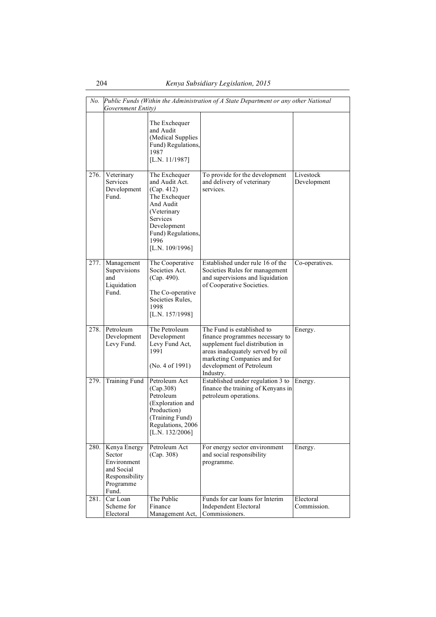| No.  | Public Funds (Within the Administration of A State Department or any other National<br>Government Entity) |                                                                                                                                                                        |                                                                                                                                                                                                              |                          |  |  |
|------|-----------------------------------------------------------------------------------------------------------|------------------------------------------------------------------------------------------------------------------------------------------------------------------------|--------------------------------------------------------------------------------------------------------------------------------------------------------------------------------------------------------------|--------------------------|--|--|
|      |                                                                                                           | The Exchequer<br>and Audit<br>(Medical Supplies<br>Fund) Regulations,<br>1987<br>[L.N. 11/1987]                                                                        |                                                                                                                                                                                                              |                          |  |  |
| 276. | Veterinary<br>Services<br>Development<br>Fund.                                                            | The Exchequer<br>and Audit Act.<br>(Cap. 412)<br>The Exchequer<br>And Audit<br>(Veterinary<br>Services<br>Development<br>Fund) Regulations,<br>1996<br>[L.N. 109/1996] | To provide for the development<br>and delivery of veterinary<br>services.                                                                                                                                    | Livestock<br>Development |  |  |
| 277. | Management<br>Supervisions<br>and<br>Liquidation<br>Fund.                                                 | The Cooperative<br>Societies Act.<br>(Cap. 490).<br>The Co-operative<br>Societies Rules,<br>1998<br>[L.N. 157/1998]                                                    | Established under rule 16 of the<br>Societies Rules for management<br>and supervisions and liquidation<br>of Cooperative Societies.                                                                          | Co-operatives.           |  |  |
| 278. | Petroleum<br>Development<br>Levy Fund.                                                                    | The Petroleum<br>Development<br>Levy Fund Act,<br>1991<br>(No. 4 of 1991)                                                                                              | The Fund is established to<br>finance programmes necessary to<br>supplement fuel distribution in<br>areas inadequately served by oil<br>marketing Companies and for<br>development of Petroleum<br>Industry. | Energy.                  |  |  |
| 279. | <b>Training Fund</b>                                                                                      | Petroleum Act<br>(Cap.308)<br>Petroleum<br>(Exploration and<br>Production)<br>(Training Fund)<br>Regulations, 2006<br>[L.N. 132/2006]                                  | Established under regulation 3 to<br>finance the training of Kenyans in<br>petroleum operations.                                                                                                             | Energy.                  |  |  |
| 280. | Kenya Energy<br>Sector<br>Environment<br>and Social<br>Responsibility<br>Programme<br>Fund.               | Petroleum Act<br>(Cap. 308)                                                                                                                                            | For energy sector environment<br>and social responsibility<br>programme.                                                                                                                                     | Energy.                  |  |  |
| 281. | Car Loan<br>Scheme for<br>Electoral                                                                       | The Public<br>Finance<br>Management Act,                                                                                                                               | Funds for car loans for Interim<br><b>Independent Electoral</b><br>Commissioners.                                                                                                                            | Electoral<br>Commission. |  |  |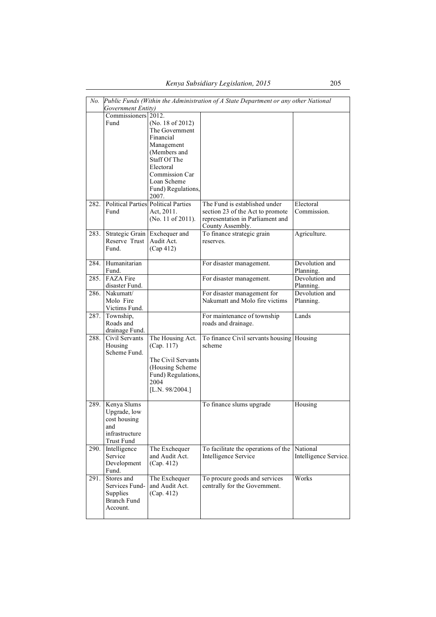| No.  |                     |                                            | Public Funds (Within the Administration of A State Department or any other National |                       |
|------|---------------------|--------------------------------------------|-------------------------------------------------------------------------------------|-----------------------|
|      | Government Entity)  |                                            |                                                                                     |                       |
|      | Commissioners 2012. |                                            |                                                                                     |                       |
|      | Fund                | (No. 18 of 2012)                           |                                                                                     |                       |
|      |                     | The Government                             |                                                                                     |                       |
|      |                     | Financial                                  |                                                                                     |                       |
|      |                     | Management                                 |                                                                                     |                       |
|      |                     | (Members and                               |                                                                                     |                       |
|      |                     | Staff Of The                               |                                                                                     |                       |
|      |                     | Electoral                                  |                                                                                     |                       |
|      |                     | Commission Car                             |                                                                                     |                       |
|      |                     | Loan Scheme                                |                                                                                     |                       |
|      |                     | Fund) Regulations,                         |                                                                                     |                       |
|      |                     | 2007.                                      |                                                                                     |                       |
| 282. |                     | <b>Political Parties Political Parties</b> | The Fund is established under                                                       | Electoral             |
|      | Fund                | Act, 2011.                                 | section 23 of the Act to promote                                                    | Commission.           |
|      |                     |                                            |                                                                                     |                       |
|      |                     | (No. 11 of 2011).                          | representation in Parliament and                                                    |                       |
|      |                     |                                            | County Assembly.                                                                    |                       |
| 283. | Strategic Grain     | Exchequer and                              | To finance strategic grain                                                          | Agriculture.          |
|      | Reserve Trust       | Audit Act.                                 | reserves.                                                                           |                       |
|      | Fund.               | (Cap 412)                                  |                                                                                     |                       |
|      |                     |                                            |                                                                                     |                       |
| 284. | Humanitarian        |                                            | For disaster management.                                                            | Devolution and        |
|      | Fund.               |                                            |                                                                                     | Planning.             |
| 285. | <b>FAZA</b> Fire    |                                            | For disaster management.                                                            | Devolution and        |
|      | disaster Fund.      |                                            |                                                                                     | Planning.             |
| 286. | Nakumatt/           |                                            | For disaster management for                                                         | Devolution and        |
|      | Molo Fire           |                                            | Nakumatt and Molo fire victims                                                      | Planning.             |
|      | Victims Fund.       |                                            |                                                                                     |                       |
| 287. | Township,           |                                            | For maintenance of township                                                         | Lands                 |
|      | Roads and           |                                            | roads and drainage.                                                                 |                       |
|      | drainage Fund.      |                                            |                                                                                     |                       |
| 288. | Civil Servants      | The Housing Act.                           | To finance Civil servants housing   Housing                                         |                       |
|      | Housing             | (Cap. 117)                                 | scheme                                                                              |                       |
|      | Scheme Fund.        |                                            |                                                                                     |                       |
|      |                     | The Civil Servants                         |                                                                                     |                       |
|      |                     |                                            |                                                                                     |                       |
|      |                     | (Housing Scheme                            |                                                                                     |                       |
|      |                     | Fund) Regulations,                         |                                                                                     |                       |
|      |                     | 2004                                       |                                                                                     |                       |
|      |                     | [L.N. 98/2004.]                            |                                                                                     |                       |
|      |                     |                                            |                                                                                     |                       |
| 289. | Kenya Slums         |                                            | To finance slums upgrade                                                            | Housing               |
|      | Upgrade, low        |                                            |                                                                                     |                       |
|      | cost housing        |                                            |                                                                                     |                       |
|      | and                 |                                            |                                                                                     |                       |
|      | infrastructure      |                                            |                                                                                     |                       |
|      | Trust Fund          |                                            |                                                                                     |                       |
| 290. | Intelligence        | The Exchequer                              | To facilitate the operations of the                                                 | National              |
|      | Service             | and Audit Act.                             | Intelligence Service                                                                | Intelligence Service. |
|      | Development         | (Cap. 412)                                 |                                                                                     |                       |
|      | Fund.               |                                            |                                                                                     |                       |
| 291. | Stores and          | The Exchequer                              | To procure goods and services                                                       | Works                 |
|      | Services Fund-      | and Audit Act.                             | centrally for the Government.                                                       |                       |
|      | Supplies            | (Cap. 412)                                 |                                                                                     |                       |
|      | <b>Branch Fund</b>  |                                            |                                                                                     |                       |
|      | Account.            |                                            |                                                                                     |                       |
|      |                     |                                            |                                                                                     |                       |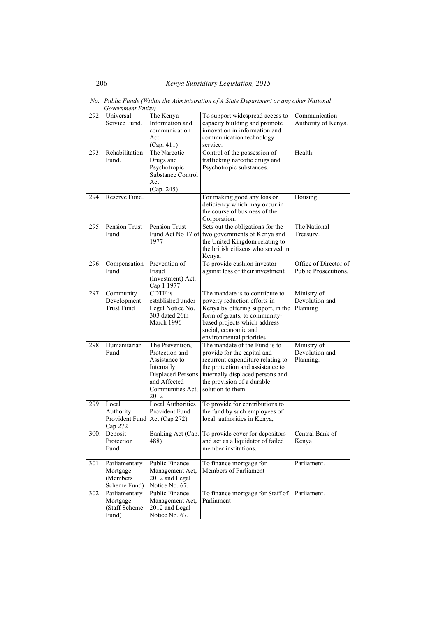| No.  | Public Funds (Within the Administration of A State Department or any other National<br>Government Entity) |                                                                                                                                          |                                                                                                                                                                                                                             |                                               |  |
|------|-----------------------------------------------------------------------------------------------------------|------------------------------------------------------------------------------------------------------------------------------------------|-----------------------------------------------------------------------------------------------------------------------------------------------------------------------------------------------------------------------------|-----------------------------------------------|--|
| 292. | Universal<br>Service Fund.                                                                                | The Kenya<br>Information and<br>communication<br>Act.<br>(Cap. 411)                                                                      | To support widespread access to<br>capacity building and promote<br>innovation in information and<br>communication technology<br>service.                                                                                   | Communication<br>Authority of Kenya.          |  |
| 293. | Rehabilitation<br>Fund.                                                                                   | The Narcotic<br>Drugs and<br>Psychotropic<br>Substance Control<br>Act.<br>(Cap. 245)                                                     | Control of the possession of<br>trafficking narcotic drugs and<br>Psychotropic substances.                                                                                                                                  | Health.                                       |  |
| 294. | Reserve Fund.                                                                                             |                                                                                                                                          | For making good any loss or<br>deficiency which may occur in<br>the course of business of the<br>Corporation.                                                                                                               | Housing                                       |  |
| 295. | Pension Trust<br>Fund                                                                                     | Pension Trust<br>Fund Act No 17 of<br>1977                                                                                               | Sets out the obligations for the<br>two governments of Kenya and<br>the United Kingdom relating to<br>the british citizens who served in<br>Kenya.                                                                          | The National<br>Treasury.                     |  |
| 296. | Compensation<br>Fund                                                                                      | Prevention of<br>Fraud<br>(Investment) Act.<br>Cap 1 1977                                                                                | To provide cushion investor<br>against loss of their investment.                                                                                                                                                            | Office of Director of<br>Public Prosecutions. |  |
| 297. | Community<br>Development<br><b>Trust Fund</b>                                                             | CDTF is<br>established under<br>Legal Notice No.<br>303 dated 26th<br>March 1996                                                         | The mandate is to contribute to<br>poverty reduction efforts in<br>Kenya by offering support, in the<br>form of grants, to community-<br>based projects which address<br>social, economic and<br>environmental priorities   | Ministry of<br>Devolution and<br>Planning     |  |
| 298. | Humanitarian<br>Fund                                                                                      | The Prevention,<br>Protection and<br>Assistance to<br>Internally<br><b>Displaced Persons</b><br>and Affected<br>Communities Act,<br>2012 | The mandate of the Fund is to<br>provide for the capital and<br>recurrent expenditure relating to<br>the protection and assistance to<br>internally displaced persons and<br>the provision of a durable<br>solution to them | Ministry of<br>Devolution and<br>Planning.    |  |
| 299. | Local<br>Authority<br>Provident Fund Act (Cap 272)<br>Cap 272                                             | <b>Local Authorities</b><br>Provident Fund                                                                                               | To provide for contributions to<br>the fund by such employees of<br>local authorities in Kenya,                                                                                                                             |                                               |  |
| 300. | Deposit<br>Protection<br>Fund                                                                             | Banking Act (Cap.<br>488)                                                                                                                | To provide cover for depositors<br>and act as a liquidator of failed<br>member institutions.                                                                                                                                | Central Bank of<br>Kenya                      |  |
| 301. | Parliamentary<br>Mortgage<br>(Members<br>Scheme Fund)                                                     | Public Finance<br>Management Act,<br>2012 and Legal<br>Notice No. 67.                                                                    | To finance mortgage for<br>Members of Parliament                                                                                                                                                                            | Parliament.                                   |  |
| 302. | Parliamentary<br>Mortgage<br>(Staff Scheme<br>Fund)                                                       | Public Finance<br>Management Act,<br>2012 and Legal<br>Notice No. 67.                                                                    | To finance mortgage for Staff of<br>Parliament                                                                                                                                                                              | Parliament.                                   |  |